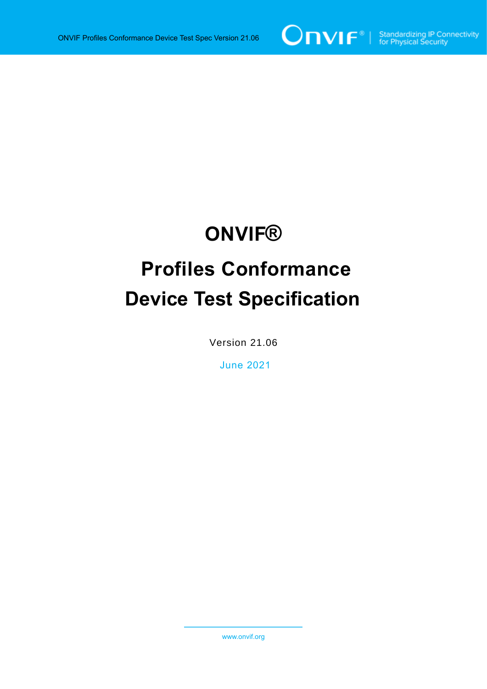

# **ONVIF®**

# **Profiles Conformance Device Test Specification**

Version 21.06

June 2021

www.onvif.org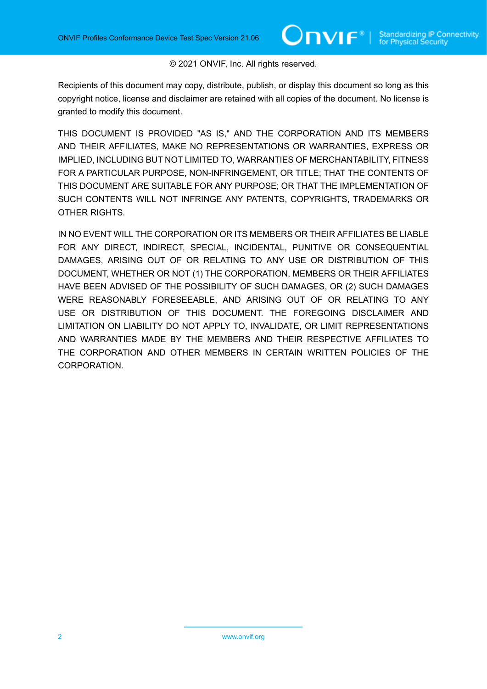#### © 2021 ONVIF, Inc. All rights reserved.

Recipients of this document may copy, distribute, publish, or display this document so long as this copyright notice, license and disclaimer are retained with all copies of the document. No license is granted to modify this document.

THIS DOCUMENT IS PROVIDED "AS IS," AND THE CORPORATION AND ITS MEMBERS AND THEIR AFFILIATES, MAKE NO REPRESENTATIONS OR WARRANTIES, EXPRESS OR IMPLIED, INCLUDING BUT NOT LIMITED TO, WARRANTIES OF MERCHANTABILITY, FITNESS FOR A PARTICULAR PURPOSE, NON-INFRINGEMENT, OR TITLE; THAT THE CONTENTS OF THIS DOCUMENT ARE SUITABLE FOR ANY PURPOSE; OR THAT THE IMPLEMENTATION OF SUCH CONTENTS WILL NOT INFRINGE ANY PATENTS, COPYRIGHTS, TRADEMARKS OR OTHER RIGHTS.

IN NO EVENT WILL THE CORPORATION OR ITS MEMBERS OR THEIR AFFILIATES BE LIABLE FOR ANY DIRECT, INDIRECT, SPECIAL, INCIDENTAL, PUNITIVE OR CONSEQUENTIAL DAMAGES, ARISING OUT OF OR RELATING TO ANY USE OR DISTRIBUTION OF THIS DOCUMENT, WHETHER OR NOT (1) THE CORPORATION, MEMBERS OR THEIR AFFILIATES HAVE BEEN ADVISED OF THE POSSIBILITY OF SUCH DAMAGES, OR (2) SUCH DAMAGES WERE REASONABLY FORESEEABLE, AND ARISING OUT OF OR RELATING TO ANY USE OR DISTRIBUTION OF THIS DOCUMENT. THE FOREGOING DISCLAIMER AND LIMITATION ON LIABILITY DO NOT APPLY TO, INVALIDATE, OR LIMIT REPRESENTATIONS AND WARRANTIES MADE BY THE MEMBERS AND THEIR RESPECTIVE AFFILIATES TO THE CORPORATION AND OTHER MEMBERS IN CERTAIN WRITTEN POLICIES OF THE CORPORATION.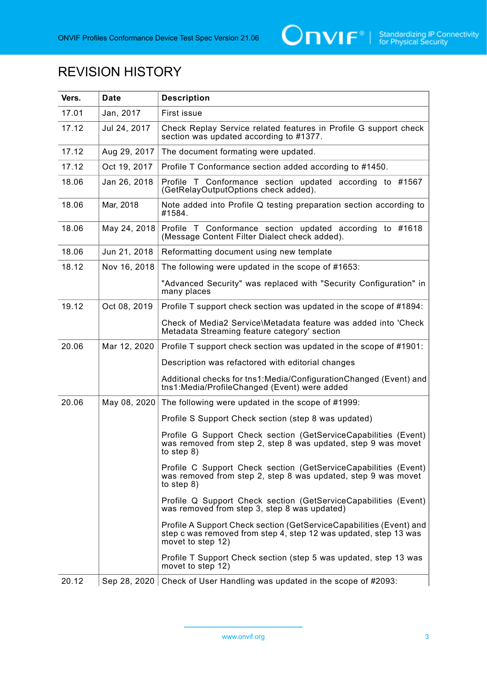

## REVISION HISTORY

| Vers. | <b>Date</b>  | <b>Description</b>                                                                                                                                           |  |
|-------|--------------|--------------------------------------------------------------------------------------------------------------------------------------------------------------|--|
| 17.01 | Jan, 2017    | First issue                                                                                                                                                  |  |
| 17.12 | Jul 24, 2017 | Check Replay Service related features in Profile G support check<br>section was updated according to #1377.                                                  |  |
| 17.12 | Aug 29, 2017 | The document formating were updated.                                                                                                                         |  |
| 17.12 | Oct 19, 2017 | Profile T Conformance section added according to #1450.                                                                                                      |  |
| 18.06 | Jan 26, 2018 | Profile T Conformance section updated according to #1567<br>(GetRelayOutputOptions check added).                                                             |  |
| 18.06 | Mar, 2018    | Note added into Profile Q testing preparation section according to<br>#1584.                                                                                 |  |
| 18.06 | May 24, 2018 | Profile T Conformance section updated according to #1618<br>(Message Content Filter Dialect check added).                                                    |  |
| 18.06 | Jun 21, 2018 | Reformatting document using new template                                                                                                                     |  |
| 18.12 | Nov 16, 2018 | The following were updated in the scope of #1653:                                                                                                            |  |
|       |              | "Advanced Security" was replaced with "Security Configuration" in<br>many places                                                                             |  |
| 19.12 | Oct 08, 2019 | Profile T support check section was updated in the scope of #1894:                                                                                           |  |
|       |              | Check of Media2 Service\Metadata feature was added into 'Check<br>Metadata Streaming feature category' section                                               |  |
| 20.06 | Mar 12, 2020 | Profile T support check section was updated in the scope of #1901:                                                                                           |  |
|       |              | Description was refactored with editorial changes                                                                                                            |  |
|       |              | Additional checks for tns1: Media/Configuration Changed (Event) and<br>tns1:Media/ProfileChanged (Event) were added                                          |  |
| 20.06 | May 08, 2020 | The following were updated in the scope of #1999:                                                                                                            |  |
|       |              | Profile S Support Check section (step 8 was updated)                                                                                                         |  |
|       |              | Profile G Support Check section (GetServiceCapabilities (Event)<br>was removed from step 2, step 8 was updated, step 9 was movet<br>to step $8)$             |  |
|       |              | Profile C Support Check section (GetServiceCapabilities (Event)<br>was removed from step 2, step 8 was updated, step 9 was movet<br>to step $8)$             |  |
|       |              | Profile Q Support Check section (GetServiceCapabilities (Event)<br>was removed from step 3, step 8 was updated)                                              |  |
|       |              | Profile A Support Check section (GetServiceCapabilities (Event) and<br>step c was removed from step 4, step 12 was updated, step 13 was<br>movet to step 12) |  |
|       |              | Profile T Support Check section (step 5 was updated, step 13 was<br>movet to step 12)                                                                        |  |
| 20.12 | Sep 28, 2020 | Check of User Handling was updated in the scope of #2093:                                                                                                    |  |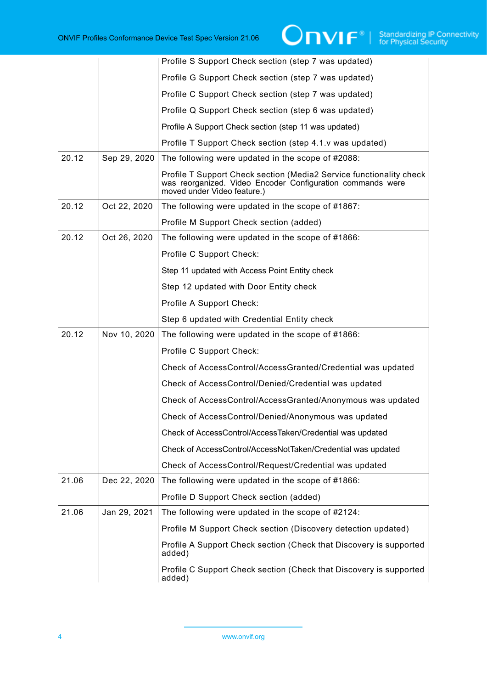|       |              | Profile S Support Check section (step 7 was updated)                                                                                                             |
|-------|--------------|------------------------------------------------------------------------------------------------------------------------------------------------------------------|
|       |              | Profile G Support Check section (step 7 was updated)                                                                                                             |
|       |              | Profile C Support Check section (step 7 was updated)                                                                                                             |
|       |              | Profile Q Support Check section (step 6 was updated)                                                                                                             |
|       |              | Profile A Support Check section (step 11 was updated)                                                                                                            |
|       |              | Profile T Support Check section (step 4.1.v was updated)                                                                                                         |
| 20.12 | Sep 29, 2020 | The following were updated in the scope of #2088:                                                                                                                |
|       |              | Profile T Support Check section (Media2 Service functionality check<br>was reorganized. Video Encoder Configuration commands were<br>moved under Video feature.) |
| 20.12 | Oct 22, 2020 | The following were updated in the scope of #1867:                                                                                                                |
|       |              | Profile M Support Check section (added)                                                                                                                          |
| 20.12 | Oct 26, 2020 | The following were updated in the scope of #1866:                                                                                                                |
|       |              | Profile C Support Check:                                                                                                                                         |
|       |              | Step 11 updated with Access Point Entity check                                                                                                                   |
|       |              | Step 12 updated with Door Entity check                                                                                                                           |
|       |              | Profile A Support Check:                                                                                                                                         |
|       |              | Step 6 updated with Credential Entity check                                                                                                                      |
| 20.12 | Nov 10, 2020 | The following were updated in the scope of #1866:                                                                                                                |
|       |              | Profile C Support Check:                                                                                                                                         |
|       |              | Check of AccessControl/AccessGranted/Credential was updated                                                                                                      |
|       |              | Check of AccessControl/Denied/Credential was updated                                                                                                             |
|       |              | Check of AccessControl/AccessGranted/Anonymous was updated                                                                                                       |
|       |              | Check of AccessControl/Denied/Anonymous was updated                                                                                                              |
|       |              | Check of AccessControl/AccessTaken/Credential was updated                                                                                                        |
|       |              | Check of AccessControl/AccessNotTaken/Credential was updated                                                                                                     |
|       |              | Check of AccessControl/Request/Credential was updated                                                                                                            |
| 21.06 | Dec 22, 2020 | The following were updated in the scope of #1866:                                                                                                                |
|       |              | Profile D Support Check section (added)                                                                                                                          |
| 21.06 | Jan 29, 2021 | The following were updated in the scope of #2124:                                                                                                                |
|       |              | Profile M Support Check section (Discovery detection updated)                                                                                                    |
|       |              | Profile A Support Check section (Check that Discovery is supported<br>added)                                                                                     |
|       |              | Profile C Support Check section (Check that Discovery is supported<br>added)                                                                                     |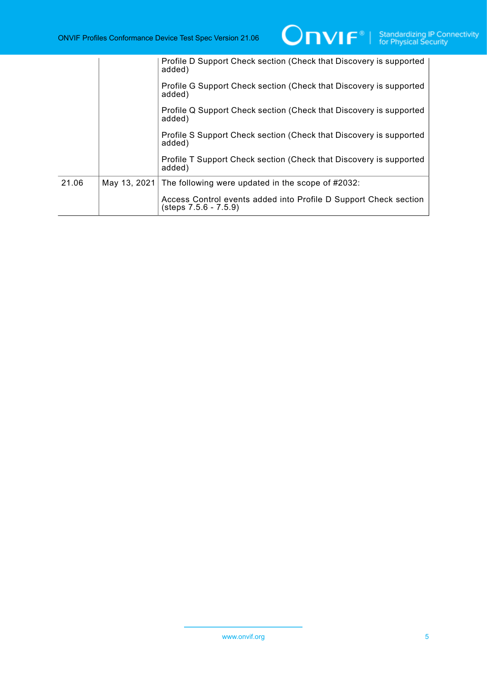|       |              | Profile D Support Check section (Check that Discovery is supported<br>added)                |
|-------|--------------|---------------------------------------------------------------------------------------------|
|       |              | Profile G Support Check section (Check that Discovery is supported<br>added)                |
|       |              | Profile Q Support Check section (Check that Discovery is supported<br>added)                |
|       |              | Profile S Support Check section (Check that Discovery is supported<br>added)                |
|       |              | Profile T Support Check section (Check that Discovery is supported<br>added)                |
| 21.06 | May 13, 2021 | The following were updated in the scope of #2032:                                           |
|       |              | Access Control events added into Profile D Support Check section<br>$(steps 7.5.6 - 7.5.9)$ |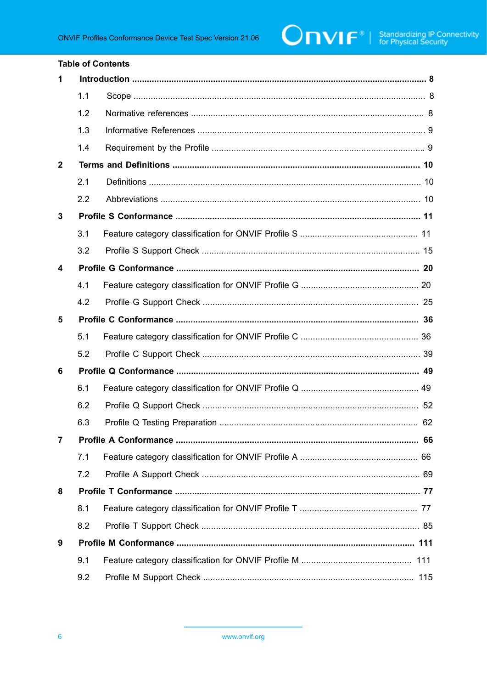#### **Table of Contents**

| 1            |     |    |
|--------------|-----|----|
|              | 1.1 |    |
|              | 1.2 |    |
|              | 1.3 |    |
|              | 1.4 |    |
| $\mathbf{2}$ |     |    |
|              | 2.1 |    |
|              | 2.2 |    |
| 3            |     |    |
|              | 3.1 |    |
|              | 3.2 |    |
| 4            |     |    |
|              | 4.1 |    |
|              | 4.2 |    |
| 5            |     |    |
|              | 5.1 |    |
|              | 5.2 |    |
| 6            |     |    |
|              | 6.1 |    |
|              | 6.2 |    |
|              | 6.3 |    |
|              |     | 66 |
|              | 7.1 |    |
|              | 7.2 |    |
| 8            |     |    |
|              | 8.1 |    |
|              | 8.2 |    |
| 9            |     |    |
|              | 9.1 |    |
|              | 9.2 |    |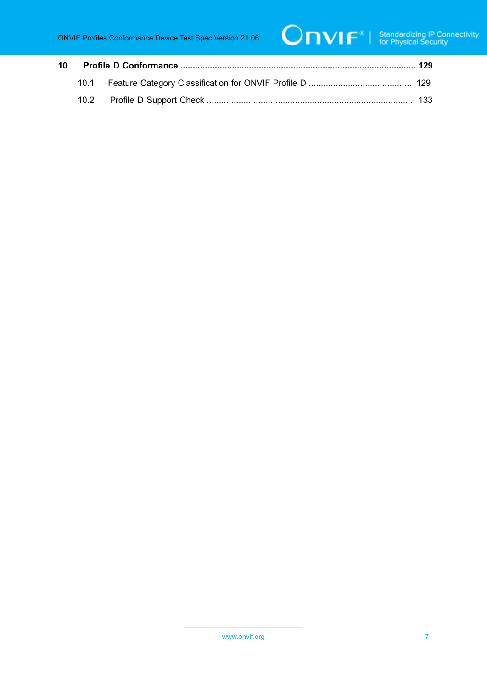| 10 |  |  |  |
|----|--|--|--|
|    |  |  |  |
|    |  |  |  |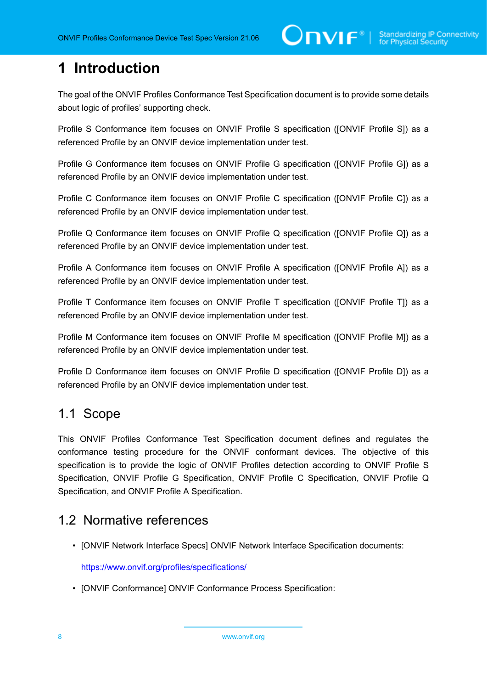## <span id="page-7-0"></span>**1 Introduction**

The goal of the ONVIF Profiles Conformance Test Specification document is to provide some details about logic of profiles' supporting check.

Profile S Conformance item focuses on ONVIF Profile S specification ([ONVIF Profile S]) as a referenced Profile by an ONVIF device implementation under test.

Profile G Conformance item focuses on ONVIF Profile G specification ([ONVIF Profile G]) as a referenced Profile by an ONVIF device implementation under test.

Profile C Conformance item focuses on ONVIF Profile C specification ([ONVIF Profile C]) as a referenced Profile by an ONVIF device implementation under test.

Profile Q Conformance item focuses on ONVIF Profile Q specification ([ONVIF Profile Q]) as a referenced Profile by an ONVIF device implementation under test.

Profile A Conformance item focuses on ONVIF Profile A specification ([ONVIF Profile A]) as a referenced Profile by an ONVIF device implementation under test.

Profile T Conformance item focuses on ONVIF Profile T specification ([ONVIF Profile T]) as a referenced Profile by an ONVIF device implementation under test.

Profile M Conformance item focuses on ONVIF Profile M specification ([ONVIF Profile M]) as a referenced Profile by an ONVIF device implementation under test.

Profile D Conformance item focuses on ONVIF Profile D specification ([ONVIF Profile D]) as a referenced Profile by an ONVIF device implementation under test.

#### <span id="page-7-1"></span>1.1 Scope

This ONVIF Profiles Conformance Test Specification document defines and regulates the conformance testing procedure for the ONVIF conformant devices. The objective of this specification is to provide the logic of ONVIF Profiles detection according to ONVIF Profile S Specification, ONVIF Profile G Specification, ONVIF Profile C Specification, ONVIF Profile Q Specification, and ONVIF Profile A Specification.

### <span id="page-7-2"></span>1.2 Normative references

• [ONVIF Network Interface Specs] ONVIF Network Interface Specification documents:

<https://www.onvif.org/profiles/specifications/>

• [ONVIF Conformance] ONVIF Conformance Process Specification: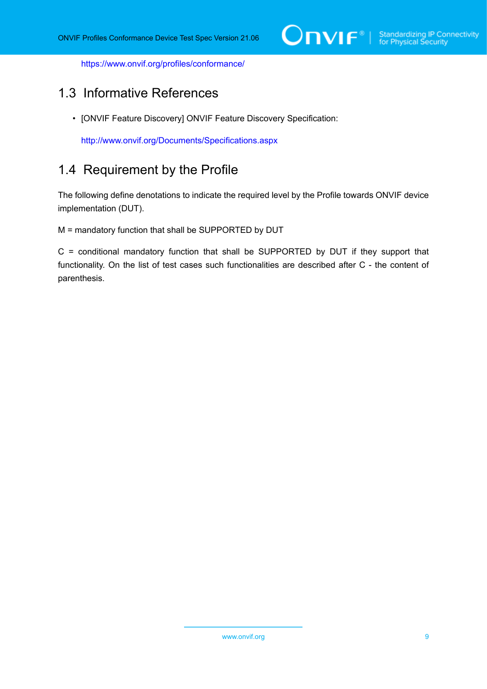<https://www.onvif.org/profiles/conformance/>

## <span id="page-8-0"></span>1.3 Informative References

• [ONVIF Feature Discovery] ONVIF Feature Discovery Specification:

<http://www.onvif.org/Documents/Specifications.aspx>

### <span id="page-8-1"></span>1.4 Requirement by the Profile

The following define denotations to indicate the required level by the Profile towards ONVIF device implementation (DUT).

M = mandatory function that shall be SUPPORTED by DUT

C = conditional mandatory function that shall be SUPPORTED by DUT if they support that functionality. On the list of test cases such functionalities are described after C - the content of parenthesis.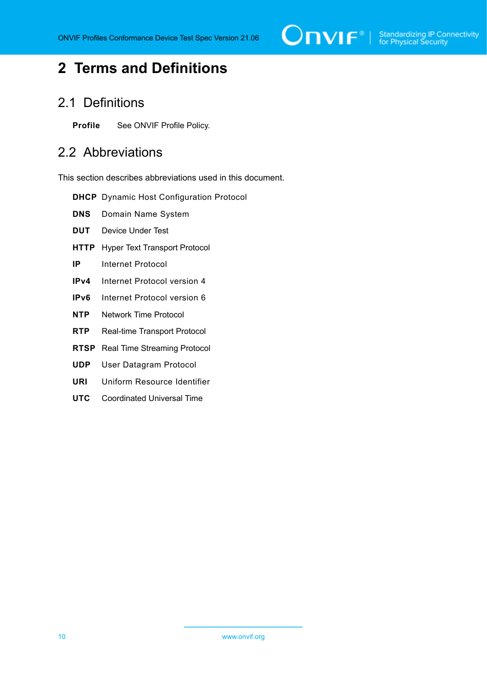

## <span id="page-9-0"></span>**2 Terms and Definitions**

### <span id="page-9-1"></span>2.1 Definitions

<span id="page-9-2"></span>**Profile** See ONVIF Profile Policy.

#### 2.2 Abbreviations

This section describes abbreviations used in this document.

- **DHCP** Dynamic Host Configuration Protocol
- **DNS** Domain Name System
- **DUT** Device Under Test
- **HTTP** Hyper Text Transport Protocol
- **IP** Internet Protocol
- **IPv4** Internet Protocol version 4
- **IPv6** Internet Protocol version 6
- **NTP** Network Time Protocol
- **RTP** Real-time Transport Protocol
- **RTSP** Real Time Streaming Protocol
- **UDP** User Datagram Protocol
- **URI** Uniform Resource Identifier
- **UTC** Coordinated Universal Time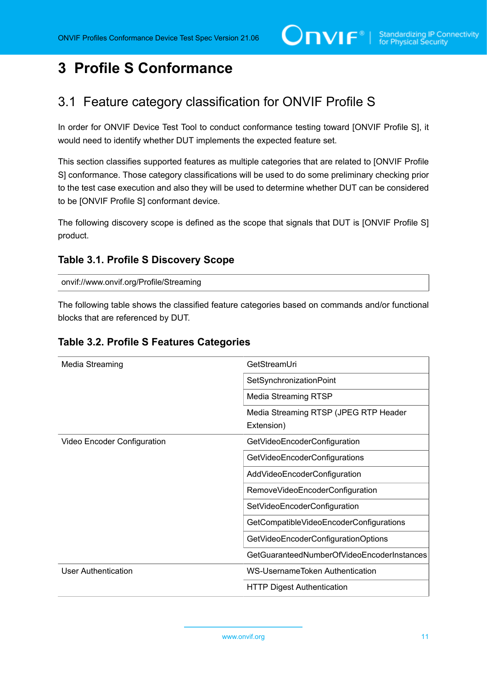## <span id="page-10-0"></span>**3 Profile S Conformance**

## <span id="page-10-1"></span>3.1 Feature category classification for ONVIF Profile S

In order for ONVIF Device Test Tool to conduct conformance testing toward [ONVIF Profile S], it would need to identify whether DUT implements the expected feature set.

This section classifies supported features as multiple categories that are related to [ONVIF Profile S] conformance. Those category classifications will be used to do some preliminary checking prior to the test case execution and also they will be used to determine whether DUT can be considered to be [ONVIF Profile S] conformant device.

The following discovery scope is defined as the scope that signals that DUT is [ONVIF Profile S] product.

#### <span id="page-10-2"></span>**Table 3.1. Profile S Discovery Scope**

onvif://www.onvif.org/Profile/Streaming

The following table shows the classified feature categories based on commands and/or functional blocks that are referenced by DUT.

| Media Streaming             | GetStreamUri                               |
|-----------------------------|--------------------------------------------|
|                             | SetSynchronizationPoint                    |
|                             | <b>Media Streaming RTSP</b>                |
|                             | Media Streaming RTSP (JPEG RTP Header      |
|                             | Extension)                                 |
| Video Encoder Configuration | GetVideoEncoderConfiguration               |
|                             | GetVideoEncoderConfigurations              |
|                             | AddVideoEncoderConfiguration               |
|                             | RemoveVideoEncoderConfiguration            |
|                             | SetVideoEncoderConfiguration               |
|                             | GetCompatibleVideoEncoderConfigurations    |
|                             | GetVideoEncoderConfigurationOptions        |
|                             | GetGuaranteedNumberOfVideoEncoderInstances |
| User Authentication         | <b>WS-UsernameToken Authentication</b>     |
|                             | <b>HTTP Digest Authentication</b>          |

#### **Table 3.2. Profile S Features Categories**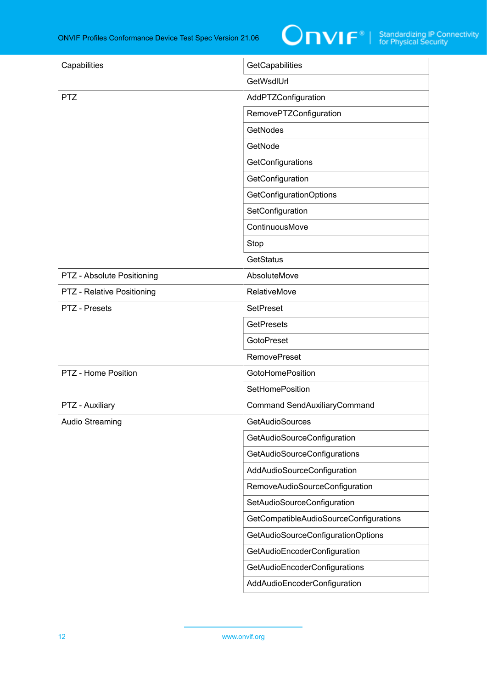

| Capabilities               | GetCapabilities                        |
|----------------------------|----------------------------------------|
|                            | GetWsdlUrl                             |
| <b>PTZ</b>                 | AddPTZConfiguration                    |
|                            | RemovePTZConfiguration                 |
|                            | <b>GetNodes</b>                        |
|                            | GetNode                                |
|                            | GetConfigurations                      |
|                            | GetConfiguration                       |
|                            | <b>GetConfigurationOptions</b>         |
|                            | SetConfiguration                       |
|                            | ContinuousMove                         |
|                            | Stop                                   |
|                            | <b>GetStatus</b>                       |
| PTZ - Absolute Positioning | AbsoluteMove                           |
| PTZ - Relative Positioning | RelativeMove                           |
| PTZ - Presets              | <b>SetPreset</b>                       |
|                            | <b>GetPresets</b>                      |
|                            | <b>GotoPreset</b>                      |
|                            | <b>RemovePreset</b>                    |
| PTZ - Home Position        | <b>GotoHomePosition</b>                |
|                            | <b>SetHomePosition</b>                 |
| PTZ - Auxiliary            | <b>Command SendAuxiliaryCommand</b>    |
| <b>Audio Streaming</b>     | GetAudioSources                        |
|                            | GetAudioSourceConfiguration            |
|                            | <b>GetAudioSourceConfigurations</b>    |
|                            | AddAudioSourceConfiguration            |
|                            | RemoveAudioSourceConfiguration         |
|                            | SetAudioSourceConfiguration            |
|                            | GetCompatibleAudioSourceConfigurations |
|                            | GetAudioSourceConfigurationOptions     |
|                            | GetAudioEncoderConfiguration           |
|                            | GetAudioEncoderConfigurations          |
|                            | AddAudioEncoderConfiguration           |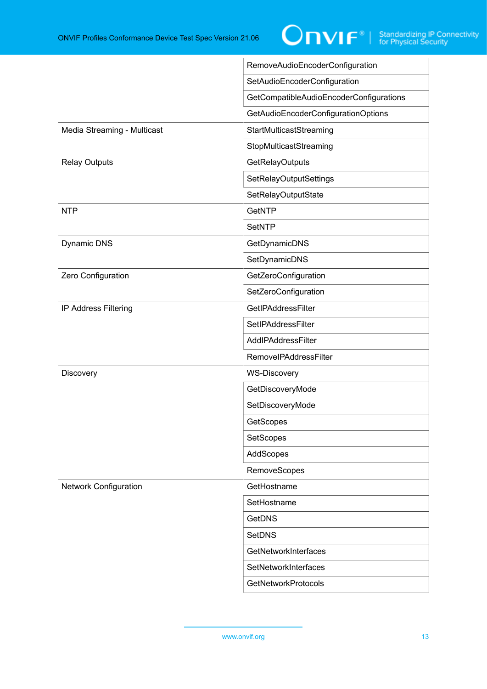|                              | RemoveAudioEncoderConfiguration         |
|------------------------------|-----------------------------------------|
|                              | SetAudioEncoderConfiguration            |
|                              | GetCompatibleAudioEncoderConfigurations |
|                              | GetAudioEncoderConfigurationOptions     |
| Media Streaming - Multicast  | StartMulticastStreaming                 |
|                              | StopMulticastStreaming                  |
| <b>Relay Outputs</b>         | <b>GetRelayOutputs</b>                  |
|                              | SetRelayOutputSettings                  |
|                              | SetRelayOutputState                     |
| <b>NTP</b>                   | <b>GetNTP</b>                           |
|                              | <b>SetNTP</b>                           |
| Dynamic DNS                  | GetDynamicDNS                           |
|                              | SetDynamicDNS                           |
| Zero Configuration           | GetZeroConfiguration                    |
|                              | SetZeroConfiguration                    |
| IP Address Filtering         | GetIPAddressFilter                      |
|                              | SetIPAddressFilter                      |
|                              | AddlPAddressFilter                      |
|                              | <b>RemovelPAddressFilter</b>            |
| Discovery                    | <b>WS-Discovery</b>                     |
|                              | GetDiscoveryMode                        |
|                              | SetDiscoveryMode                        |
|                              | GetScopes                               |
|                              | SetScopes                               |
|                              | AddScopes                               |
|                              | RemoveScopes                            |
| <b>Network Configuration</b> | GetHostname                             |
|                              | SetHostname                             |
|                              | <b>GetDNS</b>                           |
|                              | SetDNS                                  |
|                              | GetNetworkInterfaces                    |
|                              | SetNetworkInterfaces                    |
|                              | <b>GetNetworkProtocols</b>              |
|                              |                                         |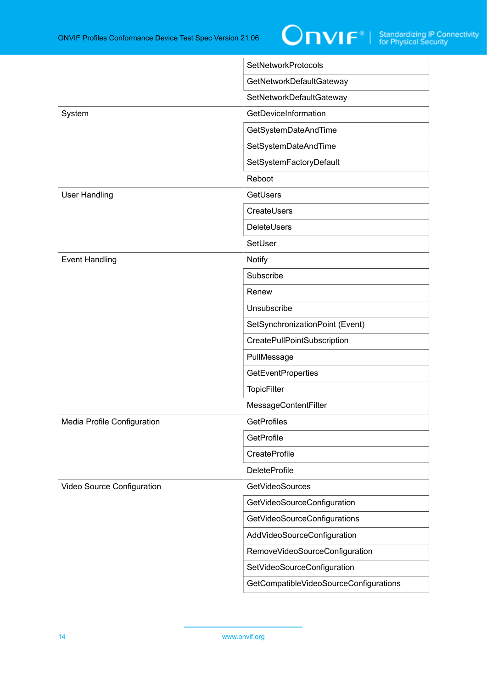

|                             | <b>SetNetworkProtocols</b>             |
|-----------------------------|----------------------------------------|
|                             | GetNetworkDefaultGateway               |
|                             | SetNetworkDefaultGateway               |
| System                      | GetDeviceInformation                   |
|                             | GetSystemDateAndTime                   |
|                             | SetSystemDateAndTime                   |
|                             | SetSystemFactoryDefault                |
|                             | Reboot                                 |
| <b>User Handling</b>        | GetUsers                               |
|                             | CreateUsers                            |
|                             | <b>DeleteUsers</b>                     |
|                             | SetUser                                |
| <b>Event Handling</b>       | <b>Notify</b>                          |
|                             | Subscribe                              |
|                             | Renew                                  |
|                             | Unsubscribe                            |
|                             | SetSynchronizationPoint (Event)        |
|                             | CreatePullPointSubscription            |
|                             | PullMessage                            |
|                             | <b>GetEventProperties</b>              |
|                             | TopicFilter                            |
|                             | MessageContentFilter                   |
| Media Profile Configuration | <b>GetProfiles</b>                     |
|                             | GetProfile                             |
|                             | CreateProfile                          |
|                             | <b>DeleteProfile</b>                   |
| Video Source Configuration  | GetVideoSources                        |
|                             | GetVideoSourceConfiguration            |
|                             | GetVideoSourceConfigurations           |
|                             | AddVideoSourceConfiguration            |
|                             | RemoveVideoSourceConfiguration         |
|                             | SetVideoSourceConfiguration            |
|                             | GetCompatibleVideoSourceConfigurations |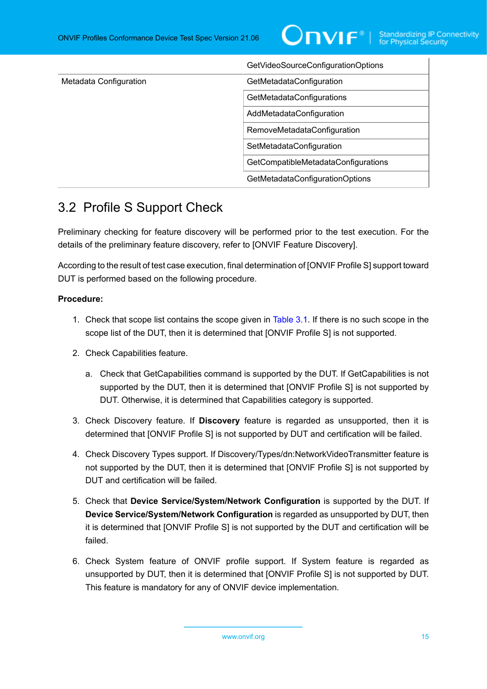

|                        | GetVideoSourceConfigurationOptions  |
|------------------------|-------------------------------------|
| Metadata Configuration | GetMetadataConfiguration            |
|                        | GetMetadataConfigurations           |
|                        | AddMetadataConfiguration            |
|                        | RemoveMetadataConfiguration         |
|                        | SetMetadataConfiguration            |
|                        | GetCompatibleMetadataConfigurations |
|                        | GetMetadataConfigurationOptions     |

## <span id="page-14-0"></span>3.2 Profile S Support Check

Preliminary checking for feature discovery will be performed prior to the test execution. For the details of the preliminary feature discovery, refer to [ONVIF Feature Discovery].

According to the result of test case execution, final determination of [ONVIF Profile S] support toward DUT is performed based on the following procedure.

#### **Procedure:**

- 1. Check that scope list contains the scope given in [Table](#page-10-2) 3.1. If there is no such scope in the scope list of the DUT, then it is determined that [ONVIF Profile S] is not supported.
- 2. Check Capabilities feature.
	- a. Check that GetCapabilities command is supported by the DUT. If GetCapabilities is not supported by the DUT, then it is determined that [ONVIF Profile S] is not supported by DUT. Otherwise, it is determined that Capabilities category is supported.
- 3. Check Discovery feature. If **Discovery** feature is regarded as unsupported, then it is determined that [ONVIF Profile S] is not supported by DUT and certification will be failed.
- 4. Check Discovery Types support. If Discovery/Types/dn:NetworkVideoTransmitter feature is not supported by the DUT, then it is determined that [ONVIF Profile S] is not supported by DUT and certification will be failed.
- 5. Check that **Device Service/System/Network Configuration** is supported by the DUT. If **Device Service/System/Network Configuration** is regarded as unsupported by DUT, then it is determined that [ONVIF Profile S] is not supported by the DUT and certification will be failed.
- 6. Check System feature of ONVIF profile support. If System feature is regarded as unsupported by DUT, then it is determined that [ONVIF Profile S] is not supported by DUT. This feature is mandatory for any of ONVIF device implementation.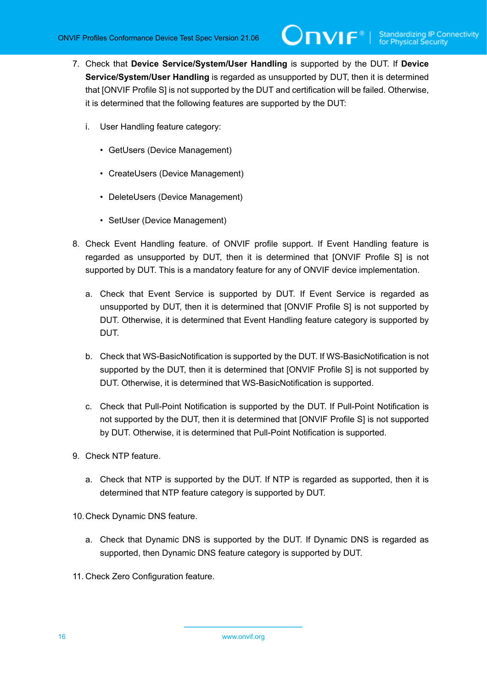- 7. Check that **Device Service/System/User Handling** is supported by the DUT. If **Device Service/System/User Handling** is regarded as unsupported by DUT, then it is determined that [ONVIF Profile S] is not supported by the DUT and certification will be failed. Otherwise, it is determined that the following features are supported by the DUT:
	- i. User Handling feature category:
		- GetUsers (Device Management)
		- CreateUsers (Device Management)
		- DeleteUsers (Device Management)
		- SetUser (Device Management)
- 8. Check Event Handling feature. of ONVIF profile support. If Event Handling feature is regarded as unsupported by DUT, then it is determined that [ONVIF Profile S] is not supported by DUT. This is a mandatory feature for any of ONVIF device implementation.
	- a. Check that Event Service is supported by DUT. If Event Service is regarded as unsupported by DUT, then it is determined that [ONVIF Profile S] is not supported by DUT. Otherwise, it is determined that Event Handling feature category is supported by DUT.
	- b. Check that WS-BasicNotification is supported by the DUT. If WS-BasicNotification is not supported by the DUT, then it is determined that [ONVIF Profile S] is not supported by DUT. Otherwise, it is determined that WS-BasicNotification is supported.
	- c. Check that Pull-Point Notification is supported by the DUT. If Pull-Point Notification is not supported by the DUT, then it is determined that [ONVIF Profile S] is not supported by DUT. Otherwise, it is determined that Pull-Point Notification is supported.
- 9. Check NTP feature.
	- a. Check that NTP is supported by the DUT. If NTP is regarded as supported, then it is determined that NTP feature category is supported by DUT.

10.Check Dynamic DNS feature.

- a. Check that Dynamic DNS is supported by the DUT. If Dynamic DNS is regarded as supported, then Dynamic DNS feature category is supported by DUT.
- 11. Check Zero Configuration feature.

16 www.onvif.org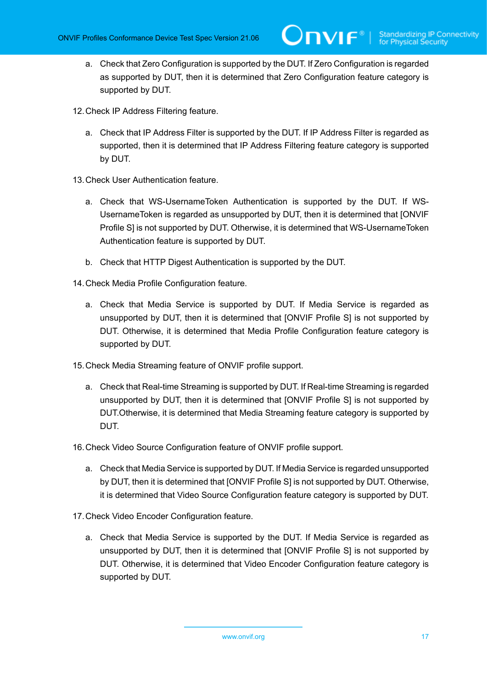- a. Check that Zero Configuration is supported by the DUT. If Zero Configuration is regarded as supported by DUT, then it is determined that Zero Configuration feature category is supported by DUT.
- 12.Check IP Address Filtering feature.
	- a. Check that IP Address Filter is supported by the DUT. If IP Address Filter is regarded as supported, then it is determined that IP Address Filtering feature category is supported by DUT.
- 13.Check User Authentication feature.
	- a. Check that WS-UsernameToken Authentication is supported by the DUT. If WS-UsernameToken is regarded as unsupported by DUT, then it is determined that [ONVIF Profile S] is not supported by DUT. Otherwise, it is determined that WS-UsernameToken Authentication feature is supported by DUT.
	- b. Check that HTTP Digest Authentication is supported by the DUT.
- 14.Check Media Profile Configuration feature.
	- a. Check that Media Service is supported by DUT. If Media Service is regarded as unsupported by DUT, then it is determined that [ONVIF Profile S] is not supported by DUT. Otherwise, it is determined that Media Profile Configuration feature category is supported by DUT.
- 15.Check Media Streaming feature of ONVIF profile support.
	- a. Check that Real-time Streaming is supported by DUT. If Real-time Streaming is regarded unsupported by DUT, then it is determined that [ONVIF Profile S] is not supported by DUT.Otherwise, it is determined that Media Streaming feature category is supported by DUT.
- 16.Check Video Source Configuration feature of ONVIF profile support.
	- a. Check that Media Service is supported by DUT. If Media Service is regarded unsupported by DUT, then it is determined that  $IONVIF$  Profile SI is not supported by DUT. Otherwise, it is determined that Video Source Configuration feature category is supported by DUT.
- 17.Check Video Encoder Configuration feature.
	- a. Check that Media Service is supported by the DUT. If Media Service is regarded as unsupported by DUT, then it is determined that [ONVIF Profile S] is not supported by DUT. Otherwise, it is determined that Video Encoder Configuration feature category is supported by DUT.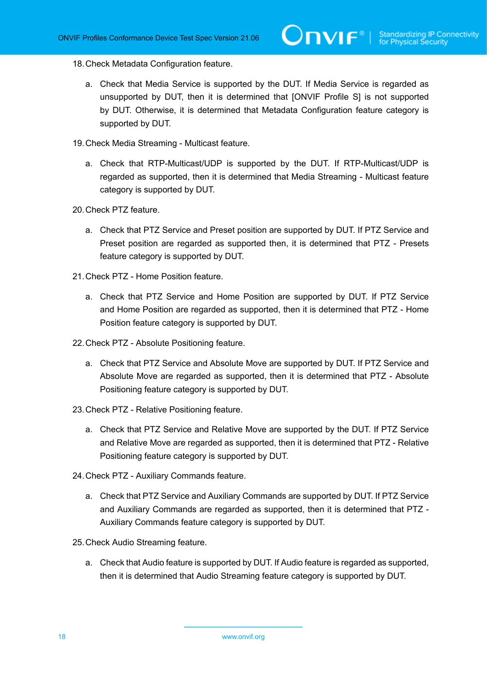- 18.Check Metadata Configuration feature.
	- a. Check that Media Service is supported by the DUT. If Media Service is regarded as unsupported by DUT, then it is determined that [ONVIF Profile S] is not supported by DUT. Otherwise, it is determined that Metadata Configuration feature category is supported by DUT.
- 19.Check Media Streaming Multicast feature.
	- a. Check that RTP-Multicast/UDP is supported by the DUT. If RTP-Multicast/UDP is regarded as supported, then it is determined that Media Streaming - Multicast feature category is supported by DUT.
- 20.Check PTZ feature.
	- a. Check that PTZ Service and Preset position are supported by DUT. If PTZ Service and Preset position are regarded as supported then, it is determined that PTZ - Presets feature category is supported by DUT.
- 21.Check PTZ Home Position feature.
	- a. Check that PTZ Service and Home Position are supported by DUT. If PTZ Service and Home Position are regarded as supported, then it is determined that PTZ - Home Position feature category is supported by DUT.
- 22.Check PTZ Absolute Positioning feature.
	- a. Check that PTZ Service and Absolute Move are supported by DUT. If PTZ Service and Absolute Move are regarded as supported, then it is determined that PTZ - Absolute Positioning feature category is supported by DUT.
- 23.Check PTZ Relative Positioning feature.
	- a. Check that PTZ Service and Relative Move are supported by the DUT. If PTZ Service and Relative Move are regarded as supported, then it is determined that PTZ - Relative Positioning feature category is supported by DUT.
- 24.Check PTZ Auxiliary Commands feature.
	- a. Check that PTZ Service and Auxiliary Commands are supported by DUT. If PTZ Service and Auxiliary Commands are regarded as supported, then it is determined that PTZ - Auxiliary Commands feature category is supported by DUT.
- 25.Check Audio Streaming feature.
	- a. Check that Audio feature is supported by DUT. If Audio feature is regarded as supported, then it is determined that Audio Streaming feature category is supported by DUT.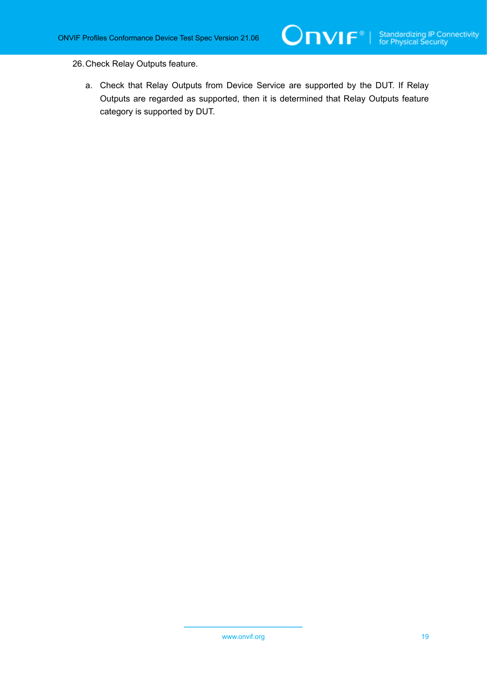26.Check Relay Outputs feature.

a. Check that Relay Outputs from Device Service are supported by the DUT. If Relay Outputs are regarded as supported, then it is determined that Relay Outputs feature category is supported by DUT.

O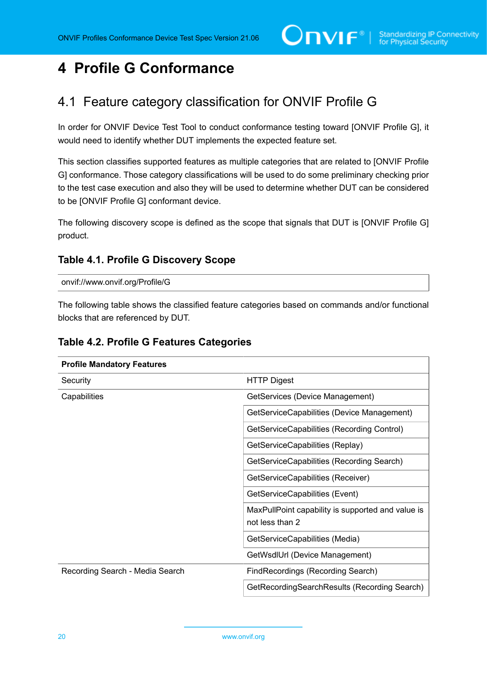## <span id="page-19-0"></span>**4 Profile G Conformance**

## <span id="page-19-1"></span>4.1 Feature category classification for ONVIF Profile G

In order for ONVIF Device Test Tool to conduct conformance testing toward [ONVIF Profile G], it would need to identify whether DUT implements the expected feature set.

This section classifies supported features as multiple categories that are related to [ONVIF Profile G] conformance. Those category classifications will be used to do some preliminary checking prior to the test case execution and also they will be used to determine whether DUT can be considered to be [ONVIF Profile G] conformant device.

The following discovery scope is defined as the scope that signals that DUT is [ONVIF Profile G] product.

#### **Table 4.1. Profile G Discovery Scope**

onvif://www.onvif.org/Profile/G

The following table shows the classified feature categories based on commands and/or functional blocks that are referenced by DUT.

| <b>Profile Mandatory Features</b> |                                                                      |  |
|-----------------------------------|----------------------------------------------------------------------|--|
| Security                          | <b>HTTP Digest</b>                                                   |  |
| Capabilities                      | GetServices (Device Management)                                      |  |
|                                   | GetServiceCapabilities (Device Management)                           |  |
|                                   | GetServiceCapabilities (Recording Control)                           |  |
|                                   | GetServiceCapabilities (Replay)                                      |  |
|                                   | GetServiceCapabilities (Recording Search)                            |  |
|                                   | GetServiceCapabilities (Receiver)                                    |  |
|                                   | GetServiceCapabilities (Event)                                       |  |
|                                   | MaxPullPoint capability is supported and value is<br>not less than 2 |  |
|                                   | GetServiceCapabilities (Media)                                       |  |
|                                   | GetWsdIUrl (Device Management)                                       |  |
| Recording Search - Media Search   | FindRecordings (Recording Search)                                    |  |
|                                   | GetRecordingSearchResults (Recording Search)                         |  |

#### <span id="page-19-2"></span>**Table 4.2. Profile G Features Categories**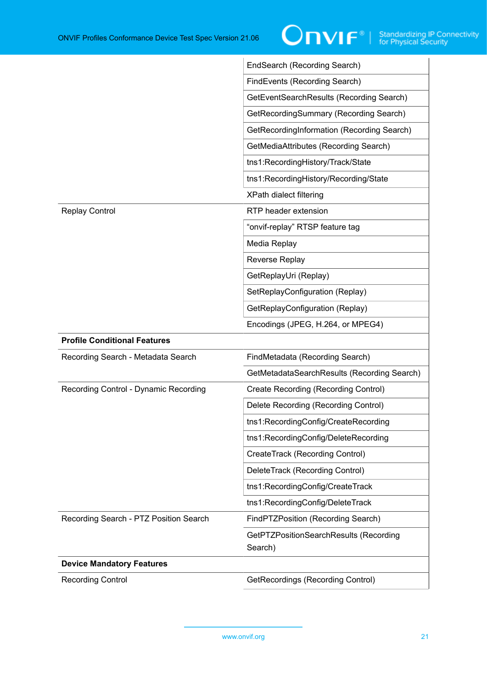|                                        | EndSearch (Recording Search)                      |
|----------------------------------------|---------------------------------------------------|
|                                        | FindEvents (Recording Search)                     |
|                                        | GetEventSearchResults (Recording Search)          |
|                                        | GetRecordingSummary (Recording Search)            |
|                                        | GetRecordingInformation (Recording Search)        |
|                                        | GetMediaAttributes (Recording Search)             |
|                                        | tns1:RecordingHistory/Track/State                 |
|                                        | tns1:RecordingHistory/Recording/State             |
|                                        | XPath dialect filtering                           |
| <b>Replay Control</b>                  | RTP header extension                              |
|                                        | "onvif-replay" RTSP feature tag                   |
|                                        | Media Replay                                      |
|                                        | Reverse Replay                                    |
|                                        | GetReplayUri (Replay)                             |
|                                        | SetReplayConfiguration (Replay)                   |
|                                        | GetReplayConfiguration (Replay)                   |
|                                        | Encodings (JPEG, H.264, or MPEG4)                 |
| <b>Profile Conditional Features</b>    |                                                   |
| Recording Search - Metadata Search     | FindMetadata (Recording Search)                   |
|                                        | GetMetadataSearchResults (Recording Search)       |
| Recording Control - Dynamic Recording  | Create Recording (Recording Control)              |
|                                        | Delete Recording (Recording Control)              |
|                                        | tns1:RecordingConfig/CreateRecording              |
|                                        | tns1:RecordingConfig/DeleteRecording              |
|                                        | CreateTrack (Recording Control)                   |
|                                        | DeleteTrack (Recording Control)                   |
|                                        | tns1:RecordingConfig/CreateTrack                  |
|                                        | tns1:RecordingConfig/DeleteTrack                  |
| Recording Search - PTZ Position Search | FindPTZPosition (Recording Search)                |
|                                        | GetPTZPositionSearchResults (Recording<br>Search) |
| <b>Device Mandatory Features</b>       |                                                   |
| <b>Recording Control</b>               | <b>GetRecordings (Recording Control)</b>          |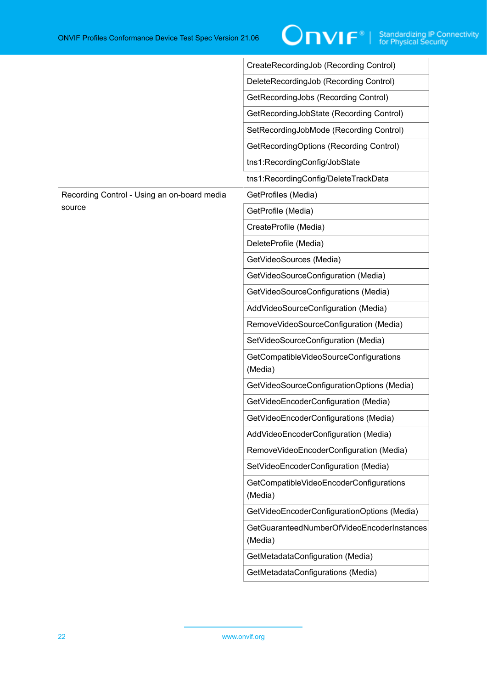|                                             | CreateRecordingJob (Recording Control)                |
|---------------------------------------------|-------------------------------------------------------|
|                                             | DeleteRecordingJob (Recording Control)                |
|                                             | GetRecordingJobs (Recording Control)                  |
|                                             | GetRecordingJobState (Recording Control)              |
|                                             | SetRecordingJobMode (Recording Control)               |
|                                             | GetRecordingOptions (Recording Control)               |
|                                             | tns1:RecordingConfig/JobState                         |
|                                             | tns1:RecordingConfig/DeleteTrackData                  |
| Recording Control - Using an on-board media | GetProfiles (Media)                                   |
| source                                      | GetProfile (Media)                                    |
|                                             | CreateProfile (Media)                                 |
|                                             | DeleteProfile (Media)                                 |
|                                             | GetVideoSources (Media)                               |
|                                             | GetVideoSourceConfiguration (Media)                   |
|                                             | GetVideoSourceConfigurations (Media)                  |
|                                             | AddVideoSourceConfiguration (Media)                   |
|                                             | RemoveVideoSourceConfiguration (Media)                |
|                                             | SetVideoSourceConfiguration (Media)                   |
|                                             | GetCompatibleVideoSourceConfigurations<br>(Media)     |
|                                             | GetVideoSourceConfigurationOptions (Media)            |
|                                             | GetVideoEncoderConfiguration (Media)                  |
|                                             | GetVideoEncoderConfigurations (Media)                 |
|                                             | AddVideoEncoderConfiguration (Media)                  |
|                                             | RemoveVideoEncoderConfiguration (Media)               |
|                                             | SetVideoEncoderConfiguration (Media)                  |
|                                             | GetCompatibleVideoEncoderConfigurations<br>(Media)    |
|                                             | GetVideoEncoderConfigurationOptions (Media)           |
|                                             | GetGuaranteedNumberOfVideoEncoderInstances<br>(Media) |
|                                             | GetMetadataConfiguration (Media)                      |
|                                             | GetMetadataConfigurations (Media)                     |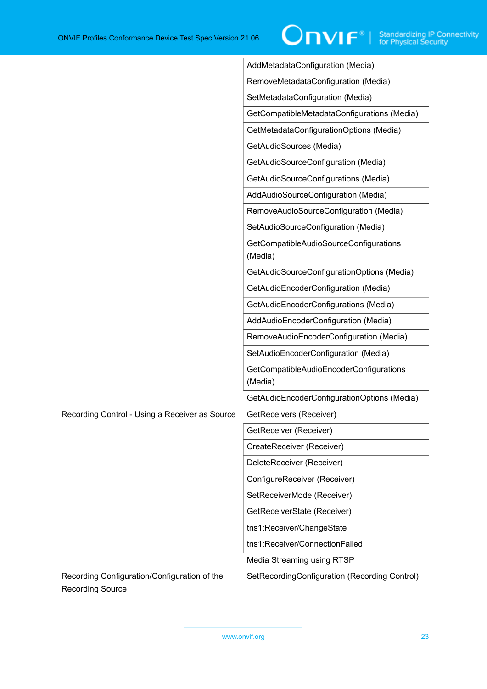|                                                                         | AddMetadataConfiguration (Media)                   |
|-------------------------------------------------------------------------|----------------------------------------------------|
|                                                                         | RemoveMetadataConfiguration (Media)                |
|                                                                         | SetMetadataConfiguration (Media)                   |
|                                                                         | GetCompatibleMetadataConfigurations (Media)        |
|                                                                         | GetMetadataConfigurationOptions (Media)            |
|                                                                         | GetAudioSources (Media)                            |
|                                                                         | GetAudioSourceConfiguration (Media)                |
|                                                                         | GetAudioSourceConfigurations (Media)               |
|                                                                         | AddAudioSourceConfiguration (Media)                |
|                                                                         | RemoveAudioSourceConfiguration (Media)             |
|                                                                         | SetAudioSourceConfiguration (Media)                |
|                                                                         | GetCompatibleAudioSourceConfigurations<br>(Media)  |
|                                                                         | GetAudioSourceConfigurationOptions (Media)         |
|                                                                         | GetAudioEncoderConfiguration (Media)               |
|                                                                         | GetAudioEncoderConfigurations (Media)              |
|                                                                         | AddAudioEncoderConfiguration (Media)               |
|                                                                         | RemoveAudioEncoderConfiguration (Media)            |
|                                                                         | SetAudioEncoderConfiguration (Media)               |
|                                                                         | GetCompatibleAudioEncoderConfigurations<br>(Media) |
|                                                                         | GetAudioEncoderConfigurationOptions (Media)        |
| Recording Control - Using a Receiver as Source                          | GetReceivers (Receiver)                            |
|                                                                         | GetReceiver (Receiver)                             |
|                                                                         | CreateReceiver (Receiver)                          |
|                                                                         | DeleteReceiver (Receiver)                          |
|                                                                         | ConfigureReceiver (Receiver)                       |
|                                                                         | SetReceiverMode (Receiver)                         |
|                                                                         | GetReceiverState (Receiver)                        |
|                                                                         | tns1:Receiver/ChangeState                          |
|                                                                         | tns1:Receiver/ConnectionFailed                     |
|                                                                         | Media Streaming using RTSP                         |
| Recording Configuration/Configuration of the<br><b>Recording Source</b> | SetRecordingConfiguration (Recording Control)      |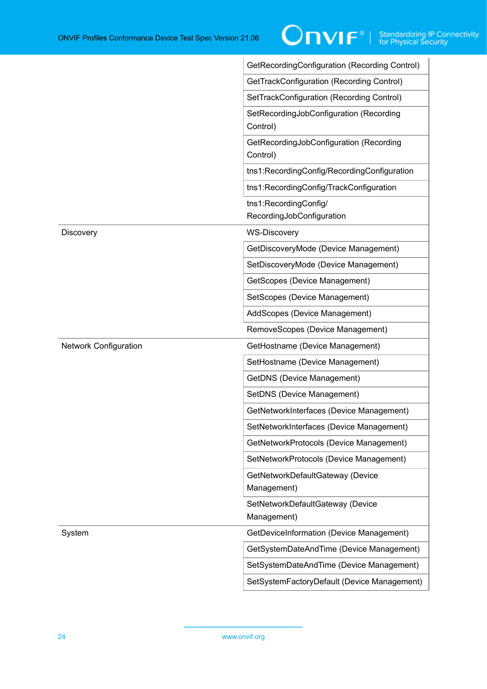|                              | GetRecordingConfiguration (Recording Control)       |
|------------------------------|-----------------------------------------------------|
|                              | GetTrackConfiguration (Recording Control)           |
|                              | SetTrackConfiguration (Recording Control)           |
|                              | SetRecordingJobConfiguration (Recording<br>Control) |
|                              | GetRecordingJobConfiguration (Recording<br>Control) |
|                              | tns1:RecordingConfig/RecordingConfiguration         |
|                              | tns1:RecordingConfig/TrackConfiguration             |
|                              | tns1:RecordingConfig/<br>RecordingJobConfiguration  |
| <b>Discovery</b>             | <b>WS-Discovery</b>                                 |
|                              | GetDiscoveryMode (Device Management)                |
|                              | SetDiscoveryMode (Device Management)                |
|                              | GetScopes (Device Management)                       |
|                              | SetScopes (Device Management)                       |
|                              | AddScopes (Device Management)                       |
|                              | RemoveScopes (Device Management)                    |
| <b>Network Configuration</b> | GetHostname (Device Management)                     |
|                              | SetHostname (Device Management)                     |
|                              | <b>GetDNS (Device Management)</b>                   |
|                              | SetDNS (Device Management)                          |
|                              | GetNetworkInterfaces (Device Management)            |
|                              | SetNetworkInterfaces (Device Management)            |
|                              | GetNetworkProtocols (Device Management)             |
|                              | SetNetworkProtocols (Device Management)             |
|                              | GetNetworkDefaultGateway (Device<br>Management)     |
|                              | SetNetworkDefaultGateway (Device<br>Management)     |
| System                       | GetDeviceInformation (Device Management)            |
|                              | GetSystemDateAndTime (Device Management)            |
|                              | SetSystemDateAndTime (Device Management)            |
|                              | SetSystemFactoryDefault (Device Management)         |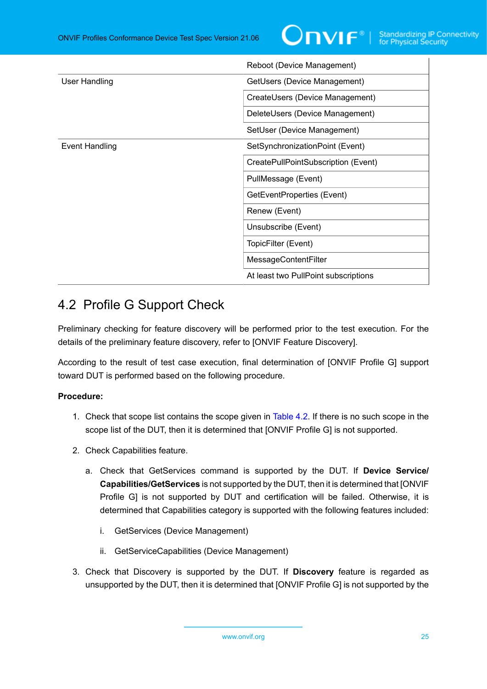

|                       | Reboot (Device Management)           |
|-----------------------|--------------------------------------|
| User Handling         | GetUsers (Device Management)         |
|                       | CreateUsers (Device Management)      |
|                       | DeleteUsers (Device Management)      |
|                       | SetUser (Device Management)          |
| <b>Event Handling</b> | SetSynchronizationPoint (Event)      |
|                       | CreatePullPointSubscription (Event)  |
|                       | PullMessage (Event)                  |
|                       | GetEventProperties (Event)           |
|                       | Renew (Event)                        |
|                       | Unsubscribe (Event)                  |
|                       | TopicFilter (Event)                  |
|                       | <b>MessageContentFilter</b>          |
|                       | At least two PullPoint subscriptions |

## <span id="page-24-0"></span>4.2 Profile G Support Check

Preliminary checking for feature discovery will be performed prior to the test execution. For the details of the preliminary feature discovery, refer to [ONVIF Feature Discovery].

According to the result of test case execution, final determination of [ONVIF Profile G] support toward DUT is performed based on the following procedure.

#### **Procedure:**

- 1. Check that scope list contains the scope given in [Table](#page-19-2) 4.2. If there is no such scope in the scope list of the DUT, then it is determined that [ONVIF Profile G] is not supported.
- 2. Check Capabilities feature.
	- a. Check that GetServices command is supported by the DUT. If **Device Service/ Capabilities/GetServices** is not supported by the DUT, then it is determined that [ONVIF Profile G] is not supported by DUT and certification will be failed. Otherwise, it is determined that Capabilities category is supported with the following features included:
		- i. GetServices (Device Management)
		- ii. GetServiceCapabilities (Device Management)
- 3. Check that Discovery is supported by the DUT. If **Discovery** feature is regarded as unsupported by the DUT, then it is determined that [ONVIF Profile G] is not supported by the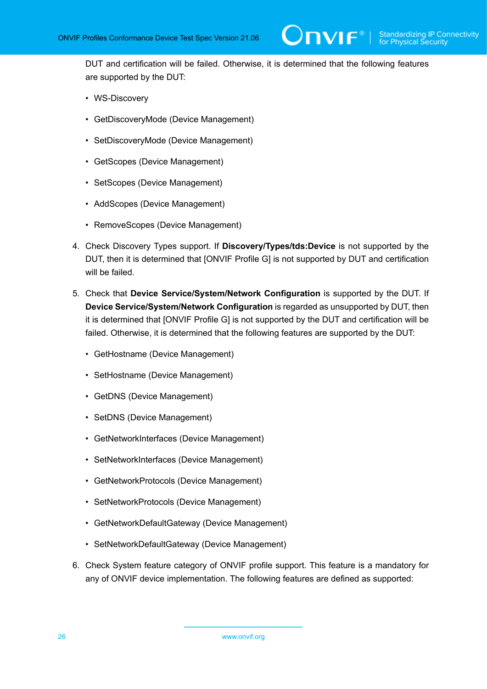DUT and certification will be failed. Otherwise, it is determined that the following features are supported by the DUT:

- WS-Discovery
- GetDiscoveryMode (Device Management)
- SetDiscoveryMode (Device Management)
- GetScopes (Device Management)
- SetScopes (Device Management)
- AddScopes (Device Management)
- RemoveScopes (Device Management)
- 4. Check Discovery Types support. If **Discovery/Types/tds:Device** is not supported by the DUT, then it is determined that [ONVIF Profile G] is not supported by DUT and certification will be failed.
- 5. Check that **Device Service/System/Network Configuration** is supported by the DUT. If **Device Service/System/Network Configuration** is regarded as unsupported by DUT, then it is determined that [ONVIF Profile G] is not supported by the DUT and certification will be failed. Otherwise, it is determined that the following features are supported by the DUT:
	- GetHostname (Device Management)
	- SetHostname (Device Management)
	- GetDNS (Device Management)
	- SetDNS (Device Management)
	- GetNetworkInterfaces (Device Management)
	- SetNetworkInterfaces (Device Management)
	- GetNetworkProtocols (Device Management)
	- SetNetworkProtocols (Device Management)
	- GetNetworkDefaultGateway (Device Management)
	- SetNetworkDefaultGateway (Device Management)
- 6. Check System feature category of ONVIF profile support. This feature is a mandatory for any of ONVIF device implementation. The following features are defined as supported: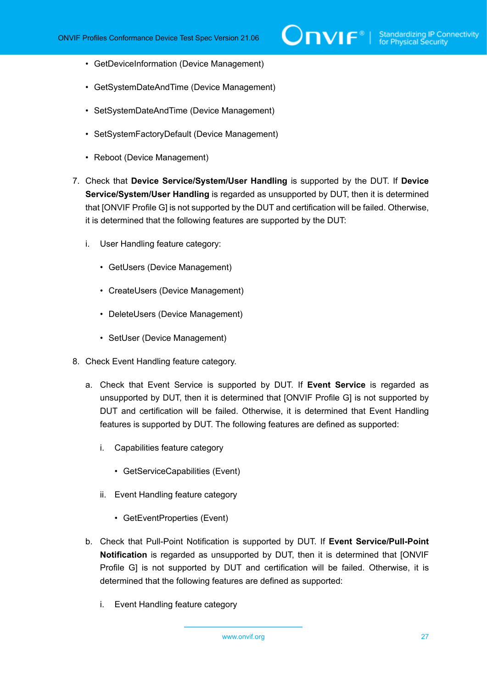- GetDeviceInformation (Device Management)
- GetSystemDateAndTime (Device Management)
- SetSystemDateAndTime (Device Management)
- SetSystemFactoryDefault (Device Management)
- Reboot (Device Management)
- 7. Check that **Device Service/System/User Handling** is supported by the DUT. If **Device Service/System/User Handling** is regarded as unsupported by DUT, then it is determined that [ONVIF Profile G] is not supported by the DUT and certification will be failed. Otherwise, it is determined that the following features are supported by the DUT:
	- i. User Handling feature category:
		- GetUsers (Device Management)
		- CreateUsers (Device Management)
		- DeleteUsers (Device Management)
		- SetUser (Device Management)
- 8. Check Event Handling feature category.
	- a. Check that Event Service is supported by DUT. If **Event Service** is regarded as unsupported by DUT, then it is determined that [ONVIF Profile G] is not supported by DUT and certification will be failed. Otherwise, it is determined that Event Handling features is supported by DUT. The following features are defined as supported:
		- i. Capabilities feature category
			- GetServiceCapabilities (Event)
		- ii. Event Handling feature category
			- GetEventProperties (Event)
	- b. Check that Pull-Point Notification is supported by DUT. If **Event Service/Pull-Point Notification** is regarded as unsupported by DUT, then it is determined that [ONVIF Profile G] is not supported by DUT and certification will be failed. Otherwise, it is determined that the following features are defined as supported:
		- i. Event Handling feature category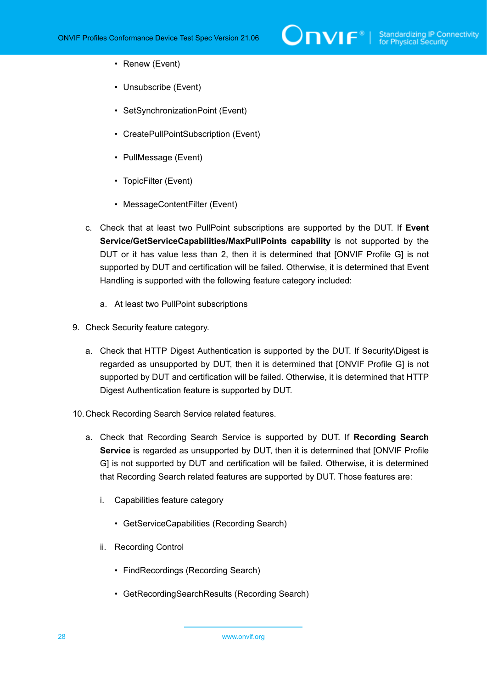- Renew (Event)
- Unsubscribe (Event)
- SetSynchronizationPoint (Event)
- CreatePullPointSubscription (Event)
- PullMessage (Event)
- TopicFilter (Event)
- MessageContentFilter (Event)
- c. Check that at least two PullPoint subscriptions are supported by the DUT. If **Event Service/GetServiceCapabilities/MaxPullPoints capability** is not supported by the DUT or it has value less than 2, then it is determined that [ONVIF Profile G] is not supported by DUT and certification will be failed. Otherwise, it is determined that Event Handling is supported with the following feature category included:
	- a. At least two PullPoint subscriptions
- 9. Check Security feature category.
	- a. Check that HTTP Digest Authentication is supported by the DUT. If Security\Digest is regarded as unsupported by DUT, then it is determined that [ONVIF Profile G] is not supported by DUT and certification will be failed. Otherwise, it is determined that HTTP Digest Authentication feature is supported by DUT.
- 10.Check Recording Search Service related features.
	- a. Check that Recording Search Service is supported by DUT. If **Recording Search Service** is regarded as unsupported by DUT, then it is determined that [ONVIF Profile G] is not supported by DUT and certification will be failed. Otherwise, it is determined that Recording Search related features are supported by DUT. Those features are:
		- i. Capabilities feature category
			- GetServiceCapabilities (Recording Search)
		- ii. Recording Control
			- FindRecordings (Recording Search)
			- GetRecordingSearchResults (Recording Search)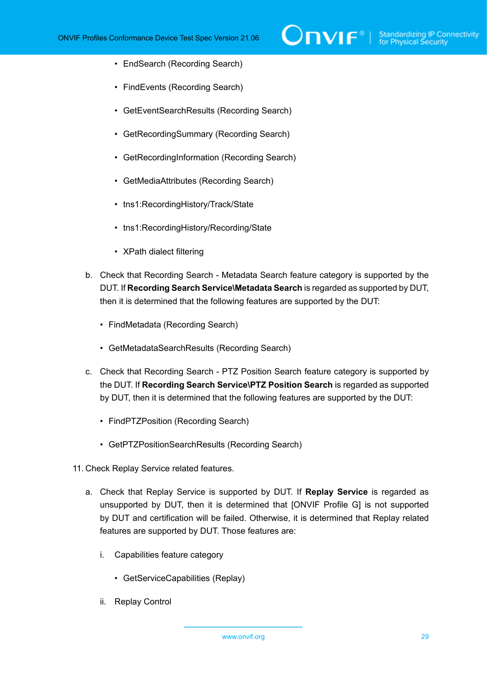- EndSearch (Recording Search)
- FindEvents (Recording Search)
- GetEventSearchResults (Recording Search)
- GetRecordingSummary (Recording Search)
- GetRecordingInformation (Recording Search)
- GetMediaAttributes (Recording Search)
- tns1:RecordingHistory/Track/State
- tns1:RecordingHistory/Recording/State
- XPath dialect filtering
- b. Check that Recording Search Metadata Search feature category is supported by the DUT. If **Recording Search Service\Metadata Search** is regarded as supported by DUT, then it is determined that the following features are supported by the DUT:
	- FindMetadata (Recording Search)
	- GetMetadataSearchResults (Recording Search)
- c. Check that Recording Search PTZ Position Search feature category is supported by the DUT. If **Recording Search Service\PTZ Position Search** is regarded as supported by DUT, then it is determined that the following features are supported by the DUT:
	- FindPTZPosition (Recording Search)
	- GetPTZPositionSearchResults (Recording Search)
- 11. Check Replay Service related features.
	- a. Check that Replay Service is supported by DUT. If **Replay Service** is regarded as unsupported by DUT, then it is determined that [ONVIF Profile G] is not supported by DUT and certification will be failed. Otherwise, it is determined that Replay related features are supported by DUT. Those features are:
		- i. Capabilities feature category
			- GetServiceCapabilities (Replay)
		- ii. Replay Control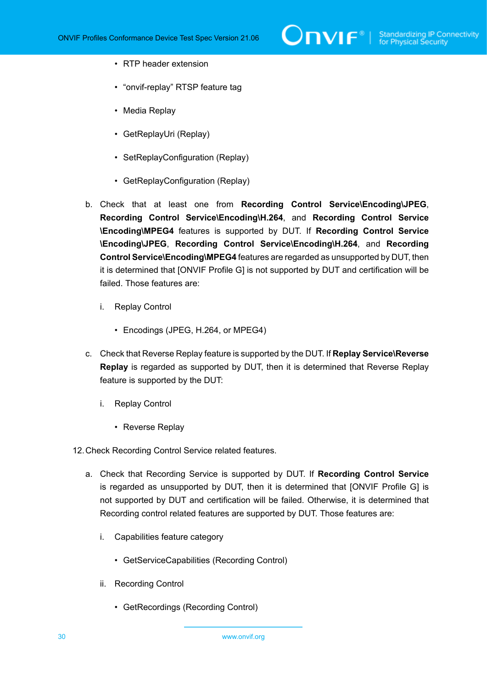- RTP header extension
- "onvif-replay" RTSP feature tag
- Media Replay
- GetReplayUri (Replay)
- SetReplayConfiguration (Replay)
- GetReplayConfiguration (Replay)
- b. Check that at least one from **Recording Control Service\Encoding\JPEG**, **Recording Control Service\Encoding\H.264**, and **Recording Control Service \Encoding\MPEG4** features is supported by DUT. If **Recording Control Service \Encoding\JPEG**, **Recording Control Service\Encoding\H.264**, and **Recording Control Service\Encoding\MPEG4** features are regarded as unsupported by DUT, then it is determined that [ONVIF Profile G] is not supported by DUT and certification will be failed. Those features are:
	- i. Replay Control
		- Encodings (JPEG, H.264, or MPEG4)
- c. Check that Reverse Replay feature is supported by the DUT. If **Replay Service\Reverse Replay** is regarded as supported by DUT, then it is determined that Reverse Replay feature is supported by the DUT:
	- i. Replay Control
		- Reverse Replay
- 12.Check Recording Control Service related features.
	- a. Check that Recording Service is supported by DUT. If **Recording Control Service** is regarded as unsupported by DUT, then it is determined that [ONVIF Profile G] is not supported by DUT and certification will be failed. Otherwise, it is determined that Recording control related features are supported by DUT. Those features are:
		- i. Capabilities feature category
			- GetServiceCapabilities (Recording Control)
		- ii. Recording Control
			- GetRecordings (Recording Control)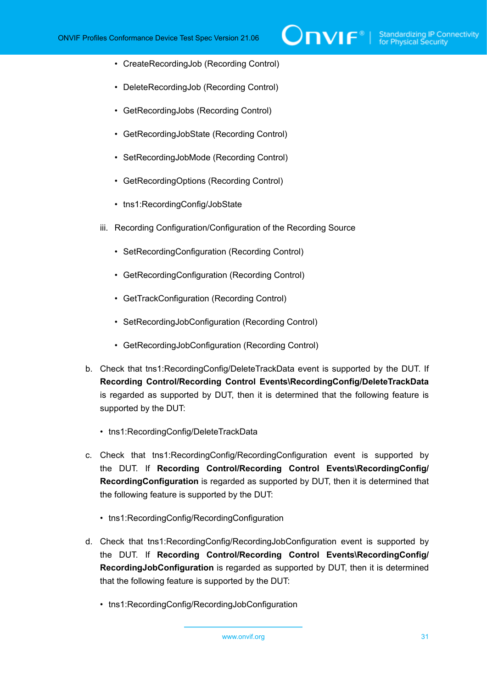- CreateRecordingJob (Recording Control)
- DeleteRecordingJob (Recording Control)
- GetRecordingJobs (Recording Control)
- GetRecordingJobState (Recording Control)
- SetRecordingJobMode (Recording Control)
- GetRecordingOptions (Recording Control)
- tns1:RecordingConfig/JobState
- iii. Recording Configuration/Configuration of the Recording Source
	- SetRecordingConfiguration (Recording Control)
	- GetRecordingConfiguration (Recording Control)
	- GetTrackConfiguration (Recording Control)
	- SetRecordingJobConfiguration (Recording Control)
	- GetRecordingJobConfiguration (Recording Control)
- b. Check that tns1:RecordingConfig/DeleteTrackData event is supported by the DUT. If **Recording Control/Recording Control Events\RecordingConfig/DeleteTrackData** is regarded as supported by DUT, then it is determined that the following feature is supported by the DUT:
	- tns1:RecordingConfig/DeleteTrackData
- c. Check that tns1:RecordingConfig/RecordingConfiguration event is supported by the DUT. If **Recording Control/Recording Control Events\RecordingConfig/ RecordingConfiguration** is regarded as supported by DUT, then it is determined that the following feature is supported by the DUT:
	- tns1:RecordingConfig/RecordingConfiguration
- d. Check that tns1:RecordingConfig/RecordingJobConfiguration event is supported by the DUT. If **Recording Control/Recording Control Events\RecordingConfig/ RecordingJobConfiguration** is regarded as supported by DUT, then it is determined that the following feature is supported by the DUT:
	- tns1:RecordingConfig/RecordingJobConfiguration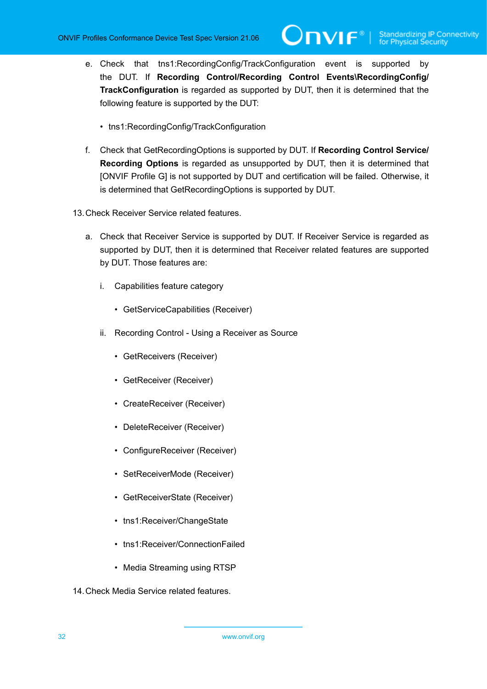- e. Check that tns1:RecordingConfig/TrackConfiguration event is supported by the DUT. If **Recording Control/Recording Control Events\RecordingConfig/ TrackConfiguration** is regarded as supported by DUT, then it is determined that the following feature is supported by the DUT:
	- tns1:RecordingConfig/TrackConfiguration
- f. Check that GetRecordingOptions is supported by DUT. If **Recording Control Service/ Recording Options** is regarded as unsupported by DUT, then it is determined that [ONVIF Profile G] is not supported by DUT and certification will be failed. Otherwise, it is determined that GetRecordingOptions is supported by DUT.
- 13.Check Receiver Service related features.
	- a. Check that Receiver Service is supported by DUT. If Receiver Service is regarded as supported by DUT, then it is determined that Receiver related features are supported by DUT. Those features are:
		- i. Capabilities feature category
			- GetServiceCapabilities (Receiver)
		- ii. Recording Control Using a Receiver as Source
			- GetReceivers (Receiver)
			- GetReceiver (Receiver)
			- CreateReceiver (Receiver)
			- DeleteReceiver (Receiver)
			- ConfigureReceiver (Receiver)
			- SetReceiverMode (Receiver)
			- GetReceiverState (Receiver)
			- tns1:Receiver/ChangeState
			- tns1:Receiver/ConnectionFailed
			- Media Streaming using RTSP
- 14.Check Media Service related features.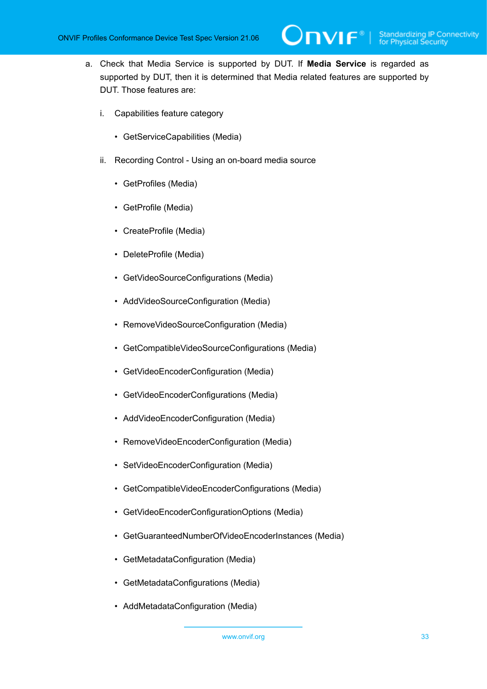a. Check that Media Service is supported by DUT. If **Media Service** is regarded as supported by DUT, then it is determined that Media related features are supported by DUT. Those features are:

Onvıғ∗⊦

- i. Capabilities feature category
	- GetServiceCapabilities (Media)
- ii. Recording Control Using an on-board media source
	- GetProfiles (Media)
	- GetProfile (Media)
	- CreateProfile (Media)
	- DeleteProfile (Media)
	- GetVideoSourceConfigurations (Media)
	- AddVideoSourceConfiguration (Media)
	- RemoveVideoSourceConfiguration (Media)
	- GetCompatibleVideoSourceConfigurations (Media)
	- GetVideoEncoderConfiguration (Media)
	- GetVideoEncoderConfigurations (Media)
	- AddVideoEncoderConfiguration (Media)
	- RemoveVideoEncoderConfiguration (Media)
	- SetVideoEncoderConfiguration (Media)
	- GetCompatibleVideoEncoderConfigurations (Media)
	- GetVideoEncoderConfigurationOptions (Media)
	- GetGuaranteedNumberOfVideoEncoderInstances (Media)
	- GetMetadataConfiguration (Media)
	- GetMetadataConfigurations (Media)
	- AddMetadataConfiguration (Media)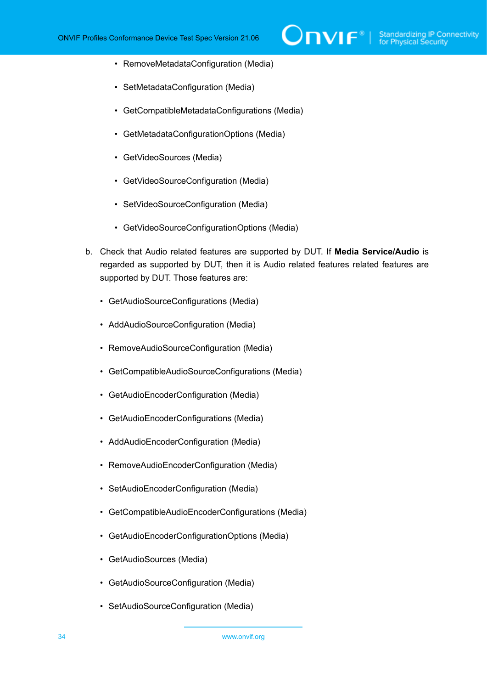- RemoveMetadataConfiguration (Media)
- SetMetadataConfiguration (Media)
- GetCompatibleMetadataConfigurations (Media)
- GetMetadataConfigurationOptions (Media)
- GetVideoSources (Media)
- GetVideoSourceConfiguration (Media)
- SetVideoSourceConfiguration (Media)
- GetVideoSourceConfigurationOptions (Media)
- b. Check that Audio related features are supported by DUT. If **Media Service/Audio** is regarded as supported by DUT, then it is Audio related features related features are supported by DUT. Those features are:
	- GetAudioSourceConfigurations (Media)
	- AddAudioSourceConfiguration (Media)
	- RemoveAudioSourceConfiguration (Media)
	- GetCompatibleAudioSourceConfigurations (Media)
	- GetAudioEncoderConfiguration (Media)
	- GetAudioEncoderConfigurations (Media)
	- AddAudioEncoderConfiguration (Media)
	- RemoveAudioEncoderConfiguration (Media)
	- SetAudioEncoderConfiguration (Media)
	- GetCompatibleAudioEncoderConfigurations (Media)
	- GetAudioEncoderConfigurationOptions (Media)
	- GetAudioSources (Media)
	- GetAudioSourceConfiguration (Media)
	- SetAudioSourceConfiguration (Media)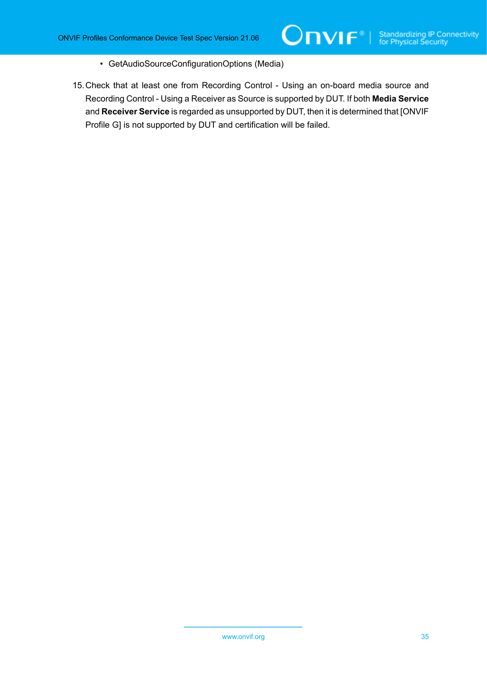- GetAudioSourceConfigurationOptions (Media)
- 15.Check that at least one from Recording Control Using an on-board media source and Recording Control - Using a Receiver as Source is supported by DUT. If both **Media Service** and **Receiver Service** is regarded as unsupported by DUT, then it is determined that [ONVIF Profile G] is not supported by DUT and certification will be failed.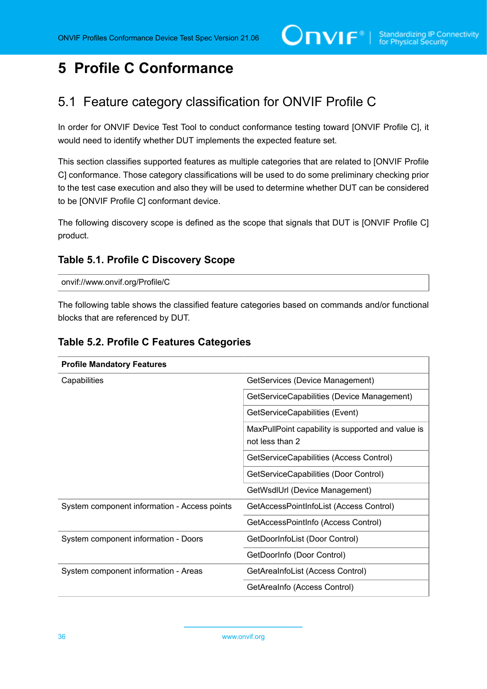## <span id="page-35-0"></span>**5 Profile C Conformance**

## <span id="page-35-1"></span>5.1 Feature category classification for ONVIF Profile C

In order for ONVIF Device Test Tool to conduct conformance testing toward [ONVIF Profile C], it would need to identify whether DUT implements the expected feature set.

This section classifies supported features as multiple categories that are related to [ONVIF Profile C] conformance. Those category classifications will be used to do some preliminary checking prior to the test case execution and also they will be used to determine whether DUT can be considered to be [ONVIF Profile C] conformant device.

The following discovery scope is defined as the scope that signals that DUT is [ONVIF Profile C] product.

#### **Table 5.1. Profile C Discovery Scope**

onvif://www.onvif.org/Profile/C

The following table shows the classified feature categories based on commands and/or functional blocks that are referenced by DUT.

#### **Table 5.2. Profile C Features Categories**

| <b>Profile Mandatory Features</b>            |                                                                      |  |
|----------------------------------------------|----------------------------------------------------------------------|--|
| Capabilities                                 | GetServices (Device Management)                                      |  |
|                                              | GetServiceCapabilities (Device Management)                           |  |
|                                              | GetServiceCapabilities (Event)                                       |  |
|                                              | MaxPullPoint capability is supported and value is<br>not less than 2 |  |
|                                              | GetServiceCapabilities (Access Control)                              |  |
|                                              | GetServiceCapabilities (Door Control)                                |  |
|                                              | GetWsdIUrl (Device Management)                                       |  |
| System component information - Access points | GetAccessPointInfoList (Access Control)                              |  |
|                                              | GetAccessPointInfo (Access Control)                                  |  |
| System component information - Doors         | GetDoorInfoList (Door Control)                                       |  |
|                                              | GetDoorInfo (Door Control)                                           |  |
| System component information - Areas         | GetAreaInfoList (Access Control)                                     |  |
|                                              | GetAreaInfo (Access Control)                                         |  |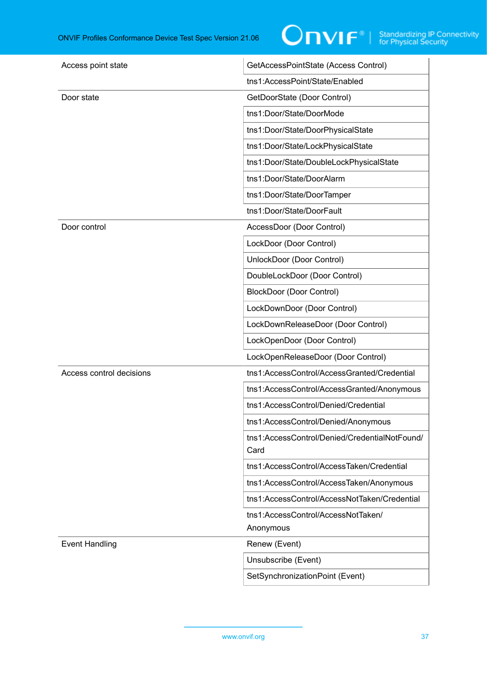

| Access point state       | GetAccessPointState (Access Control)                  |
|--------------------------|-------------------------------------------------------|
|                          | tns1:AccessPoint/State/Enabled                        |
| Door state               | GetDoorState (Door Control)                           |
|                          | tns1:Door/State/DoorMode                              |
|                          | tns1:Door/State/DoorPhysicalState                     |
|                          | tns1:Door/State/LockPhysicalState                     |
|                          | tns1:Door/State/DoubleLockPhysicalState               |
|                          | tns1:Door/State/DoorAlarm                             |
|                          | tns1:Door/State/DoorTamper                            |
|                          | tns1:Door/State/DoorFault                             |
| Door control             | AccessDoor (Door Control)                             |
|                          | LockDoor (Door Control)                               |
|                          | UnlockDoor (Door Control)                             |
|                          | DoubleLockDoor (Door Control)                         |
|                          | <b>BlockDoor (Door Control)</b>                       |
|                          | LockDownDoor (Door Control)                           |
|                          | LockDownReleaseDoor (Door Control)                    |
|                          | LockOpenDoor (Door Control)                           |
|                          | LockOpenReleaseDoor (Door Control)                    |
| Access control decisions | tns1:AccessControl/AccessGranted/Credential           |
|                          | tns1:AccessControl/AccessGranted/Anonymous            |
|                          | tns1:AccessControl/Denied/Credential                  |
|                          | tns1:AccessControl/Denied/Anonymous                   |
|                          | tns1:AccessControl/Denied/CredentialNotFound/<br>Card |
|                          | tns1:AccessControl/AccessTaken/Credential             |
|                          | tns1:AccessControl/AccessTaken/Anonymous              |
|                          | tns1:AccessControl/AccessNotTaken/Credential          |
|                          | tns1:AccessControl/AccessNotTaken/<br>Anonymous       |
|                          |                                                       |
| <b>Event Handling</b>    | Renew (Event)                                         |
|                          | Unsubscribe (Event)                                   |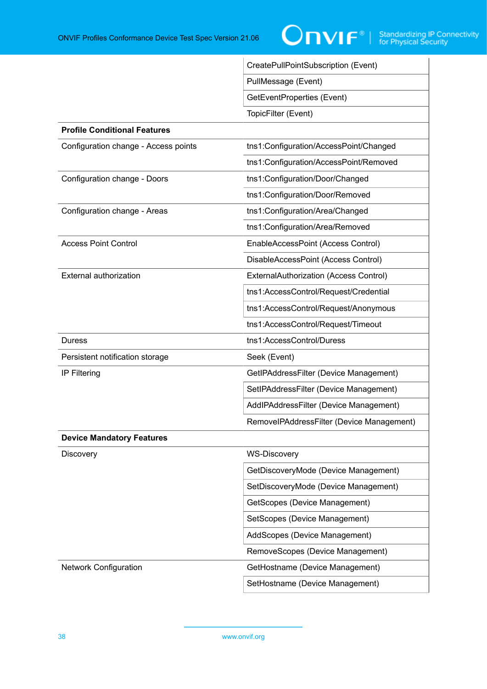

|                                      | CreatePullPointSubscription (Event)       |  |
|--------------------------------------|-------------------------------------------|--|
|                                      | PullMessage (Event)                       |  |
|                                      | GetEventProperties (Event)                |  |
|                                      | TopicFilter (Event)                       |  |
| <b>Profile Conditional Features</b>  |                                           |  |
| Configuration change - Access points | tns1:Configuration/AccessPoint/Changed    |  |
|                                      | tns1:Configuration/AccessPoint/Removed    |  |
| Configuration change - Doors         | tns1:Configuration/Door/Changed           |  |
|                                      | tns1:Configuration/Door/Removed           |  |
| Configuration change - Areas         | tns1:Configuration/Area/Changed           |  |
|                                      | tns1:Configuration/Area/Removed           |  |
| <b>Access Point Control</b>          | EnableAccessPoint (Access Control)        |  |
|                                      | DisableAccessPoint (Access Control)       |  |
| <b>External authorization</b>        | ExternalAuthorization (Access Control)    |  |
|                                      | tns1:AccessControl/Request/Credential     |  |
|                                      | tns1:AccessControl/Request/Anonymous      |  |
|                                      | tns1:AccessControl/Request/Timeout        |  |
| <b>Duress</b>                        | tns1:AccessControl/Duress                 |  |
| Persistent notification storage      | Seek (Event)                              |  |
| IP Filtering                         | GetIPAddressFilter (Device Management)    |  |
|                                      | SetIPAddressFilter (Device Management)    |  |
|                                      | AddlPAddressFilter (Device Management)    |  |
|                                      | RemovelPAddressFilter (Device Management) |  |
| <b>Device Mandatory Features</b>     |                                           |  |
| <b>Discovery</b>                     | <b>WS-Discovery</b>                       |  |
|                                      | GetDiscoveryMode (Device Management)      |  |
|                                      | SetDiscoveryMode (Device Management)      |  |
|                                      | GetScopes (Device Management)             |  |
|                                      | SetScopes (Device Management)             |  |
|                                      | AddScopes (Device Management)             |  |
|                                      | RemoveScopes (Device Management)          |  |
| <b>Network Configuration</b>         | GetHostname (Device Management)           |  |
|                                      | SetHostname (Device Management)           |  |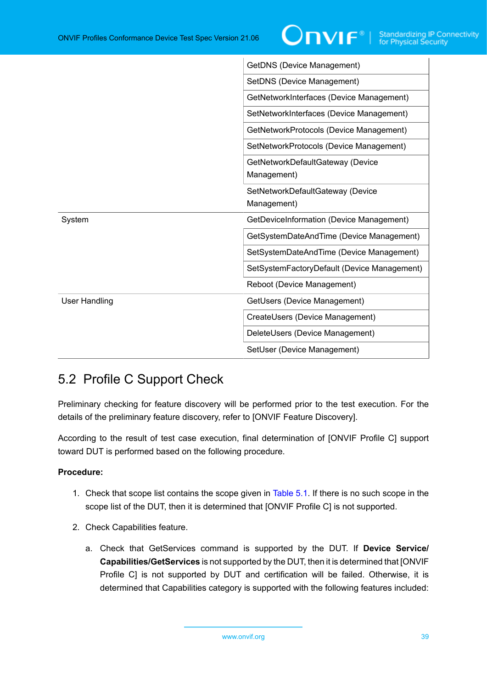|                      | GetDNS (Device Management)                      |
|----------------------|-------------------------------------------------|
|                      | SetDNS (Device Management)                      |
|                      | GetNetworkInterfaces (Device Management)        |
|                      | SetNetworkInterfaces (Device Management)        |
|                      | GetNetworkProtocols (Device Management)         |
|                      | SetNetworkProtocols (Device Management)         |
|                      | GetNetworkDefaultGateway (Device<br>Management) |
|                      | SetNetworkDefaultGateway (Device<br>Management) |
| System               | GetDeviceInformation (Device Management)        |
|                      | GetSystemDateAndTime (Device Management)        |
|                      | SetSystemDateAndTime (Device Management)        |
|                      | SetSystemFactoryDefault (Device Management)     |
|                      | Reboot (Device Management)                      |
| <b>User Handling</b> | GetUsers (Device Management)                    |
|                      | CreateUsers (Device Management)                 |
|                      | DeleteUsers (Device Management)                 |
|                      | SetUser (Device Management)                     |

# 5.2 Profile C Support Check

Preliminary checking for feature discovery will be performed prior to the test execution. For the details of the preliminary feature discovery, refer to [ONVIF Feature Discovery].

According to the result of test case execution, final determination of [ONVIF Profile C] support toward DUT is performed based on the following procedure.

- 1. Check that scope list contains the scope given in [Table](#page-35-0) 5.1. If there is no such scope in the scope list of the DUT, then it is determined that [ONVIF Profile C] is not supported.
- 2. Check Capabilities feature.
	- a. Check that GetServices command is supported by the DUT. If **Device Service/ Capabilities/GetServices** is not supported by the DUT, then it is determined that [ONVIF Profile С] is not supported by DUT and certification will be failed. Otherwise, it is determined that Capabilities category is supported with the following features included: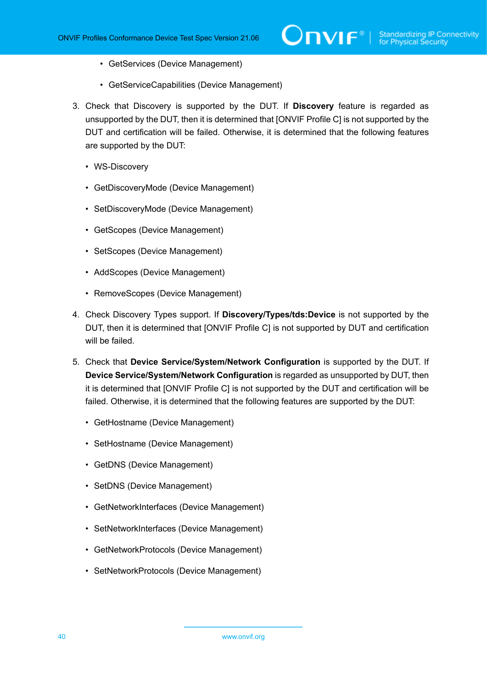- GetServices (Device Management)
- GetServiceCapabilities (Device Management)
- 3. Check that Discovery is supported by the DUT. If **Discovery** feature is regarded as unsupported by the DUT, then it is determined that [ONVIF Profile C] is not supported by the DUT and certification will be failed. Otherwise, it is determined that the following features are supported by the DUT:
	- WS-Discovery
	- GetDiscoveryMode (Device Management)
	- SetDiscoveryMode (Device Management)
	- GetScopes (Device Management)
	- SetScopes (Device Management)
	- AddScopes (Device Management)
	- RemoveScopes (Device Management)
- 4. Check Discovery Types support. If **Discovery/Types/tds:Device** is not supported by the DUT, then it is determined that [ONVIF Profile С] is not supported by DUT and certification will be failed.
- 5. Check that **Device Service/System/Network Configuration** is supported by the DUT. If **Device Service/System/Network Configuration** is regarded as unsupported by DUT, then it is determined that [ONVIF Profile C] is not supported by the DUT and certification will be failed. Otherwise, it is determined that the following features are supported by the DUT:
	- GetHostname (Device Management)
	- SetHostname (Device Management)
	- GetDNS (Device Management)
	- SetDNS (Device Management)
	- GetNetworkInterfaces (Device Management)
	- SetNetworkInterfaces (Device Management)
	- GetNetworkProtocols (Device Management)
	- SetNetworkProtocols (Device Management)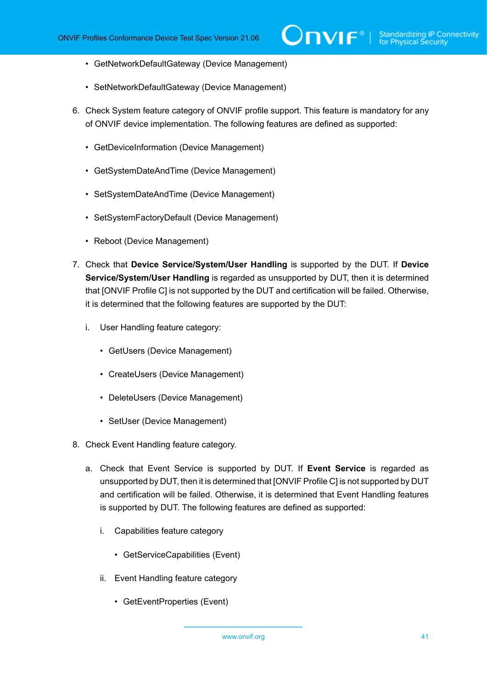- GetNetworkDefaultGateway (Device Management)
- SetNetworkDefaultGateway (Device Management)
- 6. Check System feature category of ONVIF profile support. This feature is mandatory for any of ONVIF device implementation. The following features are defined as supported:
	- GetDeviceInformation (Device Management)
	- GetSystemDateAndTime (Device Management)
	- SetSystemDateAndTime (Device Management)
	- SetSystemFactoryDefault (Device Management)
	- Reboot (Device Management)
- 7. Check that **Device Service/System/User Handling** is supported by the DUT. If **Device Service/System/User Handling** is regarded as unsupported by DUT, then it is determined that [ONVIF Profile C] is not supported by the DUT and certification will be failed. Otherwise, it is determined that the following features are supported by the DUT:
	- i. User Handling feature category:
		- GetUsers (Device Management)
		- CreateUsers (Device Management)
		- DeleteUsers (Device Management)
		- SetUser (Device Management)
- 8. Check Event Handling feature category.
	- a. Check that Event Service is supported by DUT. If **Event Service** is regarded as unsupported by DUT, then it is determined that [ONVIF Profile C] is not supported by DUT and certification will be failed. Otherwise, it is determined that Event Handling features is supported by DUT. The following features are defined as supported:
		- i. Capabilities feature category
			- GetServiceCapabilities (Event)
		- ii. Event Handling feature category
			- GetEventProperties (Event)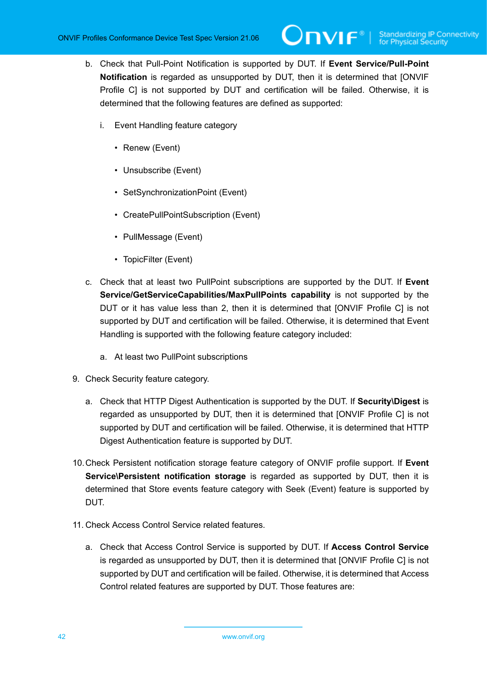- b. Check that Pull-Point Notification is supported by DUT. If **Event Service/Pull-Point Notification** is regarded as unsupported by DUT, then it is determined that [ONVIF Profile C] is not supported by DUT and certification will be failed. Otherwise, it is determined that the following features are defined as supported:
	- i. Event Handling feature category
		- Renew (Event)
		- Unsubscribe (Event)
		- SetSynchronizationPoint (Event)
		- CreatePullPointSubscription (Event)
		- PullMessage (Event)
		- TopicFilter (Event)
- c. Check that at least two PullPoint subscriptions are supported by the DUT. If **Event Service/GetServiceCapabilities/MaxPullPoints capability** is not supported by the DUT or it has value less than 2, then it is determined that [ONVIF Profile C] is not supported by DUT and certification will be failed. Otherwise, it is determined that Event Handling is supported with the following feature category included:
	- a. At least two PullPoint subscriptions
- 9. Check Security feature category.
	- a. Check that HTTP Digest Authentication is supported by the DUT. If **Security\Digest** is regarded as unsupported by DUT, then it is determined that [ONVIF Profile С] is not supported by DUT and certification will be failed. Otherwise, it is determined that HTTP Digest Authentication feature is supported by DUT.
- 10.Check Persistent notification storage feature category of ONVIF profile support. If **Event Service\Persistent notification storage** is regarded as supported by DUT, then it is determined that Store events feature category with Seek (Event) feature is supported by DUT.
- 11. Check Access Control Service related features.
	- a. Check that Access Control Service is supported by DUT. If **Access Control Service** is regarded as unsupported by DUT, then it is determined that [ONVIF Profile C] is not supported by DUT and certification will be failed. Otherwise, it is determined that Access Control related features are supported by DUT. Those features are: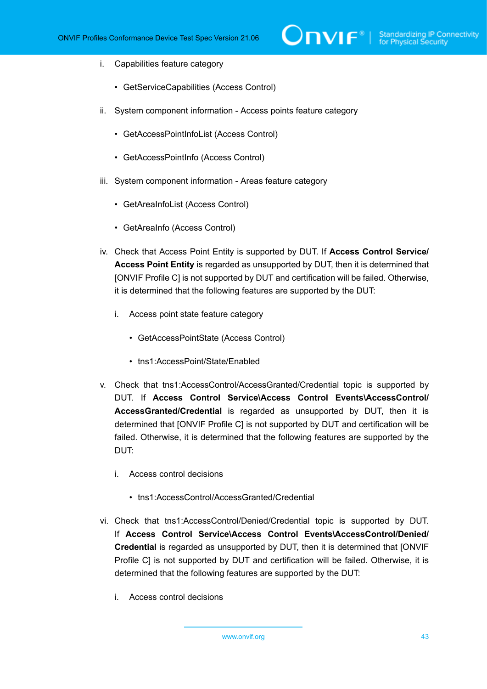- i. Capabilities feature category
	- GetServiceCapabilities (Access Control)
- ii. System component information Access points feature category
	- GetAccessPointInfoList (Access Control)
	- GetAccessPointInfo (Access Control)
- iii. System component information Areas feature category
	- GetAreaInfoList (Access Control)
	- GetAreaInfo (Access Control)
- iv. Check that Access Point Entity is supported by DUT. If **Access Control Service/ Access Point Entity** is regarded as unsupported by DUT, then it is determined that [ONVIF Profile C] is not supported by DUT and certification will be failed. Otherwise, it is determined that the following features are supported by the DUT:
	- i. Access point state feature category
		- GetAccessPointState (Access Control)
		- tns1:AccessPoint/State/Enabled
- v. Check that tns1:AccessControl/AccessGranted/Credential topic is supported by DUT. If **Access Control Service\Access Control Events\AccessControl/ AccessGranted/Credential** is regarded as unsupported by DUT, then it is determined that [ONVIF Profile C] is not supported by DUT and certification will be failed. Otherwise, it is determined that the following features are supported by the DUT:
	- i. Access control decisions
		- tns1:AccessControl/AccessGranted/Credential
- vi. Check that tns1:AccessControl/Denied/Credential topic is supported by DUT. If **Access Control Service\Access Control Events\AccessControl/Denied/ Credential** is regarded as unsupported by DUT, then it is determined that [ONVIF Profile C] is not supported by DUT and certification will be failed. Otherwise, it is determined that the following features are supported by the DUT:
	- i. Access control decisions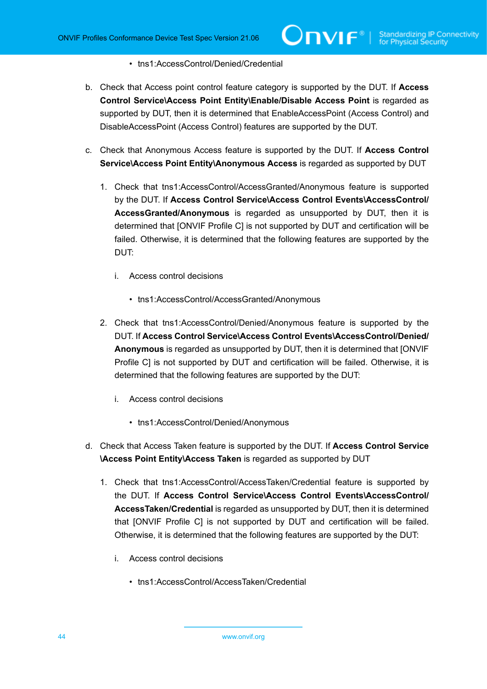#### • tns1:AccessControl/Denied/Credential

- b. Check that Access point control feature category is supported by the DUT. If **Access Control Service\Access Point Entity\Enable/Disable Access Point** is regarded as supported by DUT, then it is determined that EnableAccessPoint (Access Control) and DisableAccessPoint (Access Control) features are supported by the DUT.
- c. Check that Anonymous Access feature is supported by the DUT. If **Access Control Service\Access Point Entity\Anonymous Access** is regarded as supported by DUT
	- 1. Check that tns1:AccessControl/AccessGranted/Anonymous feature is supported by the DUT. If **Access Control Service\Access Control Events\AccessControl/ AccessGranted/Anonymous** is regarded as unsupported by DUT, then it is determined that [ONVIF Profile C] is not supported by DUT and certification will be failed. Otherwise, it is determined that the following features are supported by the DUT:
		- i. Access control decisions
			- tns1:AccessControl/AccessGranted/Anonymous
	- 2. Check that tns1:AccessControl/Denied/Anonymous feature is supported by the DUT. If **Access Control Service\Access Control Events\AccessControl/Denied/ Anonymous** is regarded as unsupported by DUT, then it is determined that [ONVIF Profile C] is not supported by DUT and certification will be failed. Otherwise, it is determined that the following features are supported by the DUT:
		- i. Access control decisions
			- tns1:AccessControl/Denied/Anonymous
- d. Check that Access Taken feature is supported by the DUT. If **Access Control Service \Access Point Entity\Access Taken** is regarded as supported by DUT
	- 1. Check that tns1:AccessControl/AccessTaken/Credential feature is supported by the DUT. If **Access Control Service\Access Control Events\AccessControl/ AccessTaken/Credential** is regarded as unsupported by DUT, then it is determined that [ONVIF Profile C] is not supported by DUT and certification will be failed. Otherwise, it is determined that the following features are supported by the DUT:
		- i. Access control decisions
			- tns1:AccessControl/AccessTaken/Credential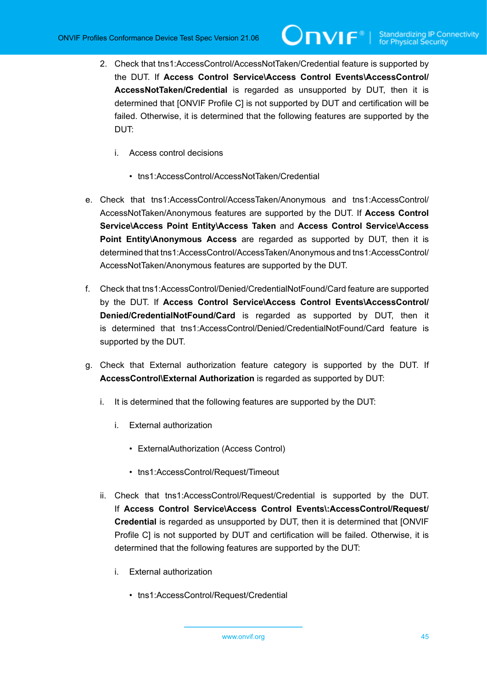- 2. Check that tns1:AccessControl/AccessNotTaken/Credential feature is supported by the DUT. If **Access Control Service\Access Control Events\AccessControl/ AccessNotTaken/Credential** is regarded as unsupported by DUT, then it is determined that [ONVIF Profile C] is not supported by DUT and certification will be failed. Otherwise, it is determined that the following features are supported by the DUT:
	- i. Access control decisions
		- tns1:AccessControl/AccessNotTaken/Credential
- e. Check that tns1:AccessControl/AccessTaken/Anonymous and tns1:AccessControl/ AccessNotTaken/Anonymous features are supported by the DUT. If **Access Control Service\Access Point Entity\Access Taken** and **Access Control Service\Access Point Entity\Anonymous Access** are regarded as supported by DUT, then it is determined that tns1:AccessControl/AccessTaken/Anonymous and tns1:AccessControl/ AccessNotTaken/Anonymous features are supported by the DUT.
- f. Check that tns1:AccessControl/Denied/CredentialNotFound/Card feature are supported by the DUT. If **Access Control Service\Access Control Events\AccessControl/ Denied/CredentialNotFound/Card** is regarded as supported by DUT, then it is determined that tns1:AccessControl/Denied/CredentialNotFound/Card feature is supported by the DUT.
- g. Check that External authorization feature category is supported by the DUT. If **AccessControl\External Authorization** is regarded as supported by DUT:
	- i. It is determined that the following features are supported by the DUT:
		- i. External authorization
			- ExternalAuthorization (Access Control)
			- tns1:AccessControl/Request/Timeout
	- ii. Check that tns1:AccessControl/Request/Credential is supported by the DUT. If **Access Control Service\Access Control Events\:AccessControl/Request/ Credential** is regarded as unsupported by DUT, then it is determined that [ONVIF Profile C] is not supported by DUT and certification will be failed. Otherwise, it is determined that the following features are supported by the DUT:
		- i. External authorization
			- tns1:AccessControl/Request/Credential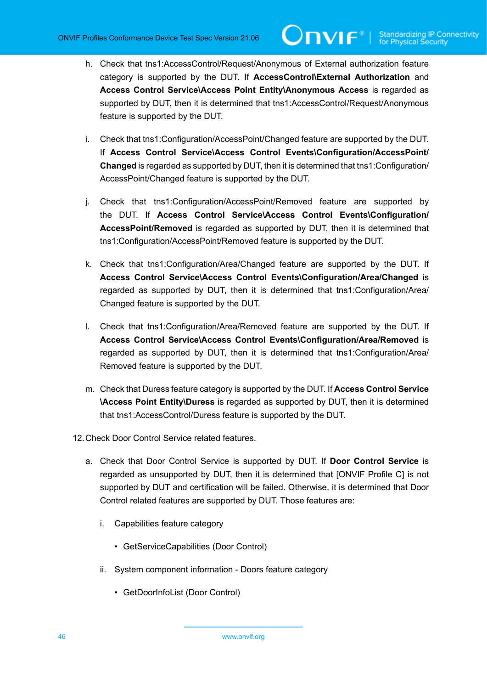- h. Check that tns1:AccessControl/Request/Anonymous of External authorization feature category is supported by the DUT. If **AccessControl\External Authorization** and **Access Control Service\Access Point Entity\Anonymous Access** is regarded as supported by DUT, then it is determined that tns1:AccessControl/Request/Anonymous feature is supported by the DUT.
- i. Check that tns1:Configuration/AccessPoint/Changed feature are supported by the DUT. If **Access Control Service\Access Control Events\Configuration/AccessPoint/ Changed** is regarded as supported by DUT, then it is determined that tns1:Configuration/ AccessPoint/Changed feature is supported by the DUT.
- j. Check that tns1:Configuration/AccessPoint/Removed feature are supported by the DUT. If **Access Control Service\Access Control Events\Configuration/ AccessPoint/Removed** is regarded as supported by DUT, then it is determined that tns1:Configuration/AccessPoint/Removed feature is supported by the DUT.
- k. Check that tns1:Configuration/Area/Changed feature are supported by the DUT. If **Access Control Service\Access Control Events\Configuration/Area/Changed** is regarded as supported by DUT, then it is determined that tns1:Configuration/Area/ Changed feature is supported by the DUT.
- l. Check that tns1:Configuration/Area/Removed feature are supported by the DUT. If **Access Control Service\Access Control Events\Configuration/Area/Removed** is regarded as supported by DUT, then it is determined that tns1:Configuration/Area/ Removed feature is supported by the DUT.
- m. Check that Duress feature category is supported by the DUT. If **Access Control Service \Access Point Entity\Duress** is regarded as supported by DUT, then it is determined that tns1:AccessControl/Duress feature is supported by the DUT.
- 12.Check Door Control Service related features.
	- a. Check that Door Control Service is supported by DUT. If **Door Control Service** is regarded as unsupported by DUT, then it is determined that [ONVIF Profile C] is not supported by DUT and certification will be failed. Otherwise, it is determined that Door Control related features are supported by DUT. Those features are:
		- i. Capabilities feature category
			- GetServiceCapabilities (Door Control)
		- ii. System component information Doors feature category
			- GetDoorInfoList (Door Control)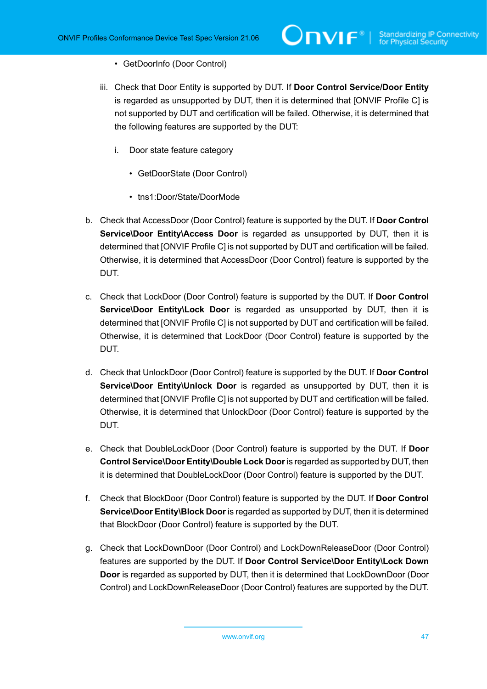- GetDoorInfo (Door Control)
- iii. Check that Door Entity is supported by DUT. If **Door Control Service/Door Entity** is regarded as unsupported by DUT, then it is determined that [ONVIF Profile C] is not supported by DUT and certification will be failed. Otherwise, it is determined that the following features are supported by the DUT:
	- i. Door state feature category
		- GetDoorState (Door Control)
		- tns1:Door/State/DoorMode
- b. Check that AccessDoor (Door Control) feature is supported by the DUT. If **Door Control Service\Door Entity\Access Door** is regarded as unsupported by DUT, then it is determined that [ONVIF Profile C] is not supported by DUT and certification will be failed. Otherwise, it is determined that AccessDoor (Door Control) feature is supported by the DUT.
- c. Check that LockDoor (Door Control) feature is supported by the DUT. If **Door Control Service\Door Entity\Lock Door** is regarded as unsupported by DUT, then it is determined that [ONVIF Profile C] is not supported by DUT and certification will be failed. Otherwise, it is determined that LockDoor (Door Control) feature is supported by the DUT.
- d. Check that UnlockDoor (Door Control) feature is supported by the DUT. If **Door Control Service\Door Entity\Unlock Door** is regarded as unsupported by DUT, then it is determined that [ONVIF Profile C] is not supported by DUT and certification will be failed. Otherwise, it is determined that UnlockDoor (Door Control) feature is supported by the DUT.
- e. Check that DoubleLockDoor (Door Control) feature is supported by the DUT. If **Door Control Service\Door Entity\Double Lock Door**is regarded as supported by DUT, then it is determined that DoubleLockDoor (Door Control) feature is supported by the DUT.
- f. Check that BlockDoor (Door Control) feature is supported by the DUT. If **Door Control Service\Door Entity\Block Door** is regarded as supported by DUT, then it is determined that BlockDoor (Door Control) feature is supported by the DUT.
- g. Check that LockDownDoor (Door Control) and LockDownReleaseDoor (Door Control) features are supported by the DUT. If **Door Control Service\Door Entity\Lock Down Door** is regarded as supported by DUT, then it is determined that LockDownDoor (Door Control) and LockDownReleaseDoor (Door Control) features are supported by the DUT.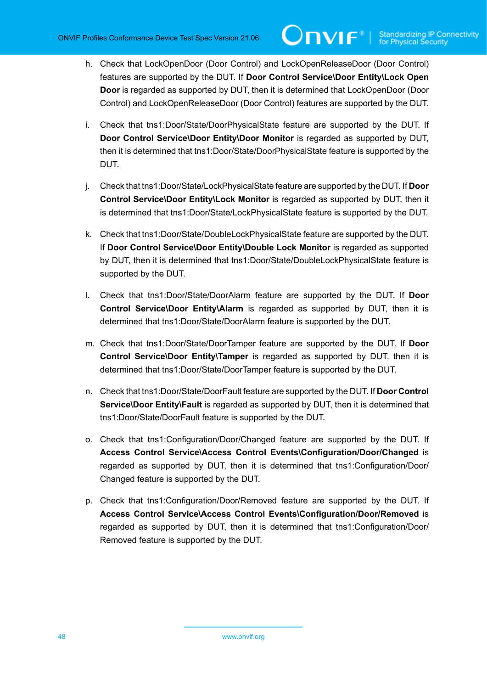- h. Check that LockOpenDoor (Door Control) and LockOpenReleaseDoor (Door Control) features are supported by the DUT. If **Door Control Service\Door Entity\Lock Open Door** is regarded as supported by DUT, then it is determined that LockOpenDoor (Door Control) and LockOpenReleaseDoor (Door Control) features are supported by the DUT.
- i. Check that tns1:Door/State/DoorPhysicalState feature are supported by the DUT. If **Door Control Service\Door Entity\Door Monitor** is regarded as supported by DUT, then it is determined that tns1:Door/State/DoorPhysicalState feature is supported by the DUT.
- j. Check that tns1:Door/State/LockPhysicalState feature are supported by the DUT. If **Door Control Service\Door Entity\Lock Monitor** is regarded as supported by DUT, then it is determined that tns1:Door/State/LockPhysicalState feature is supported by the DUT.
- k. Check that tns1:Door/State/DoubleLockPhysicalState feature are supported by the DUT. If **Door Control Service\Door Entity\Double Lock Monitor** is regarded as supported by DUT, then it is determined that tns1:Door/State/DoubleLockPhysicalState feature is supported by the DUT.
- l. Check that tns1:Door/State/DoorAlarm feature are supported by the DUT. If **Door Control Service\Door Entity\Alarm** is regarded as supported by DUT, then it is determined that tns1:Door/State/DoorAlarm feature is supported by the DUT.
- m. Check that tns1:Door/State/DoorTamper feature are supported by the DUT. If **Door Control Service\Door Entity\Tamper** is regarded as supported by DUT, then it is determined that tns1:Door/State/DoorTamper feature is supported by the DUT.
- n. Check that tns1:Door/State/DoorFault feature are supported by the DUT. If **Door Control Service\Door Entity\Fault** is regarded as supported by DUT, then it is determined that tns1:Door/State/DoorFault feature is supported by the DUT.
- o. Check that tns1:Configuration/Door/Changed feature are supported by the DUT. If **Access Control Service\Access Control Events\Configuration/Door/Changed** is regarded as supported by DUT, then it is determined that tns1:Configuration/Door/ Changed feature is supported by the DUT.
- p. Check that tns1:Configuration/Door/Removed feature are supported by the DUT. If **Access Control Service\Access Control Events\Configuration/Door/Removed** is regarded as supported by DUT, then it is determined that tns1:Configuration/Door/ Removed feature is supported by the DUT.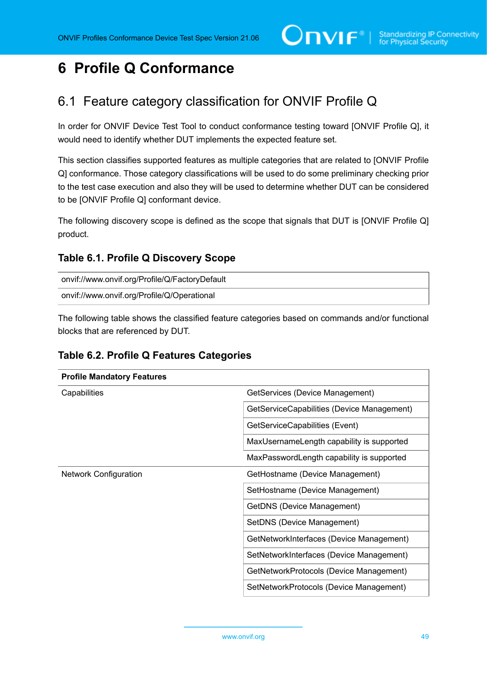# **6 Profile Q Conformance**

## 6.1 Feature category classification for ONVIF Profile Q

In order for ONVIF Device Test Tool to conduct conformance testing toward [ONVIF Profile Q], it would need to identify whether DUT implements the expected feature set.

This section classifies supported features as multiple categories that are related to [ONVIF Profile Q] conformance. Those category classifications will be used to do some preliminary checking prior to the test case execution and also they will be used to determine whether DUT can be considered to be [ONVIF Profile Q] conformant device.

The following discovery scope is defined as the scope that signals that DUT is [ONVIF Profile Q] product.

### <span id="page-48-0"></span>**Table 6.1. Profile Q Discovery Scope**

| onvif://www.onvif.org/Profile/Q/FactoryDefault |  |
|------------------------------------------------|--|
| onvif://www.onvif.org/Profile/Q/Operational    |  |

The following table shows the classified feature categories based on commands and/or functional blocks that are referenced by DUT.

#### **Table 6.2. Profile Q Features Categories**

| <b>Profile Mandatory Features</b> |                                            |
|-----------------------------------|--------------------------------------------|
| Capabilities                      | GetServices (Device Management)            |
|                                   | GetServiceCapabilities (Device Management) |
|                                   | GetServiceCapabilities (Event)             |
|                                   | MaxUsernameLength capability is supported  |
|                                   | MaxPasswordLength capability is supported  |
| <b>Network Configuration</b>      | GetHostname (Device Management)            |
|                                   | SetHostname (Device Management)            |
|                                   | GetDNS (Device Management)                 |
|                                   | SetDNS (Device Management)                 |
|                                   | GetNetworkInterfaces (Device Management)   |
|                                   | SetNetworkInterfaces (Device Management)   |
|                                   | GetNetworkProtocols (Device Management)    |
|                                   | SetNetworkProtocols (Device Management)    |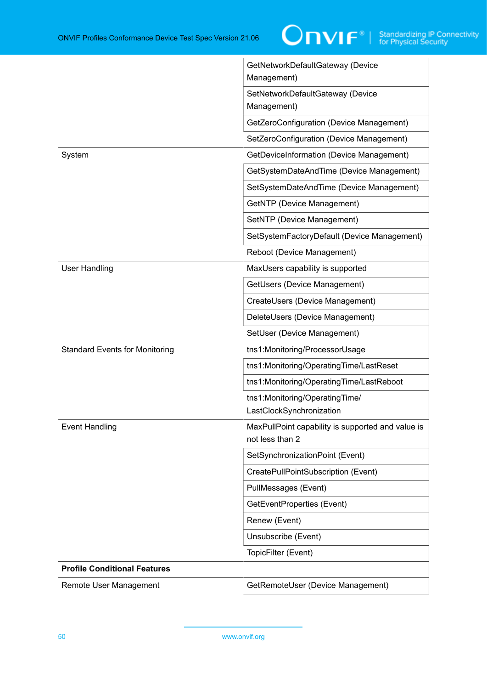|                                       | GetNetworkDefaultGateway (Device<br>Management)                      |
|---------------------------------------|----------------------------------------------------------------------|
|                                       | SetNetworkDefaultGateway (Device<br>Management)                      |
|                                       | GetZeroConfiguration (Device Management)                             |
|                                       | SetZeroConfiguration (Device Management)                             |
| System                                | GetDeviceInformation (Device Management)                             |
|                                       | GetSystemDateAndTime (Device Management)                             |
|                                       | SetSystemDateAndTime (Device Management)                             |
|                                       | GetNTP (Device Management)                                           |
|                                       | SetNTP (Device Management)                                           |
|                                       | SetSystemFactoryDefault (Device Management)                          |
|                                       | Reboot (Device Management)                                           |
| <b>User Handling</b>                  | MaxUsers capability is supported                                     |
|                                       | GetUsers (Device Management)                                         |
|                                       | CreateUsers (Device Management)                                      |
|                                       | DeleteUsers (Device Management)                                      |
|                                       | SetUser (Device Management)                                          |
| <b>Standard Events for Monitoring</b> | tns1:Monitoring/ProcessorUsage                                       |
|                                       | tns1:Monitoring/OperatingTime/LastReset                              |
|                                       | tns1:Monitoring/OperatingTime/LastReboot                             |
|                                       | tns1:Monitoring/OperatingTime/<br>LastClockSynchronization           |
| <b>Event Handling</b>                 | MaxPullPoint capability is supported and value is<br>not less than 2 |
|                                       | SetSynchronizationPoint (Event)                                      |
|                                       | CreatePullPointSubscription (Event)                                  |
|                                       | PullMessages (Event)                                                 |
|                                       | GetEventProperties (Event)                                           |
|                                       | Renew (Event)                                                        |
|                                       | Unsubscribe (Event)                                                  |
|                                       | TopicFilter (Event)                                                  |
| <b>Profile Conditional Features</b>   |                                                                      |
| Remote User Management                | GetRemoteUser (Device Management)                                    |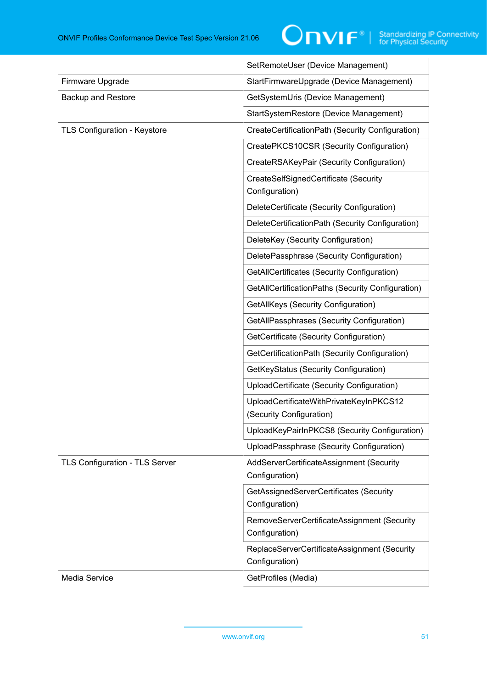|                                       | SetRemoteUser (Device Management)                                   |
|---------------------------------------|---------------------------------------------------------------------|
| Firmware Upgrade                      | StartFirmwareUpgrade (Device Management)                            |
| <b>Backup and Restore</b>             | GetSystemUris (Device Management)                                   |
|                                       | StartSystemRestore (Device Management)                              |
| <b>TLS Configuration - Keystore</b>   | CreateCertificationPath (Security Configuration)                    |
|                                       | CreatePKCS10CSR (Security Configuration)                            |
|                                       | CreateRSAKeyPair (Security Configuration)                           |
|                                       | CreateSelfSignedCertificate (Security<br>Configuration)             |
|                                       | DeleteCertificate (Security Configuration)                          |
|                                       | DeleteCertificationPath (Security Configuration)                    |
|                                       | DeleteKey (Security Configuration)                                  |
|                                       | DeletePassphrase (Security Configuration)                           |
|                                       | GetAllCertificates (Security Configuration)                         |
|                                       | GetAllCertificationPaths (Security Configuration)                   |
|                                       | GetAllKeys (Security Configuration)                                 |
|                                       | GetAllPassphrases (Security Configuration)                          |
|                                       | GetCertificate (Security Configuration)                             |
|                                       | GetCertificationPath (Security Configuration)                       |
|                                       | GetKeyStatus (Security Configuration)                               |
|                                       | UploadCertificate (Security Configuration)                          |
|                                       | UploadCertificateWithPrivateKeyInPKCS12<br>(Security Configuration) |
|                                       | UploadKeyPairInPKCS8 (Security Configuration)                       |
|                                       | UploadPassphrase (Security Configuration)                           |
| <b>TLS Configuration - TLS Server</b> | AddServerCertificateAssignment (Security<br>Configuration)          |
|                                       | GetAssignedServerCertificates (Security<br>Configuration)           |
|                                       | RemoveServerCertificateAssignment (Security<br>Configuration)       |
|                                       | ReplaceServerCertificateAssignment (Security<br>Configuration)      |
| Media Service                         | GetProfiles (Media)                                                 |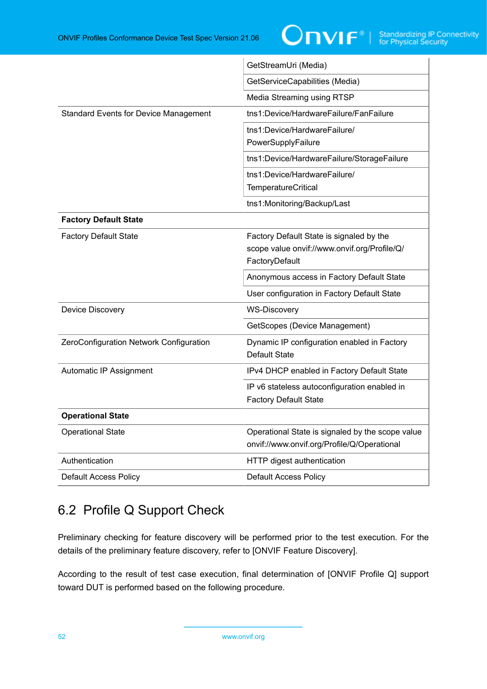

|                                              | GetStreamUri (Media)                                                                                       |  |
|----------------------------------------------|------------------------------------------------------------------------------------------------------------|--|
|                                              | GetServiceCapabilities (Media)                                                                             |  |
|                                              | Media Streaming using RTSP                                                                                 |  |
| <b>Standard Events for Device Management</b> | tns1:Device/HardwareFailure/FanFailure                                                                     |  |
|                                              | tns1:Device/HardwareFailure/<br>PowerSupplyFailure                                                         |  |
|                                              | tns1:Device/HardwareFailure/StorageFailure                                                                 |  |
|                                              | tns1:Device/HardwareFailure/<br><b>TemperatureCritical</b>                                                 |  |
|                                              | tns1:Monitoring/Backup/Last                                                                                |  |
| <b>Factory Default State</b>                 |                                                                                                            |  |
| <b>Factory Default State</b>                 | Factory Default State is signaled by the<br>scope value onvif://www.onvif.org/Profile/Q/<br>FactoryDefault |  |
|                                              | Anonymous access in Factory Default State                                                                  |  |
|                                              | User configuration in Factory Default State                                                                |  |
| Device Discovery                             | <b>WS-Discovery</b>                                                                                        |  |
|                                              | GetScopes (Device Management)                                                                              |  |
| ZeroConfiguration Network Configuration      | Dynamic IP configuration enabled in Factory<br><b>Default State</b>                                        |  |
| Automatic IP Assignment                      | IPv4 DHCP enabled in Factory Default State                                                                 |  |
|                                              | IP v6 stateless autoconfiguration enabled in<br><b>Factory Default State</b>                               |  |
| <b>Operational State</b>                     |                                                                                                            |  |
| <b>Operational State</b>                     | Operational State is signaled by the scope value<br>onvif://www.onvif.org/Profile/Q/Operational            |  |
| Authentication                               | HTTP digest authentication                                                                                 |  |
| <b>Default Access Policy</b>                 | <b>Default Access Policy</b>                                                                               |  |

# 6.2 Profile Q Support Check

Preliminary checking for feature discovery will be performed prior to the test execution. For the details of the preliminary feature discovery, refer to [ONVIF Feature Discovery].

According to the result of test case execution, final determination of [ONVIF Profile Q] support toward DUT is performed based on the following procedure.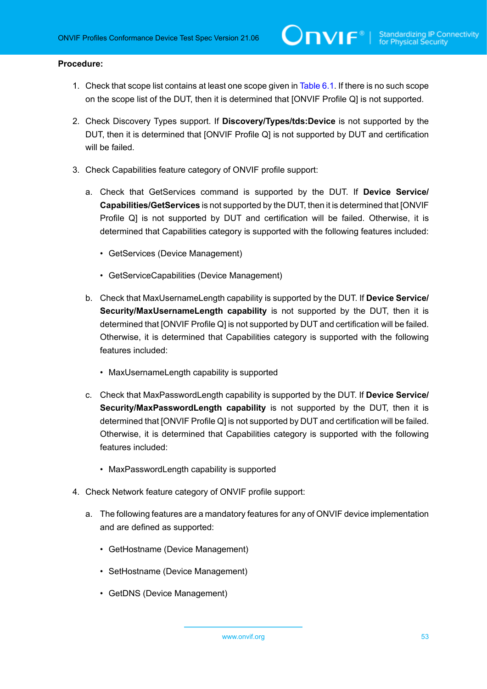- 1. Check that scope list contains at least one scope given in [Table](#page-48-0) 6.1. If there is no such scope on the scope list of the DUT, then it is determined that [ONVIF Profile Q] is not supported.
- 2. Check Discovery Types support. If **Discovery/Types/tds:Device** is not supported by the DUT, then it is determined that [ONVIF Profile Q] is not supported by DUT and certification will be failed.
- 3. Check Capabilities feature category of ONVIF profile support:
	- a. Check that GetServices command is supported by the DUT. If **Device Service/ Capabilities/GetServices** is not supported by the DUT, then it is determined that [ONVIF Profile Q] is not supported by DUT and certification will be failed. Otherwise, it is determined that Capabilities category is supported with the following features included:
		- GetServices (Device Management)
		- GetServiceCapabilities (Device Management)
	- b. Check that MaxUsernameLength capability is supported by the DUT. If **Device Service/ Security/MaxUsernameLength capability** is not supported by the DUT, then it is determined that [ONVIF Profile Q] is not supported by DUT and certification will be failed. Otherwise, it is determined that Capabilities category is supported with the following features included:
		- MaxUsernameLength capability is supported
	- c. Check that MaxPasswordLength capability is supported by the DUT. If **Device Service/ Security/MaxPasswordLength capability** is not supported by the DUT, then it is determined that [ONVIF Profile Q] is not supported by DUT and certification will be failed. Otherwise, it is determined that Capabilities category is supported with the following features included:
		- MaxPasswordLength capability is supported
- 4. Check Network feature category of ONVIF profile support:
	- a. The following features are a mandatory features for any of ONVIF device implementation and are defined as supported:
		- GetHostname (Device Management)
		- SetHostname (Device Management)
		- GetDNS (Device Management)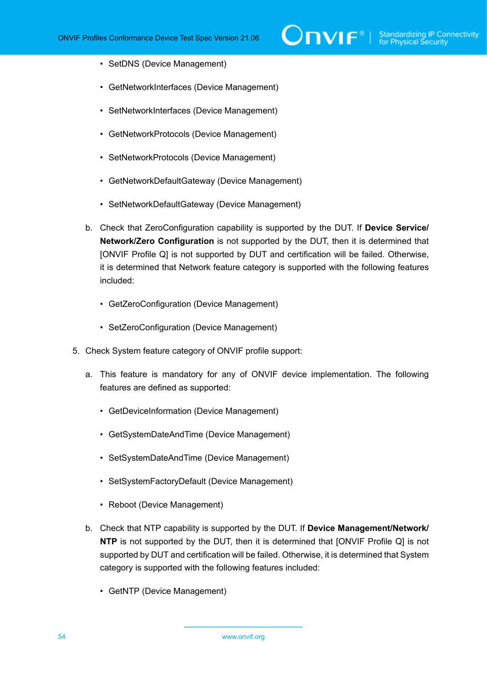- SetDNS (Device Management)
- GetNetworkInterfaces (Device Management)
- SetNetworkInterfaces (Device Management)
- GetNetworkProtocols (Device Management)
- SetNetworkProtocols (Device Management)
- GetNetworkDefaultGateway (Device Management)
- SetNetworkDefaultGateway (Device Management)
- b. Check that ZeroConfiguration capability is supported by the DUT. If **Device Service/ Network/Zero Configuration** is not supported by the DUT, then it is determined that [ONVIF Profile Q] is not supported by DUT and certification will be failed. Otherwise, it is determined that Network feature category is supported with the following features included:
	- GetZeroConfiguration (Device Management)
	- SetZeroConfiguration (Device Management)
- 5. Check System feature category of ONVIF profile support:
	- a. This feature is mandatory for any of ONVIF device implementation. The following features are defined as supported:
		- GetDeviceInformation (Device Management)
		- GetSystemDateAndTime (Device Management)
		- SetSystemDateAndTime (Device Management)
		- SetSystemFactoryDefault (Device Management)
		- Reboot (Device Management)
	- b. Check that NTP capability is supported by the DUT. If **Device Management/Network/ NTP** is not supported by the DUT, then it is determined that [ONVIF Profile Q] is not supported by DUT and certification will be failed. Otherwise, it is determined that System category is supported with the following features included:
		- GetNTP (Device Management)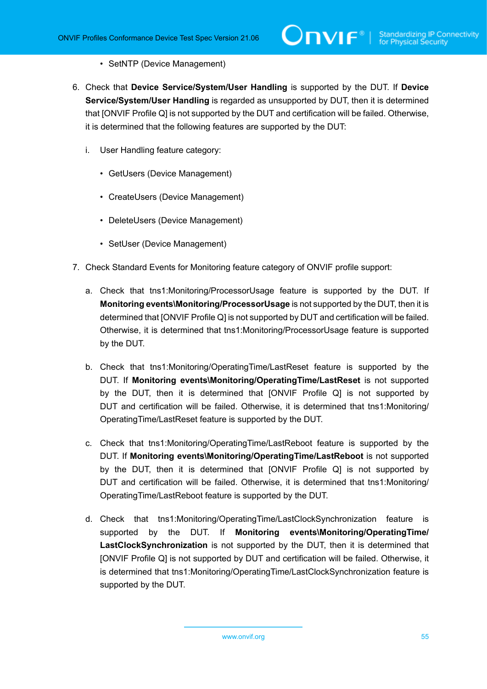- SetNTP (Device Management)
- 6. Check that **Device Service/System/User Handling** is supported by the DUT. If **Device Service/System/User Handling** is regarded as unsupported by DUT, then it is determined that [ONVIF Profile Q] is not supported by the DUT and certification will be failed. Otherwise, it is determined that the following features are supported by the DUT:
	- i. User Handling feature category:
		- GetUsers (Device Management)
		- CreateUsers (Device Management)
		- DeleteUsers (Device Management)
		- SetUser (Device Management)
- 7. Check Standard Events for Monitoring feature category of ONVIF profile support:
	- a. Check that tns1:Monitoring/ProcessorUsage feature is supported by the DUT. If **Monitoring events\Monitoring/ProcessorUsage** is not supported by the DUT, then it is determined that [ONVIF Profile Q] is not supported by DUT and certification will be failed. Otherwise, it is determined that tns1:Monitoring/ProcessorUsage feature is supported by the DUT.
	- b. Check that tns1:Monitoring/OperatingTime/LastReset feature is supported by the DUT. If **Monitoring events\Monitoring/OperatingTime/LastReset** is not supported by the DUT, then it is determined that [ONVIF Profile Q] is not supported by DUT and certification will be failed. Otherwise, it is determined that tns1:Monitoring/ OperatingTime/LastReset feature is supported by the DUT.
	- c. Check that tns1:Monitoring/OperatingTime/LastReboot feature is supported by the DUT. If **Monitoring events\Monitoring/OperatingTime/LastReboot** is not supported by the DUT, then it is determined that [ONVIF Profile Q] is not supported by DUT and certification will be failed. Otherwise, it is determined that tns1:Monitoring/ OperatingTime/LastReboot feature is supported by the DUT.
	- d. Check that tns1:Monitoring/OperatingTime/LastClockSynchronization feature is supported by the DUT. If **Monitoring events\Monitoring/OperatingTime/ LastClockSynchronization** is not supported by the DUT, then it is determined that [ONVIF Profile Q] is not supported by DUT and certification will be failed. Otherwise, it is determined that tns1:Monitoring/OperatingTime/LastClockSynchronization feature is supported by the DUT.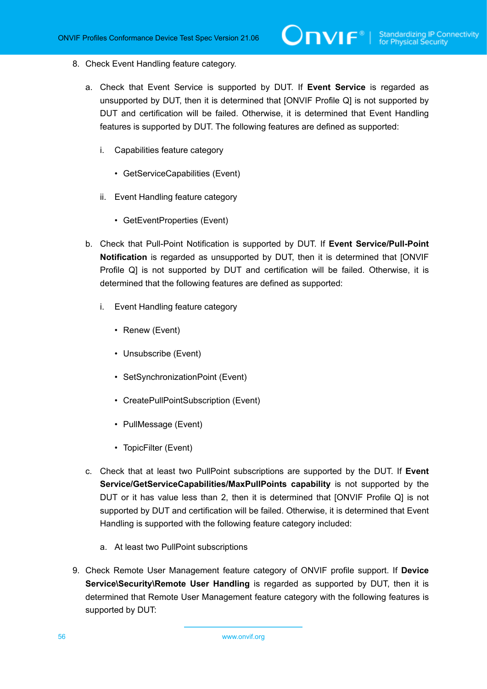- 8. Check Event Handling feature category.
	- a. Check that Event Service is supported by DUT. If **Event Service** is regarded as unsupported by DUT, then it is determined that [ONVIF Profile Q] is not supported by DUT and certification will be failed. Otherwise, it is determined that Event Handling features is supported by DUT. The following features are defined as supported:
		- i. Capabilities feature category
			- GetServiceCapabilities (Event)
		- ii. Event Handling feature category
			- GetEventProperties (Event)
	- b. Check that Pull-Point Notification is supported by DUT. If **Event Service/Pull-Point Notification** is regarded as unsupported by DUT, then it is determined that [ONVIF Profile Q] is not supported by DUT and certification will be failed. Otherwise, it is determined that the following features are defined as supported:
		- i. Event Handling feature category
			- Renew (Event)
			- Unsubscribe (Event)
			- SetSynchronizationPoint (Event)
			- CreatePullPointSubscription (Event)
			- PullMessage (Event)
			- TopicFilter (Event)
	- c. Check that at least two PullPoint subscriptions are supported by the DUT. If **Event Service/GetServiceCapabilities/MaxPullPoints capability** is not supported by the DUT or it has value less than 2, then it is determined that [ONVIF Profile Q] is not supported by DUT and certification will be failed. Otherwise, it is determined that Event Handling is supported with the following feature category included:
		- a. At least two PullPoint subscriptions
- 9. Check Remote User Management feature category of ONVIF profile support. If **Device Service\Security\Remote User Handling** is regarded as supported by DUT, then it is determined that Remote User Management feature category with the following features is supported by DUT: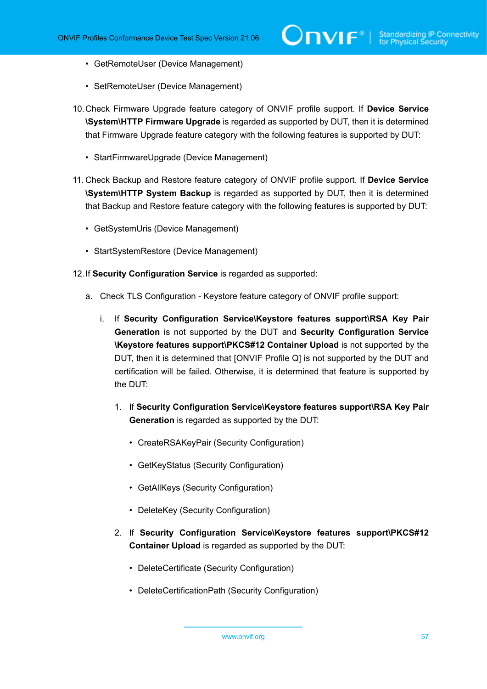- GetRemoteUser (Device Management)
- SetRemoteUser (Device Management)
- 10.Check Firmware Upgrade feature category of ONVIF profile support. If **Device Service \System\HTTP Firmware Upgrade** is regarded as supported by DUT, then it is determined that Firmware Upgrade feature category with the following features is supported by DUT:
	- StartFirmwareUpgrade (Device Management)
- 11. Check Backup and Restore feature category of ONVIF profile support. If **Device Service \System\HTTP System Backup** is regarded as supported by DUT, then it is determined that Backup and Restore feature category with the following features is supported by DUT:
	- GetSystemUris (Device Management)
	- StartSystemRestore (Device Management)
- 12.If **Security Configuration Service** is regarded as supported:
	- a. Check TLS Configuration Keystore feature category of ONVIF profile support:
		- i. If **Security Configuration Service\Keystore features support\RSA Key Pair Generation** is not supported by the DUT and **Security Configuration Service \Keystore features support\PKCS#12 Container Upload** is not supported by the DUT, then it is determined that [ONVIF Profile Q] is not supported by the DUT and certification will be failed. Otherwise, it is determined that feature is supported by the DUT:
			- 1. If **Security Configuration Service\Keystore features support\RSA Key Pair Generation** is regarded as supported by the DUT:
				- CreateRSAKeyPair (Security Configuration)
				- GetKeyStatus (Security Configuration)
				- GetAllKeys (Security Configuration)
				- DeleteKey (Security Configuration)
			- 2. If **Security Configuration Service\Keystore features support\PKCS#12 Container Upload** is regarded as supported by the DUT:
				- DeleteCertificate (Security Configuration)
				- DeleteCertificationPath (Security Configuration)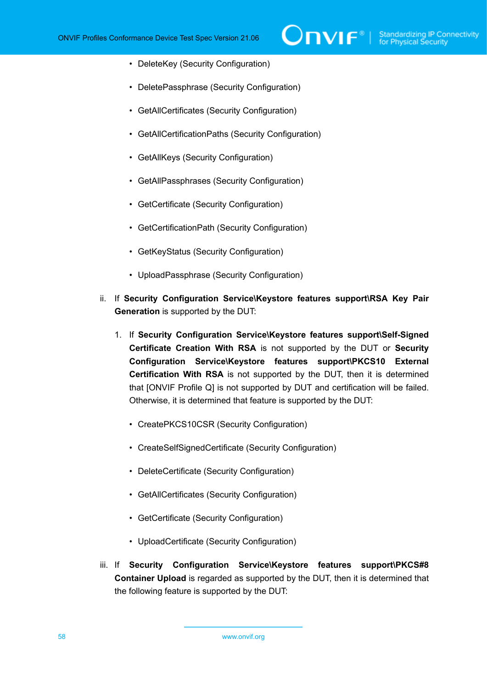- DeleteKey (Security Configuration)
- DeletePassphrase (Security Configuration)
- GetAllCertificates (Security Configuration)
- GetAllCertificationPaths (Security Configuration)
- GetAllKeys (Security Configuration)
- GetAllPassphrases (Security Configuration)
- GetCertificate (Security Configuration)
- GetCertificationPath (Security Configuration)
- GetKeyStatus (Security Configuration)
- UploadPassphrase (Security Configuration)
- ii. If **Security Configuration Service\Keystore features support\RSA Key Pair Generation** is supported by the DUT:
	- 1. If **Security Configuration Service\Keystore features support\Self-Signed Certificate Creation With RSA** is not supported by the DUT or **Security Configuration Service\Keystore features support\PKCS10 External Certification With RSA** is not supported by the DUT, then it is determined that [ONVIF Profile Q] is not supported by DUT and certification will be failed. Otherwise, it is determined that feature is supported by the DUT:
		- CreatePKCS10CSR (Security Configuration)
		- CreateSelfSignedCertificate (Security Configuration)
		- DeleteCertificate (Security Configuration)
		- GetAllCertificates (Security Configuration)
		- GetCertificate (Security Configuration)
		- UploadCertificate (Security Configuration)
- iii. If **Security Configuration Service\Keystore features support\PKCS#8 Container Upload** is regarded as supported by the DUT, then it is determined that the following feature is supported by the DUT: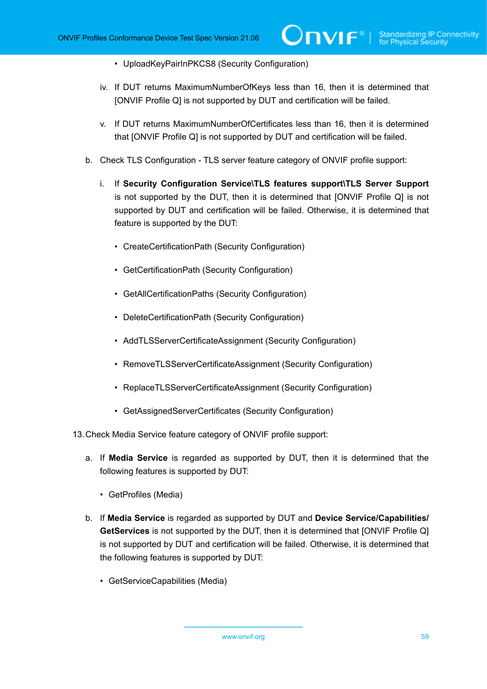- UploadKeyPairInPKCS8 (Security Configuration)
- iv. If DUT returns MaximumNumberOfKeys less than 16, then it is determined that [ONVIF Profile Q] is not supported by DUT and certification will be failed.
- v. If DUT returns MaximumNumberOfCertificates less than 16, then it is determined that [ONVIF Profile Q] is not supported by DUT and certification will be failed.
- b. Check TLS Configuration TLS server feature category of ONVIF profile support:
	- i. If **Security Configuration Service\TLS features support\TLS Server Support** is not supported by the DUT, then it is determined that [ONVIF Profile Q] is not supported by DUT and certification will be failed. Otherwise, it is determined that feature is supported by the DUT:
		- CreateCertificationPath (Security Configuration)
		- GetCertificationPath (Security Configuration)
		- GetAllCertificationPaths (Security Configuration)
		- DeleteCertificationPath (Security Configuration)
		- AddTLSServerCertificateAssignment (Security Configuration)
		- RemoveTLSServerCertificateAssignment (Security Configuration)
		- ReplaceTLSServerCertificateAssignment (Security Configuration)
		- GetAssignedServerCertificates (Security Configuration)
- 13.Check Media Service feature category of ONVIF profile support:
	- a. If **Media Service** is regarded as supported by DUT, then it is determined that the following features is supported by DUT:
		- GetProfiles (Media)
	- b. If **Media Service** is regarded as supported by DUT and **Device Service/Capabilities/ GetServices** is not supported by the DUT, then it is determined that [ONVIF Profile Q] is not supported by DUT and certification will be failed. Otherwise, it is determined that the following features is supported by DUT:
		- GetServiceCapabilities (Media)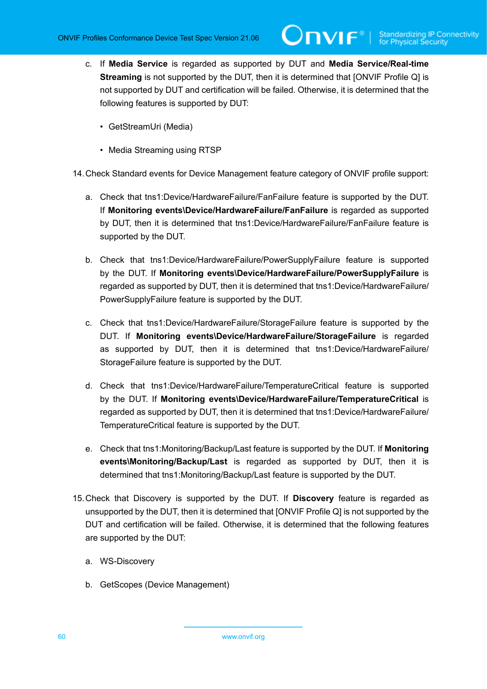- c. If **Media Service** is regarded as supported by DUT and **Media Service/Real-time Streaming** is not supported by the DUT, then it is determined that [ONVIF Profile Q] is not supported by DUT and certification will be failed. Otherwise, it is determined that the following features is supported by DUT:
	- GetStreamUri (Media)
	- Media Streaming using RTSP

14.Check Standard events for Device Management feature category of ONVIF profile support:

- a. Check that tns1:Device/HardwareFailure/FanFailure feature is supported by the DUT. If **Monitoring events\Device/HardwareFailure/FanFailure** is regarded as supported by DUT, then it is determined that tns1:Device/HardwareFailure/FanFailure feature is supported by the DUT.
- b. Check that tns1:Device/HardwareFailure/PowerSupplyFailure feature is supported by the DUT. If **Monitoring events\Device/HardwareFailure/PowerSupplyFailure** is regarded as supported by DUT, then it is determined that tns1:Device/HardwareFailure/ PowerSupplyFailure feature is supported by the DUT.
- c. Check that tns1:Device/HardwareFailure/StorageFailure feature is supported by the DUT. If **Monitoring events\Device/HardwareFailure/StorageFailure** is regarded as supported by DUT, then it is determined that tns1:Device/HardwareFailure/ StorageFailure feature is supported by the DUT.
- d. Check that tns1:Device/HardwareFailure/TemperatureCritical feature is supported by the DUT. If **Monitoring events\Device/HardwareFailure/TemperatureCritical** is regarded as supported by DUT, then it is determined that tns1:Device/HardwareFailure/ TemperatureCritical feature is supported by the DUT.
- e. Check that tns1:Monitoring/Backup/Last feature is supported by the DUT. If **Monitoring events\Monitoring/Backup/Last** is regarded as supported by DUT, then it is determined that tns1:Monitoring/Backup/Last feature is supported by the DUT.
- 15.Check that Discovery is supported by the DUT. If **Discovery** feature is regarded as unsupported by the DUT, then it is determined that [ONVIF Profile Q] is not supported by the DUT and certification will be failed. Otherwise, it is determined that the following features are supported by the DUT:
	- a. WS-Discovery
	- b. GetScopes (Device Management)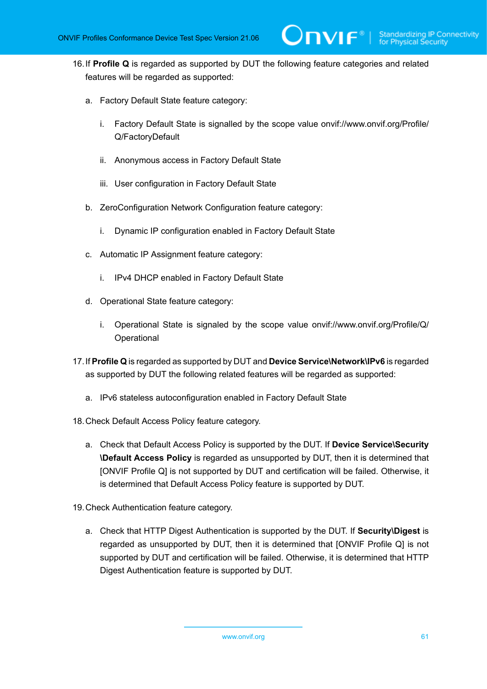- 16.If **Profile Q** is regarded as supported by DUT the following feature categories and related features will be regarded as supported:
	- a. Factory Default State feature category:
		- i. Factory Default State is signalled by the scope value onvif://www.onvif.org/Profile/ Q/FactoryDefault

 $\mathbf{\mathsf{Divif}}^*$  i

- ii. Anonymous access in Factory Default State
- iii. User configuration in Factory Default State
- b. ZeroConfiguration Network Configuration feature category:
	- i. Dynamic IP configuration enabled in Factory Default State
- c. Automatic IP Assignment feature category:
	- i. IPv4 DHCP enabled in Factory Default State
- d. Operational State feature category:
	- i. Operational State is signaled by the scope value onvif://www.onvif.org/Profile/Q/ **Operational**
- 17.If **Profile Q** is regarded as supported by DUT and **Device Service\Network\IPv6** is regarded as supported by DUT the following related features will be regarded as supported:
	- a. IPv6 stateless autoconfiguration enabled in Factory Default State
- 18.Check Default Access Policy feature category.
	- a. Check that Default Access Policy is supported by the DUT. If **Device Service\Security \Default Access Policy** is regarded as unsupported by DUT, then it is determined that [ONVIF Profile Q] is not supported by DUT and certification will be failed. Otherwise, it is determined that Default Access Policy feature is supported by DUT.
- 19.Check Authentication feature category.
	- a. Check that HTTP Digest Authentication is supported by the DUT. If **Security\Digest** is regarded as unsupported by DUT, then it is determined that [ONVIF Profile Q] is not supported by DUT and certification will be failed. Otherwise, it is determined that HTTP Digest Authentication feature is supported by DUT.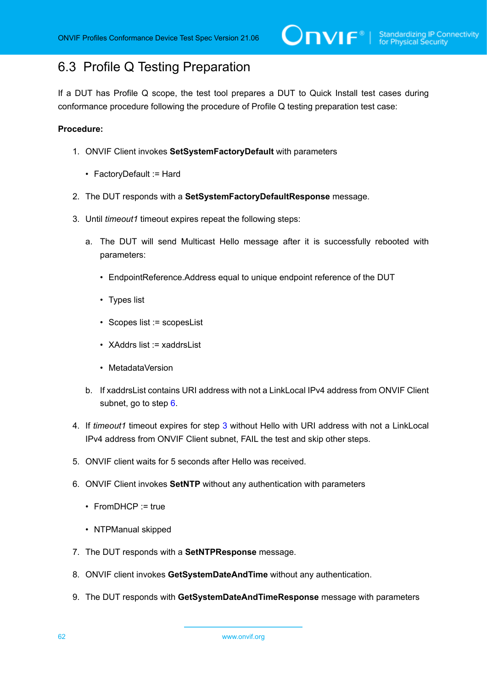## 6.3 Profile Q Testing Preparation

If a DUT has Profile Q scope, the test tool prepares a DUT to Quick Install test cases during conformance procedure following the procedure of Profile Q testing preparation test case:

- 1. ONVIF Client invokes **SetSystemFactoryDefault** with parameters
	- FactoryDefault := Hard
- 2. The DUT responds with a **SetSystemFactoryDefaultResponse** message.
- <span id="page-61-1"></span>3. Until *timeout1* timeout expires repeat the following steps:
	- a. The DUT will send Multicast Hello message after it is successfully rebooted with parameters:
		- EndpointReference.Address equal to unique endpoint reference of the DUT
		- Types list
		- Scopes list := scopesList
		- XAddrs list := xaddrsList
		- MetadataVersion
	- b. If xaddrsList contains URI address with not a LinkLocal IPv4 address from ONVIF Client subnet, go to step [6](#page-61-0).
- 4. If *timeout1* timeout expires for step [3](#page-61-1) without Hello with URI address with not a LinkLocal IPv4 address from ONVIF Client subnet, FAIL the test and skip other steps.
- 5. ONVIF client waits for 5 seconds after Hello was received.
- <span id="page-61-0"></span>6. ONVIF Client invokes **SetNTP** without any authentication with parameters
	- FromDHCP := true
	- NTPManual skipped
- 7. The DUT responds with a **SetNTPResponse** message.
- 8. ONVIF client invokes **GetSystemDateAndTime** without any authentication.
- 9. The DUT responds with **GetSystemDateAndTimeResponse** message with parameters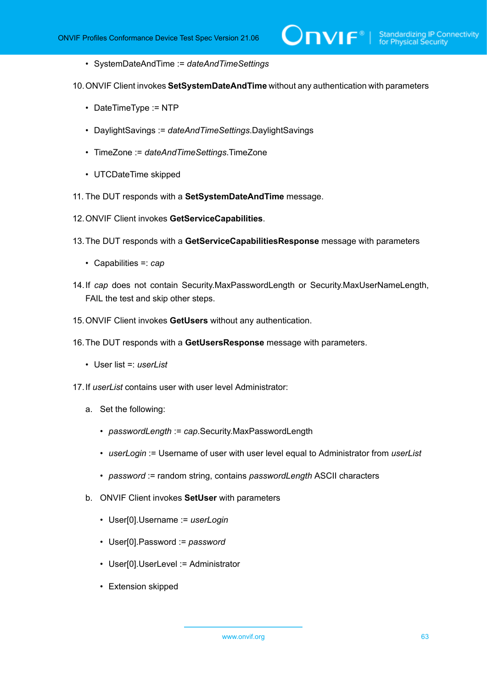• SystemDateAndTime := *dateAndTimeSettings*

10.ONVIF Client invokes **SetSystemDateAndTime** without any authentication with parameters

- DateTimeType := NTP
- DaylightSavings := *dateAndTimeSettings*.DaylightSavings
- TimeZone := *dateAndTimeSettings*.TimeZone
- UTCDateTime skipped
- 11. The DUT responds with a **SetSystemDateAndTime** message.
- 12.ONVIF Client invokes **GetServiceCapabilities**.
- 13.The DUT responds with a **GetServiceCapabilitiesResponse** message with parameters
	- Capabilities =: *cap*
- 14.If *cap* does not contain Security.MaxPasswordLength or Security.MaxUserNameLength, FAIL the test and skip other steps.
- 15.ONVIF Client invokes **GetUsers** without any authentication.
- 16.The DUT responds with a **GetUsersResponse** message with parameters.
	- User list =: *userList*
- <span id="page-62-0"></span>17.If *userList* contains user with user level Administrator:
	- a. Set the following:
		- *passwordLength* := *cap*.Security.MaxPasswordLength
		- *userLogin* := Username of user with user level equal to Administrator from *userList*
		- *password* := random string, contains *passwordLength* ASCII characters
	- b. ONVIF Client invokes **SetUser** with parameters
		- User[0].Username := *userLogin*
		- User[0].Password := *password*
		- User[0].UserLevel := Administrator
		- Extension skipped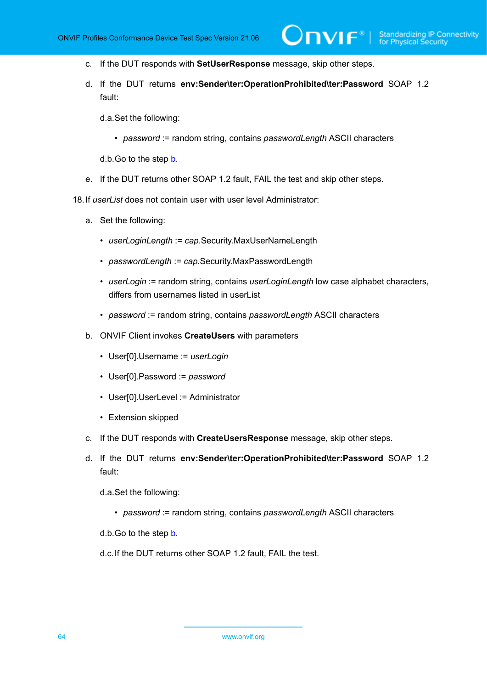- c. If the DUT responds with **SetUserResponse** message, skip other steps.
- d. If the DUT returns **env:Sender\ter:OperationProhibited\ter:Password** SOAP 1.2 fault:

 $\mathsf{D}\mathsf{VIF}^*$ 

d.a.Set the following:

• *password* := random string, contains *passwordLength* ASCII characters

d.b.Go to the step [b.](#page-62-0)

e. If the DUT returns other SOAP 1.2 fault, FAIL the test and skip other steps.

18.If *userList* does not contain user with user level Administrator:

- a. Set the following:
	- *userLoginLength* := *cap*.Security.MaxUserNameLength
	- *passwordLength* := *cap*.Security.MaxPasswordLength
	- *userLogin* := random string, contains *userLoginLength* low case alphabet characters, differs from usernames listed in userList
	- *password* := random string, contains *passwordLength* ASCII characters
- <span id="page-63-0"></span>b. ONVIF Client invokes **CreateUsers** with parameters
	- User[0].Username := *userLogin*
	- User[0].Password := *password*
	- User[0].UserLevel := Administrator
	- Extension skipped
- c. If the DUT responds with **CreateUsersResponse** message, skip other steps.
- d. If the DUT returns **env:Sender\ter:OperationProhibited\ter:Password** SOAP 1.2 fault:

d.a.Set the following:

• *password* := random string, contains *passwordLength* ASCII characters

d.b.Go to the step [b.](#page-63-0)

d.c.If the DUT returns other SOAP 1.2 fault, FAIL the test.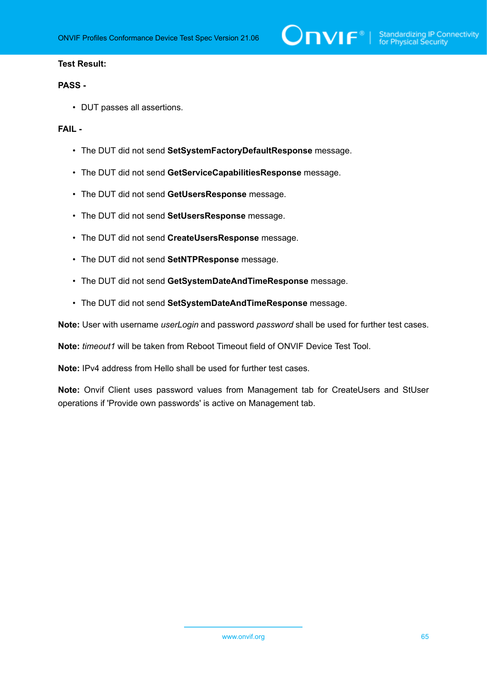

#### **Test Result:**

#### **PASS -**

• DUT passes all assertions.

#### **FAIL -**

- The DUT did not send **SetSystemFactoryDefaultResponse** message.
- The DUT did not send **GetServiceCapabilitiesResponse** message.
- The DUT did not send **GetUsersResponse** message.
- The DUT did not send **SetUsersResponse** message.
- The DUT did not send **CreateUsersResponse** message.
- The DUT did not send **SetNTPResponse** message.
- The DUT did not send **GetSystemDateAndTimeResponse** message.
- The DUT did not send **SetSystemDateAndTimeResponse** message.

**Note:** User with username *userLogin* and password *password* shall be used for further test cases.

**Note:** *timeout1* will be taken from Reboot Timeout field of ONVIF Device Test Tool.

**Note:** IPv4 address from Hello shall be used for further test cases.

**Note:** Onvif Client uses password values from Management tab for CreateUsers and StUser operations if 'Provide own passwords' is active on Management tab.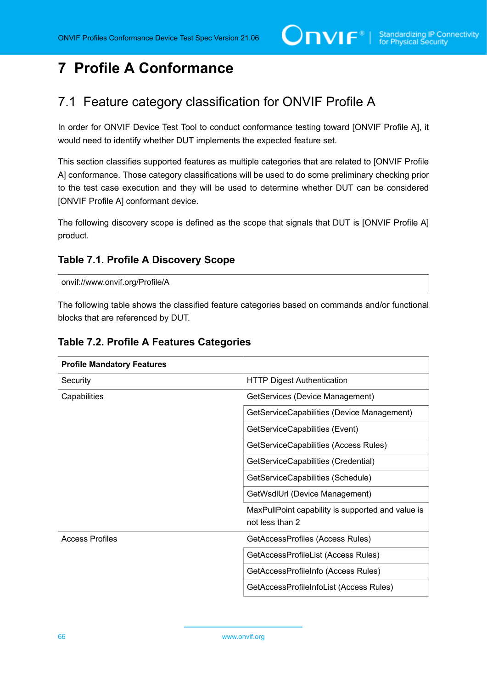# **7 Profile A Conformance**

## 7.1 Feature category classification for ONVIF Profile A

In order for ONVIF Device Test Tool to conduct conformance testing toward [ONVIF Profile A], it would need to identify whether DUT implements the expected feature set.

This section classifies supported features as multiple categories that are related to [ONVIF Profile A] conformance. Those category classifications will be used to do some preliminary checking prior to the test case execution and they will be used to determine whether DUT can be considered [ONVIF Profile A] conformant device.

The following discovery scope is defined as the scope that signals that DUT is [ONVIF Profile A] product.

### <span id="page-65-0"></span>**Table 7.1. Profile A Discovery Scope**

onvif://www.onvif.org/Profile/A

The following table shows the classified feature categories based on commands and/or functional blocks that are referenced by DUT.

| <b>Profile Mandatory Features</b> |                                                                      |
|-----------------------------------|----------------------------------------------------------------------|
| Security                          | <b>HTTP Digest Authentication</b>                                    |
| Capabilities                      | GetServices (Device Management)                                      |
|                                   | GetServiceCapabilities (Device Management)                           |
|                                   | GetServiceCapabilities (Event)                                       |
|                                   | GetServiceCapabilities (Access Rules)                                |
|                                   | GetServiceCapabilities (Credential)                                  |
|                                   | GetServiceCapabilities (Schedule)                                    |
|                                   | GetWsdIUrl (Device Management)                                       |
|                                   | MaxPullPoint capability is supported and value is<br>not less than 2 |
| <b>Access Profiles</b>            | GetAccessProfiles (Access Rules)                                     |
|                                   | GetAccessProfileList (Access Rules)                                  |
|                                   | GetAccessProfileInfo (Access Rules)                                  |
|                                   | GetAccessProfileInfoList (Access Rules)                              |

### **Table 7.2. Profile A Features Categories**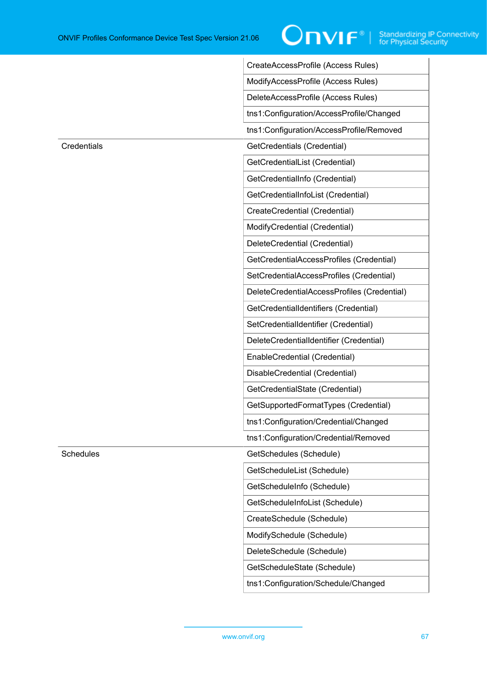|             | CreateAccessProfile (Access Rules)          |
|-------------|---------------------------------------------|
|             | ModifyAccessProfile (Access Rules)          |
|             | DeleteAccessProfile (Access Rules)          |
|             | tns1:Configuration/AccessProfile/Changed    |
|             | tns1:Configuration/AccessProfile/Removed    |
| Credentials | GetCredentials (Credential)                 |
|             | GetCredentialList (Credential)              |
|             | GetCredentialInfo (Credential)              |
|             | GetCredentialInfoList (Credential)          |
|             | CreateCredential (Credential)               |
|             | ModifyCredential (Credential)               |
|             | DeleteCredential (Credential)               |
|             | GetCredentialAccessProfiles (Credential)    |
|             | SetCredentialAccessProfiles (Credential)    |
|             | DeleteCredentialAccessProfiles (Credential) |
|             | GetCredentialIdentifiers (Credential)       |
|             | SetCredentialIdentifier (Credential)        |
|             | DeleteCredentialIdentifier (Credential)     |
|             | EnableCredential (Credential)               |
|             | DisableCredential (Credential)              |
|             | GetCredentialState (Credential)             |
|             | GetSupportedFormatTypes (Credential)        |
|             | tns1:Configuration/Credential/Changed       |
|             | tns1:Configuration/Credential/Removed       |
| Schedules   | GetSchedules (Schedule)                     |
|             | GetScheduleList (Schedule)                  |
|             | GetScheduleInfo (Schedule)                  |
|             | GetScheduleInfoList (Schedule)              |
|             | CreateSchedule (Schedule)                   |
|             | ModifySchedule (Schedule)                   |
|             | DeleteSchedule (Schedule)                   |
|             | GetScheduleState (Schedule)                 |
|             | tns1:Configuration/Schedule/Changed         |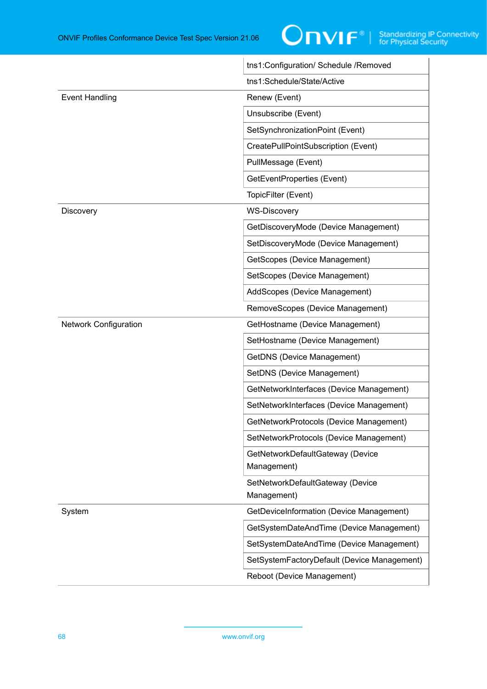

|                              | tns1:Configuration/ Schedule /Removed           |
|------------------------------|-------------------------------------------------|
|                              | tns1:Schedule/State/Active                      |
| <b>Event Handling</b>        | Renew (Event)                                   |
|                              | Unsubscribe (Event)                             |
|                              | SetSynchronizationPoint (Event)                 |
|                              | CreatePullPointSubscription (Event)             |
|                              | PullMessage (Event)                             |
|                              | GetEventProperties (Event)                      |
|                              | TopicFilter (Event)                             |
| Discovery                    | <b>WS-Discovery</b>                             |
|                              | GetDiscoveryMode (Device Management)            |
|                              | SetDiscoveryMode (Device Management)            |
|                              | GetScopes (Device Management)                   |
|                              | SetScopes (Device Management)                   |
|                              | AddScopes (Device Management)                   |
|                              | RemoveScopes (Device Management)                |
| <b>Network Configuration</b> | GetHostname (Device Management)                 |
|                              | SetHostname (Device Management)                 |
|                              | <b>GetDNS (Device Management)</b>               |
|                              | SetDNS (Device Management)                      |
|                              | GetNetworkInterfaces (Device Management)        |
|                              | SetNetworkInterfaces (Device Management)        |
|                              | GetNetworkProtocols (Device Management)         |
|                              | SetNetworkProtocols (Device Management)         |
|                              | GetNetworkDefaultGateway (Device<br>Management) |
|                              | SetNetworkDefaultGateway (Device<br>Management) |
| System                       | GetDeviceInformation (Device Management)        |
|                              | GetSystemDateAndTime (Device Management)        |
|                              | SetSystemDateAndTime (Device Management)        |
|                              | SetSystemFactoryDefault (Device Management)     |
|                              | Reboot (Device Management)                      |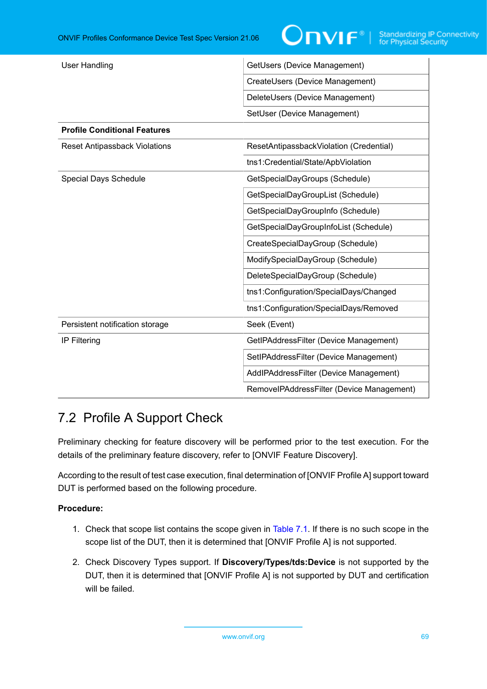| <b>User Handling</b>                 | GetUsers (Device Management)              |
|--------------------------------------|-------------------------------------------|
|                                      | CreateUsers (Device Management)           |
|                                      | DeleteUsers (Device Management)           |
|                                      | SetUser (Device Management)               |
| <b>Profile Conditional Features</b>  |                                           |
| <b>Reset Antipassback Violations</b> | ResetAntipassbackViolation (Credential)   |
|                                      | tns1:Credential/State/ApbViolation        |
| Special Days Schedule                | GetSpecialDayGroups (Schedule)            |
|                                      | GetSpecialDayGroupList (Schedule)         |
|                                      | GetSpecialDayGroupInfo (Schedule)         |
|                                      | GetSpecialDayGroupInfoList (Schedule)     |
|                                      | CreateSpecialDayGroup (Schedule)          |
|                                      | ModifySpecialDayGroup (Schedule)          |
|                                      | DeleteSpecialDayGroup (Schedule)          |
|                                      | tns1:Configuration/SpecialDays/Changed    |
|                                      | tns1:Configuration/SpecialDays/Removed    |
| Persistent notification storage      | Seek (Event)                              |
| <b>IP Filtering</b>                  | GetIPAddressFilter (Device Management)    |
|                                      | SetIPAddressFilter (Device Management)    |
|                                      | AddlPAddressFilter (Device Management)    |
|                                      | RemovelPAddressFilter (Device Management) |

## 7.2 Profile A Support Check

Preliminary checking for feature discovery will be performed prior to the test execution. For the details of the preliminary feature discovery, refer to [ONVIF Feature Discovery].

According to the result of test case execution, final determination of [ONVIF Profile A] support toward DUT is performed based on the following procedure.

- 1. Check that scope list contains the scope given in [Table](#page-65-0) 7.1. If there is no such scope in the scope list of the DUT, then it is determined that [ONVIF Profile A] is not supported.
- 2. Check Discovery Types support. If **Discovery/Types/tds:Device** is not supported by the DUT, then it is determined that [ONVIF Profile A] is not supported by DUT and certification will be failed.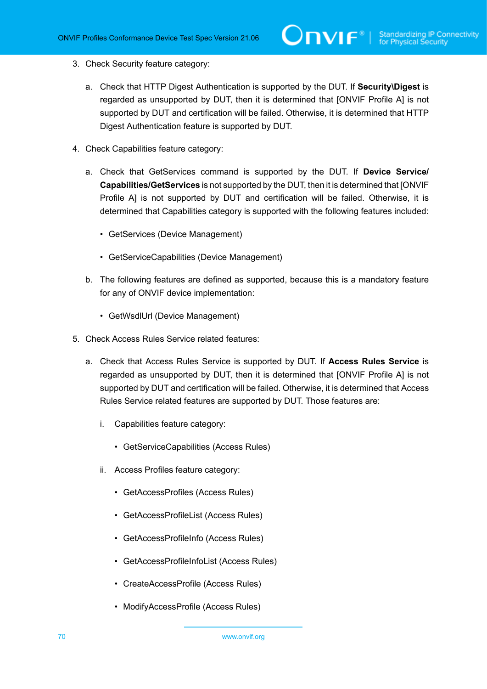- 3. Check Security feature category:
	- a. Check that HTTP Digest Authentication is supported by the DUT. If **Security\Digest** is regarded as unsupported by DUT, then it is determined that [ONVIF Profile A] is not supported by DUT and certification will be failed. Otherwise, it is determined that HTTP Digest Authentication feature is supported by DUT.
- 4. Check Capabilities feature category:
	- a. Check that GetServices command is supported by the DUT. If **Device Service/ Capabilities/GetServices** is not supported by the DUT, then it is determined that [ONVIF Profile A] is not supported by DUT and certification will be failed. Otherwise, it is determined that Capabilities category is supported with the following features included:
		- GetServices (Device Management)
		- GetServiceCapabilities (Device Management)
	- b. The following features are defined as supported, because this is a mandatory feature for any of ONVIF device implementation:
		- GetWsdlUrl (Device Management)
- 5. Check Access Rules Service related features:
	- a. Check that Access Rules Service is supported by DUT. If **Access Rules Service** is regarded as unsupported by DUT, then it is determined that [ONVIF Profile A] is not supported by DUT and certification will be failed. Otherwise, it is determined that Access Rules Service related features are supported by DUT. Those features are:
		- i. Capabilities feature category:
			- GetServiceCapabilities (Access Rules)
		- ii. Access Profiles feature category:
			- GetAccessProfiles (Access Rules)
			- GetAccessProfileList (Access Rules)
			- GetAccessProfileInfo (Access Rules)
			- GetAccessProfileInfoList (Access Rules)
			- CreateAccessProfile (Access Rules)
			- ModifyAccessProfile (Access Rules)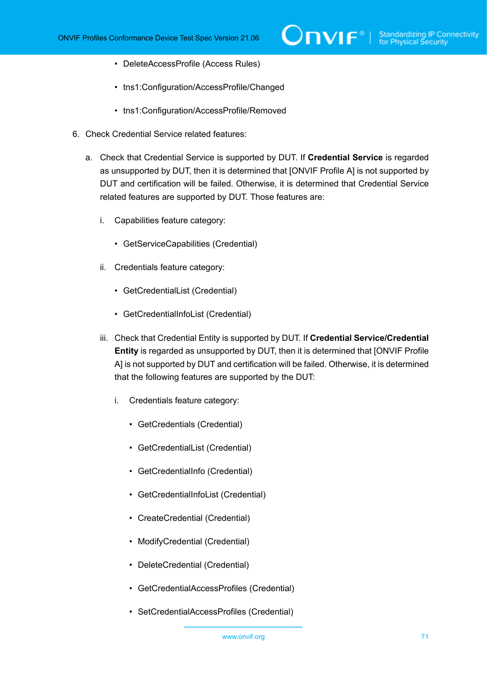- DeleteAccessProfile (Access Rules)
- tns1:Configuration/AccessProfile/Changed
- tns1:Configuration/AccessProfile/Removed
- 6. Check Credential Service related features:
	- a. Check that Credential Service is supported by DUT. If **Credential Service** is regarded as unsupported by DUT, then it is determined that [ONVIF Profile A] is not supported by DUT and certification will be failed. Otherwise, it is determined that Credential Service related features are supported by DUT. Those features are:
		- i. Capabilities feature category:
			- GetServiceCapabilities (Credential)
		- ii. Credentials feature category:
			- GetCredentialList (Credential)
			- GetCredentialInfoList (Credential)
		- iii. Check that Credential Entity is supported by DUT. If **Credential Service/Credential Entity** is regarded as unsupported by DUT, then it is determined that [ONVIF Profile A] is not supported by DUT and certification will be failed. Otherwise, it is determined that the following features are supported by the DUT:
			- i. Credentials feature category:
				- GetCredentials (Credential)
				- GetCredentialList (Credential)
				- GetCredentialInfo (Credential)
				- GetCredentialInfoList (Credential)
				- CreateCredential (Credential)
				- ModifyCredential (Credential)
				- DeleteCredential (Credential)
				- GetCredentialAccessProfiles (Credential)
				- SetCredentialAccessProfiles (Credential)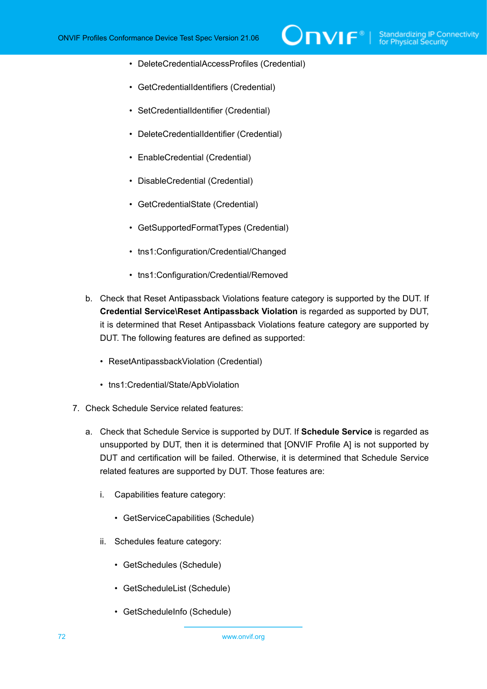- DeleteCredentialAccessProfiles (Credential)
- GetCredentialIdentifiers (Credential)
- SetCredentialIdentifier (Credential)
- DeleteCredentialIdentifier (Credential)
- EnableCredential (Credential)
- DisableCredential (Credential)
- GetCredentialState (Credential)
- GetSupportedFormatTypes (Credential)
- tns1:Configuration/Credential/Changed
- tns1:Configuration/Credential/Removed
- b. Check that Reset Antipassback Violations feature category is supported by the DUT. If **Credential Service\Reset Antipassback Violation** is regarded as supported by DUT, it is determined that Reset Antipassback Violations feature category are supported by DUT. The following features are defined as supported:
	- ResetAntipassbackViolation (Credential)
	- tns1:Credential/State/ApbViolation
- 7. Check Schedule Service related features:
	- a. Check that Schedule Service is supported by DUT. If **Schedule Service** is regarded as unsupported by DUT, then it is determined that [ONVIF Profile A] is not supported by DUT and certification will be failed. Otherwise, it is determined that Schedule Service related features are supported by DUT. Those features are:
		- i. Capabilities feature category:
			- GetServiceCapabilities (Schedule)
		- ii. Schedules feature category:
			- GetSchedules (Schedule)
			- GetScheduleList (Schedule)
			- GetScheduleInfo (Schedule)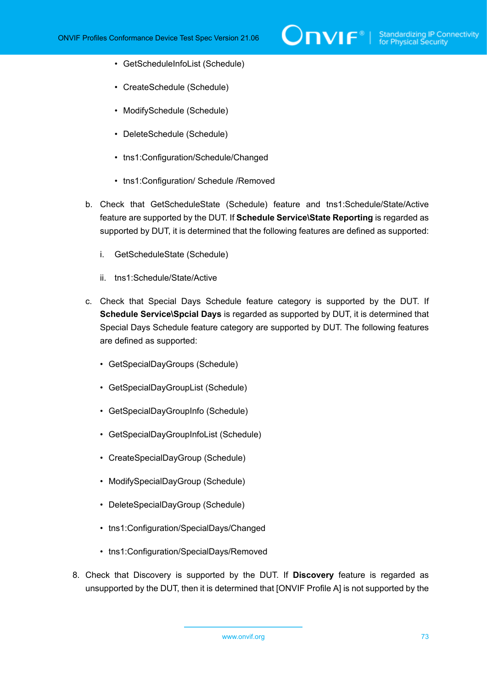- GetScheduleInfoList (Schedule)
- CreateSchedule (Schedule)
- ModifySchedule (Schedule)
- DeleteSchedule (Schedule)
- tns1:Configuration/Schedule/Changed
- tns1:Configuration/ Schedule /Removed
- b. Check that GetScheduleState (Schedule) feature and tns1:Schedule/State/Active feature are supported by the DUT. If **Schedule Service\State Reporting** is regarded as supported by DUT, it is determined that the following features are defined as supported:
	- i. GetScheduleState (Schedule)
	- ii. tns1:Schedule/State/Active
- c. Check that Special Days Schedule feature category is supported by the DUT. If **Schedule Service\Spcial Days** is regarded as supported by DUT, it is determined that Special Days Schedule feature category are supported by DUT. The following features are defined as supported:
	- GetSpecialDayGroups (Schedule)
	- GetSpecialDayGroupList (Schedule)
	- GetSpecialDayGroupInfo (Schedule)
	- GetSpecialDayGroupInfoList (Schedule)
	- CreateSpecialDayGroup (Schedule)
	- ModifySpecialDayGroup (Schedule)
	- DeleteSpecialDayGroup (Schedule)
	- tns1:Configuration/SpecialDays/Changed
	- tns1:Configuration/SpecialDays/Removed
- 8. Check that Discovery is supported by the DUT. If **Discovery** feature is regarded as unsupported by the DUT, then it is determined that [ONVIF Profile A] is not supported by the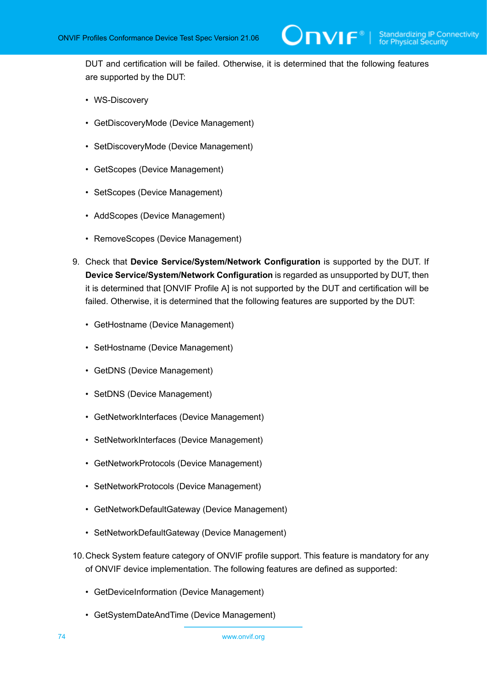DUT and certification will be failed. Otherwise, it is determined that the following features are supported by the DUT:

- WS-Discovery
- GetDiscoveryMode (Device Management)
- SetDiscoveryMode (Device Management)
- GetScopes (Device Management)
- SetScopes (Device Management)
- AddScopes (Device Management)
- RemoveScopes (Device Management)
- 9. Check that **Device Service/System/Network Configuration** is supported by the DUT. If **Device Service/System/Network Configuration** is regarded as unsupported by DUT, then it is determined that [ONVIF Profile A] is not supported by the DUT and certification will be failed. Otherwise, it is determined that the following features are supported by the DUT:
	- GetHostname (Device Management)
	- SetHostname (Device Management)
	- GetDNS (Device Management)
	- SetDNS (Device Management)
	- GetNetworkInterfaces (Device Management)
	- SetNetworkInterfaces (Device Management)
	- GetNetworkProtocols (Device Management)
	- SetNetworkProtocols (Device Management)
	- GetNetworkDefaultGateway (Device Management)
	- SetNetworkDefaultGateway (Device Management)
- 10.Check System feature category of ONVIF profile support. This feature is mandatory for any of ONVIF device implementation. The following features are defined as supported:
	- GetDeviceInformation (Device Management)
	- GetSystemDateAndTime (Device Management)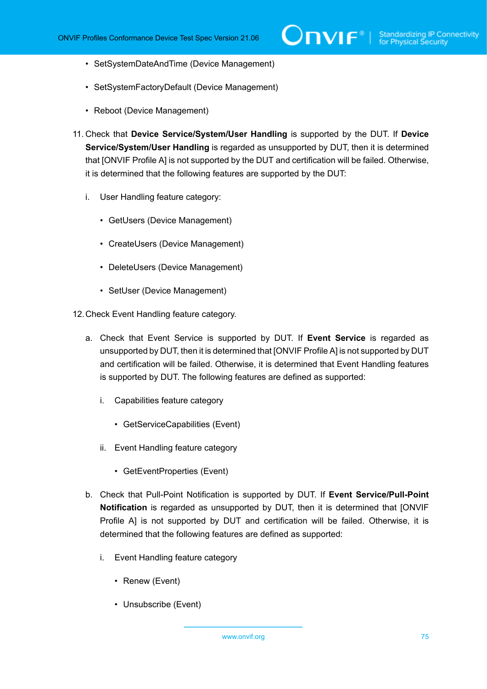- SetSystemDateAndTime (Device Management)
- SetSystemFactoryDefault (Device Management)
- Reboot (Device Management)
- 11. Check that **Device Service/System/User Handling** is supported by the DUT. If **Device Service/System/User Handling** is regarded as unsupported by DUT, then it is determined that [ONVIF Profile A] is not supported by the DUT and certification will be failed. Otherwise, it is determined that the following features are supported by the DUT:
	- i. User Handling feature category:
		- GetUsers (Device Management)
		- CreateUsers (Device Management)
		- DeleteUsers (Device Management)
		- SetUser (Device Management)

12.Check Event Handling feature category.

- a. Check that Event Service is supported by DUT. If **Event Service** is regarded as unsupported by DUT, then it is determined that [ONVIF Profile A] is not supported by DUT and certification will be failed. Otherwise, it is determined that Event Handling features is supported by DUT. The following features are defined as supported:
	- i. Capabilities feature category
		- GetServiceCapabilities (Event)
	- ii. Event Handling feature category
		- GetEventProperties (Event)
- b. Check that Pull-Point Notification is supported by DUT. If **Event Service/Pull-Point Notification** is regarded as unsupported by DUT, then it is determined that [ONVIF Profile A] is not supported by DUT and certification will be failed. Otherwise, it is determined that the following features are defined as supported:
	- i. Event Handling feature category
		- Renew (Event)
		- Unsubscribe (Event)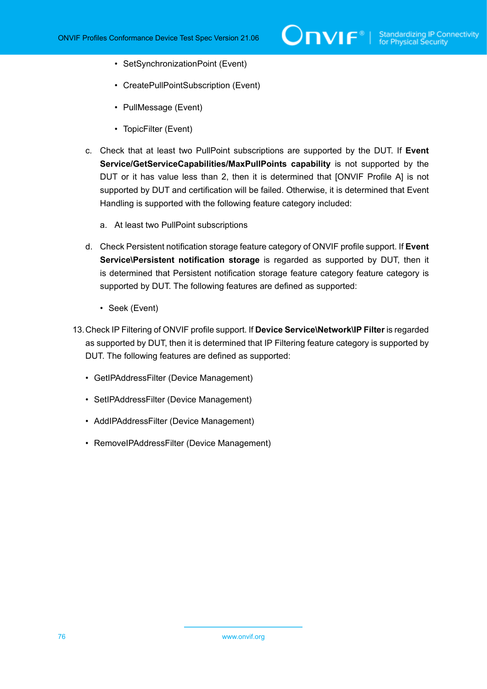- SetSynchronizationPoint (Event)
- CreatePullPointSubscription (Event)
- PullMessage (Event)
- TopicFilter (Event)
- c. Check that at least two PullPoint subscriptions are supported by the DUT. If **Event Service/GetServiceCapabilities/MaxPullPoints capability** is not supported by the DUT or it has value less than 2, then it is determined that [ONVIF Profile A] is not supported by DUT and certification will be failed. Otherwise, it is determined that Event Handling is supported with the following feature category included:
	- a. At least two PullPoint subscriptions
- d. Check Persistent notification storage feature category of ONVIF profile support. If **Event Service\Persistent notification storage** is regarded as supported by DUT, then it is determined that Persistent notification storage feature category feature category is supported by DUT. The following features are defined as supported:
	- Seek (Event)
- 13.Check IP Filtering of ONVIF profile support. If **Device Service\Network\IP Filter** is regarded as supported by DUT, then it is determined that IP Filtering feature category is supported by DUT. The following features are defined as supported:
	- GetIPAddressFilter (Device Management)
	- SetIPAddressFilter (Device Management)
	- AddIPAddressFilter (Device Management)
	- RemoveIPAddressFilter (Device Management)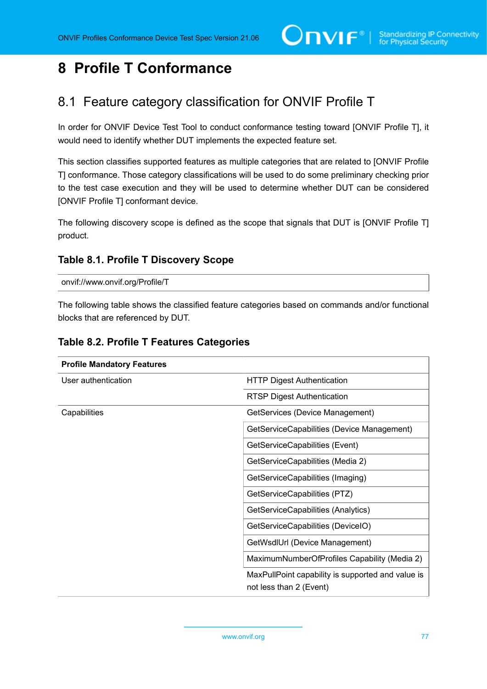# **8 Profile T Conformance**

# 8.1 Feature category classification for ONVIF Profile T

In order for ONVIF Device Test Tool to conduct conformance testing toward [ONVIF Profile T], it would need to identify whether DUT implements the expected feature set.

This section classifies supported features as multiple categories that are related to [ONVIF Profile T] conformance. Those category classifications will be used to do some preliminary checking prior to the test case execution and they will be used to determine whether DUT can be considered [ONVIF Profile T] conformant device.

The following discovery scope is defined as the scope that signals that DUT is [ONVIF Profile T] product.

## <span id="page-76-0"></span>**Table 8.1. Profile T Discovery Scope**

onvif://www.onvif.org/Profile/T

The following table shows the classified feature categories based on commands and/or functional blocks that are referenced by DUT.

## **Table 8.2. Profile T Features Categories**

| <b>Profile Mandatory Features</b> |                                                                              |
|-----------------------------------|------------------------------------------------------------------------------|
| User authentication               | <b>HTTP Digest Authentication</b>                                            |
|                                   | <b>RTSP Digest Authentication</b>                                            |
| Capabilities                      | GetServices (Device Management)                                              |
|                                   | GetServiceCapabilities (Device Management)                                   |
|                                   | GetServiceCapabilities (Event)                                               |
|                                   | GetServiceCapabilities (Media 2)                                             |
|                                   | GetServiceCapabilities (Imaging)                                             |
|                                   | GetServiceCapabilities (PTZ)                                                 |
|                                   | GetServiceCapabilities (Analytics)                                           |
|                                   | GetServiceCapabilities (DeviceIO)                                            |
|                                   | GetWsdIUrl (Device Management)                                               |
|                                   | MaximumNumberOfProfiles Capability (Media 2)                                 |
|                                   | MaxPullPoint capability is supported and value is<br>not less than 2 (Event) |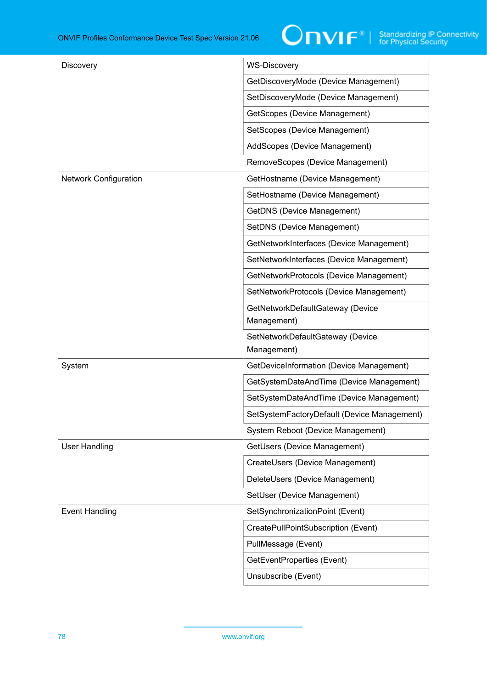| Discovery                    | <b>WS-Discovery</b>                         |
|------------------------------|---------------------------------------------|
|                              | GetDiscoveryMode (Device Management)        |
|                              | SetDiscoveryMode (Device Management)        |
|                              | GetScopes (Device Management)               |
|                              | SetScopes (Device Management)               |
|                              | AddScopes (Device Management)               |
|                              | RemoveScopes (Device Management)            |
| <b>Network Configuration</b> | GetHostname (Device Management)             |
|                              | SetHostname (Device Management)             |
|                              | <b>GetDNS (Device Management)</b>           |
|                              | SetDNS (Device Management)                  |
|                              | GetNetworkInterfaces (Device Management)    |
|                              | SetNetworkInterfaces (Device Management)    |
|                              | GetNetworkProtocols (Device Management)     |
|                              | SetNetworkProtocols (Device Management)     |
|                              | GetNetworkDefaultGateway (Device            |
|                              | Management)                                 |
|                              | SetNetworkDefaultGateway (Device            |
|                              | Management)                                 |
| System                       | GetDeviceInformation (Device Management)    |
|                              | GetSystemDateAndTime (Device Management)    |
|                              | SetSystemDateAndTime (Device Management)    |
|                              | SetSystemFactoryDefault (Device Management) |
|                              | System Reboot (Device Management)           |
| <b>User Handling</b>         | GetUsers (Device Management)                |
|                              | CreateUsers (Device Management)             |
|                              | DeleteUsers (Device Management)             |
|                              | SetUser (Device Management)                 |
| <b>Event Handling</b>        | SetSynchronizationPoint (Event)             |
|                              | CreatePullPointSubscription (Event)         |
|                              | PullMessage (Event)                         |
|                              | GetEventProperties (Event)                  |
|                              | Unsubscribe (Event)                         |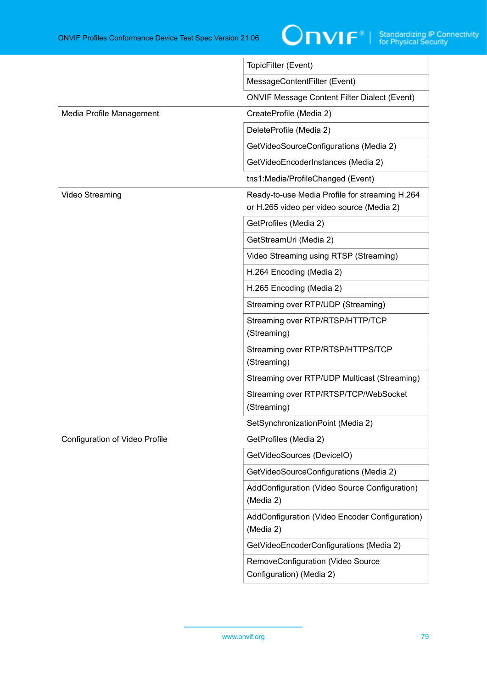

|                                | TopicFilter (Event)                                                                         |
|--------------------------------|---------------------------------------------------------------------------------------------|
|                                | MessageContentFilter (Event)                                                                |
|                                | <b>ONVIF Message Content Filter Dialect (Event)</b>                                         |
| Media Profile Management       | CreateProfile (Media 2)                                                                     |
|                                | DeleteProfile (Media 2)                                                                     |
|                                | GetVideoSourceConfigurations (Media 2)                                                      |
|                                | GetVideoEncoderInstances (Media 2)                                                          |
|                                | tns1:Media/ProfileChanged (Event)                                                           |
| Video Streaming                | Ready-to-use Media Profile for streaming H.264<br>or H.265 video per video source (Media 2) |
|                                | GetProfiles (Media 2)                                                                       |
|                                | GetStreamUri (Media 2)                                                                      |
|                                | Video Streaming using RTSP (Streaming)                                                      |
|                                | H.264 Encoding (Media 2)                                                                    |
|                                | H.265 Encoding (Media 2)                                                                    |
|                                | Streaming over RTP/UDP (Streaming)                                                          |
|                                | Streaming over RTP/RTSP/HTTP/TCP<br>(Streaming)                                             |
|                                | Streaming over RTP/RTSP/HTTPS/TCP<br>(Streaming)                                            |
|                                | Streaming over RTP/UDP Multicast (Streaming)                                                |
|                                | Streaming over RTP/RTSP/TCP/WebSocket<br>(Streaming)                                        |
|                                | SetSynchronizationPoint (Media 2)                                                           |
| Configuration of Video Profile | GetProfiles (Media 2)                                                                       |
|                                | GetVideoSources (DeviceIO)                                                                  |
|                                | GetVideoSourceConfigurations (Media 2)                                                      |
|                                | AddConfiguration (Video Source Configuration)<br>(Media 2)                                  |
|                                | AddConfiguration (Video Encoder Configuration)<br>(Media 2)                                 |
|                                | GetVideoEncoderConfigurations (Media 2)                                                     |
|                                | RemoveConfiguration (Video Source<br>Configuration) (Media 2)                               |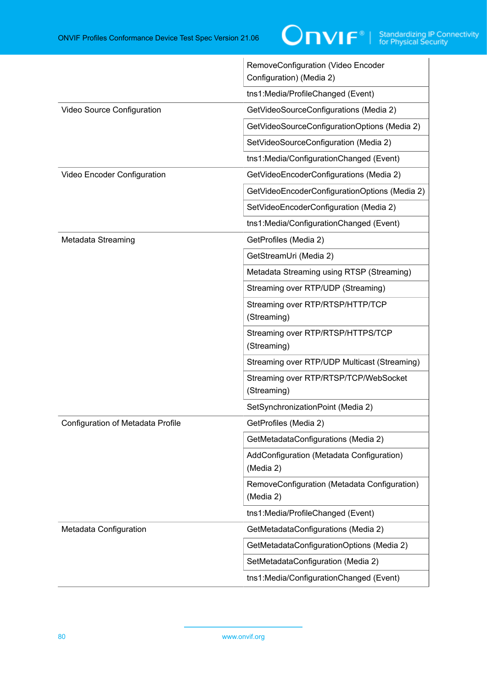|                                   | RemoveConfiguration (Video Encoder<br>Configuration) (Media 2) |
|-----------------------------------|----------------------------------------------------------------|
|                                   | tns1:Media/ProfileChanged (Event)                              |
| Video Source Configuration        | GetVideoSourceConfigurations (Media 2)                         |
|                                   | GetVideoSourceConfigurationOptions (Media 2)                   |
|                                   | SetVideoSourceConfiguration (Media 2)                          |
|                                   | tns1:Media/ConfigurationChanged (Event)                        |
| Video Encoder Configuration       | GetVideoEncoderConfigurations (Media 2)                        |
|                                   | GetVideoEncoderConfigurationOptions (Media 2)                  |
|                                   | SetVideoEncoderConfiguration (Media 2)                         |
|                                   | tns1:Media/ConfigurationChanged (Event)                        |
| Metadata Streaming                | GetProfiles (Media 2)                                          |
|                                   | GetStreamUri (Media 2)                                         |
|                                   | Metadata Streaming using RTSP (Streaming)                      |
|                                   | Streaming over RTP/UDP (Streaming)                             |
|                                   | Streaming over RTP/RTSP/HTTP/TCP<br>(Streaming)                |
|                                   | Streaming over RTP/RTSP/HTTPS/TCP<br>(Streaming)               |
|                                   | Streaming over RTP/UDP Multicast (Streaming)                   |
|                                   | Streaming over RTP/RTSP/TCP/WebSocket<br>(Streaming)           |
|                                   | SetSynchronizationPoint (Media 2)                              |
| Configuration of Metadata Profile | GetProfiles (Media 2)                                          |
|                                   | GetMetadataConfigurations (Media 2)                            |
|                                   | AddConfiguration (Metadata Configuration)<br>(Media 2)         |
|                                   | RemoveConfiguration (Metadata Configuration)<br>(Media 2)      |
|                                   | tns1:Media/ProfileChanged (Event)                              |
| Metadata Configuration            | GetMetadataConfigurations (Media 2)                            |
|                                   | GetMetadataConfigurationOptions (Media 2)                      |
|                                   | SetMetadataConfiguration (Media 2)                             |
|                                   | tns1:Media/ConfigurationChanged (Event)                        |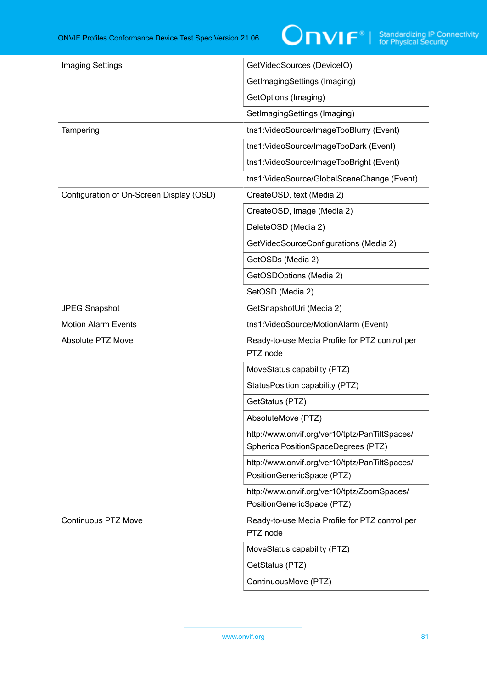| <b>Imaging Settings</b>                  | GetVideoSources (DeviceIO)                                                            |
|------------------------------------------|---------------------------------------------------------------------------------------|
|                                          | GetImagingSettings (Imaging)                                                          |
|                                          | GetOptions (Imaging)                                                                  |
|                                          | SetImagingSettings (Imaging)                                                          |
| Tampering                                | tns1: VideoSource/ImageTooBlurry (Event)                                              |
|                                          | tns1: VideoSource/ImageTooDark (Event)                                                |
|                                          | tns1: VideoSource/ImageTooBright (Event)                                              |
|                                          | tns1:VideoSource/GlobalSceneChange (Event)                                            |
| Configuration of On-Screen Display (OSD) | CreateOSD, text (Media 2)                                                             |
|                                          | CreateOSD, image (Media 2)                                                            |
|                                          | DeleteOSD (Media 2)                                                                   |
|                                          | GetVideoSourceConfigurations (Media 2)                                                |
|                                          | GetOSDs (Media 2)                                                                     |
|                                          | GetOSDOptions (Media 2)                                                               |
|                                          | SetOSD (Media 2)                                                                      |
| <b>JPEG Snapshot</b>                     | GetSnapshotUri (Media 2)                                                              |
| <b>Motion Alarm Events</b>               | tns1: VideoSource/MotionAlarm (Event)                                                 |
| Absolute PTZ Move                        | Ready-to-use Media Profile for PTZ control per<br>PTZ node                            |
|                                          | MoveStatus capability (PTZ)                                                           |
|                                          | StatusPosition capability (PTZ)                                                       |
|                                          | GetStatus (PTZ)                                                                       |
|                                          | AbsoluteMove (PTZ)                                                                    |
|                                          | http://www.onvif.org/ver10/tptz/PanTiltSpaces/<br>SphericalPositionSpaceDegrees (PTZ) |
|                                          | http://www.onvif.org/ver10/tptz/PanTiltSpaces/<br>PositionGenericSpace (PTZ)          |
|                                          | http://www.onvif.org/ver10/tptz/ZoomSpaces/<br>PositionGenericSpace (PTZ)             |
| <b>Continuous PTZ Move</b>               | Ready-to-use Media Profile for PTZ control per<br>PTZ node                            |
|                                          | MoveStatus capability (PTZ)                                                           |
|                                          | GetStatus (PTZ)                                                                       |
|                                          | ContinuousMove (PTZ)                                                                  |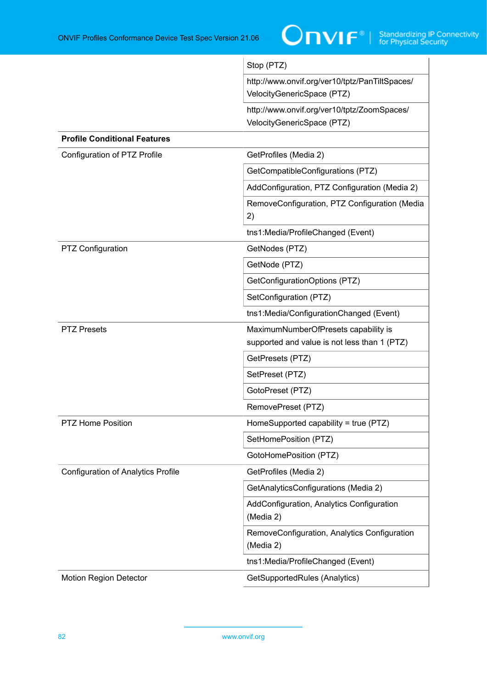

|                                           | Stop (PTZ)                                                                           |
|-------------------------------------------|--------------------------------------------------------------------------------------|
|                                           | http://www.onvif.org/ver10/tptz/PanTiltSpaces/<br>VelocityGenericSpace (PTZ)         |
|                                           | http://www.onvif.org/ver10/tptz/ZoomSpaces/<br>VelocityGenericSpace (PTZ)            |
| <b>Profile Conditional Features</b>       |                                                                                      |
| Configuration of PTZ Profile              | GetProfiles (Media 2)                                                                |
|                                           | GetCompatibleConfigurations (PTZ)                                                    |
|                                           | AddConfiguration, PTZ Configuration (Media 2)                                        |
|                                           | RemoveConfiguration, PTZ Configuration (Media<br>2)                                  |
|                                           | tns1:Media/ProfileChanged (Event)                                                    |
| <b>PTZ Configuration</b>                  | GetNodes (PTZ)                                                                       |
|                                           | GetNode (PTZ)                                                                        |
|                                           | GetConfigurationOptions (PTZ)                                                        |
|                                           | SetConfiguration (PTZ)                                                               |
|                                           | tns1:Media/ConfigurationChanged (Event)                                              |
| <b>PTZ Presets</b>                        | MaximumNumberOfPresets capability is<br>supported and value is not less than 1 (PTZ) |
|                                           | GetPresets (PTZ)                                                                     |
|                                           | SetPreset (PTZ)                                                                      |
|                                           | GotoPreset (PTZ)                                                                     |
|                                           | RemovePreset (PTZ)                                                                   |
| <b>PTZ Home Position</b>                  | HomeSupported capability = true (PTZ)                                                |
|                                           | SetHomePosition (PTZ)                                                                |
|                                           | GotoHomePosition (PTZ)                                                               |
| <b>Configuration of Analytics Profile</b> | GetProfiles (Media 2)                                                                |
|                                           | GetAnalyticsConfigurations (Media 2)                                                 |
|                                           | AddConfiguration, Analytics Configuration<br>(Media 2)                               |
|                                           | RemoveConfiguration, Analytics Configuration<br>(Media 2)                            |
|                                           | tns1:Media/ProfileChanged (Event)                                                    |
| <b>Motion Region Detector</b>             | GetSupportedRules (Analytics)                                                        |
|                                           |                                                                                      |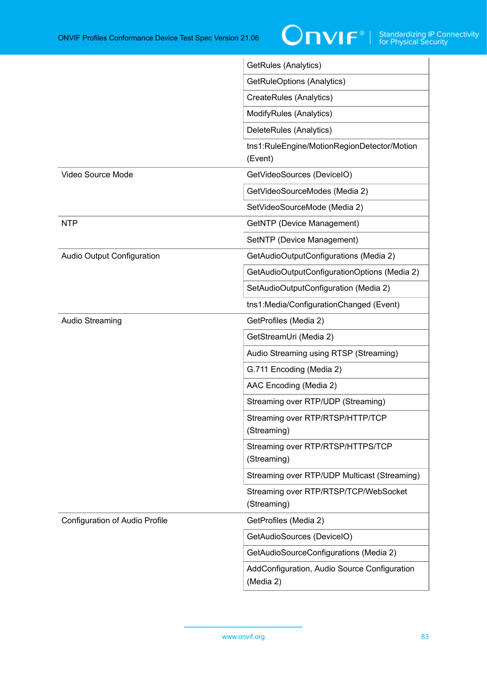

|                                | GetRules (Analytics)                                      |
|--------------------------------|-----------------------------------------------------------|
|                                | GetRuleOptions (Analytics)                                |
|                                | CreateRules (Analytics)                                   |
|                                | ModifyRules (Analytics)                                   |
|                                | DeleteRules (Analytics)                                   |
|                                | tns1:RuleEngine/MotionRegionDetector/Motion<br>(Event)    |
| Video Source Mode              | GetVideoSources (DeviceIO)                                |
|                                | GetVideoSourceModes (Media 2)                             |
|                                | SetVideoSourceMode (Media 2)                              |
| <b>NTP</b>                     | GetNTP (Device Management)                                |
|                                | SetNTP (Device Management)                                |
| Audio Output Configuration     | GetAudioOutputConfigurations (Media 2)                    |
|                                | GetAudioOutputConfigurationOptions (Media 2)              |
|                                | SetAudioOutputConfiguration (Media 2)                     |
|                                | tns1:Media/ConfigurationChanged (Event)                   |
| <b>Audio Streaming</b>         | GetProfiles (Media 2)                                     |
|                                | GetStreamUri (Media 2)                                    |
|                                | Audio Streaming using RTSP (Streaming)                    |
|                                | G.711 Encoding (Media 2)                                  |
|                                | AAC Encoding (Media 2)                                    |
|                                | Streaming over RTP/UDP (Streaming)                        |
|                                | Streaming over RTP/RTSP/HTTP/TCP<br>(Streaming)           |
|                                | Streaming over RTP/RTSP/HTTPS/TCP<br>(Streaming)          |
|                                | Streaming over RTP/UDP Multicast (Streaming)              |
|                                | Streaming over RTP/RTSP/TCP/WebSocket<br>(Streaming)      |
| Configuration of Audio Profile | GetProfiles (Media 2)                                     |
|                                | GetAudioSources (DeviceIO)                                |
|                                | GetAudioSourceConfigurations (Media 2)                    |
|                                | AddConfiguration, Audio Source Configuration<br>(Media 2) |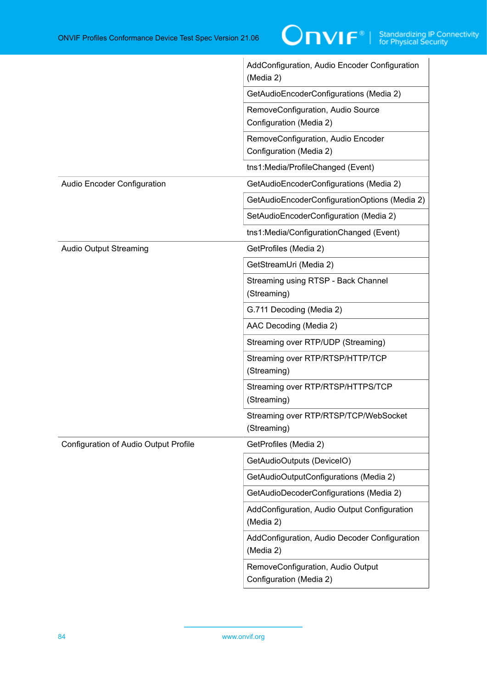|                                       | AddConfiguration, Audio Encoder Configuration<br>(Media 2)    |
|---------------------------------------|---------------------------------------------------------------|
|                                       | GetAudioEncoderConfigurations (Media 2)                       |
|                                       | RemoveConfiguration, Audio Source<br>Configuration (Media 2)  |
|                                       | RemoveConfiguration, Audio Encoder<br>Configuration (Media 2) |
|                                       | tns1:Media/ProfileChanged (Event)                             |
| <b>Audio Encoder Configuration</b>    | GetAudioEncoderConfigurations (Media 2)                       |
|                                       | GetAudioEncoderConfigurationOptions (Media 2)                 |
|                                       | SetAudioEncoderConfiguration (Media 2)                        |
|                                       | tns1:Media/ConfigurationChanged (Event)                       |
| <b>Audio Output Streaming</b>         | GetProfiles (Media 2)                                         |
|                                       | GetStreamUri (Media 2)                                        |
|                                       | Streaming using RTSP - Back Channel<br>(Streaming)            |
|                                       | G.711 Decoding (Media 2)                                      |
|                                       | AAC Decoding (Media 2)                                        |
|                                       | Streaming over RTP/UDP (Streaming)                            |
|                                       | Streaming over RTP/RTSP/HTTP/TCP<br>(Streaming)               |
|                                       | Streaming over RTP/RTSP/HTTPS/TCP<br>(Streaming)              |
|                                       | Streaming over RTP/RTSP/TCP/WebSocket<br>(Streaming)          |
| Configuration of Audio Output Profile | GetProfiles (Media 2)                                         |
|                                       | GetAudioOutputs (DeviceIO)                                    |
|                                       | GetAudioOutputConfigurations (Media 2)                        |
|                                       | GetAudioDecoderConfigurations (Media 2)                       |
|                                       | AddConfiguration, Audio Output Configuration<br>(Media 2)     |
|                                       | AddConfiguration, Audio Decoder Configuration<br>(Media 2)    |
|                                       | RemoveConfiguration, Audio Output<br>Configuration (Media 2)  |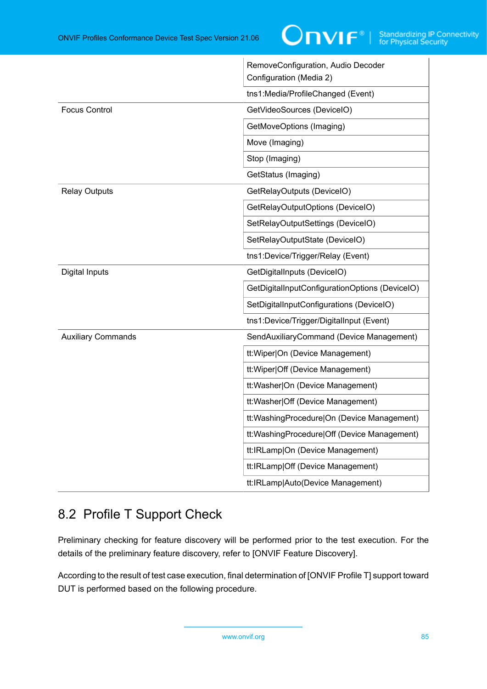|                           | RemoveConfiguration, Audio Decoder<br>Configuration (Media 2) |
|---------------------------|---------------------------------------------------------------|
|                           | tns1:Media/ProfileChanged (Event)                             |
| <b>Focus Control</b>      | GetVideoSources (DeviceIO)                                    |
|                           | GetMoveOptions (Imaging)                                      |
|                           | Move (Imaging)                                                |
|                           | Stop (Imaging)                                                |
|                           | GetStatus (Imaging)                                           |
| <b>Relay Outputs</b>      | GetRelayOutputs (DeviceIO)                                    |
|                           | GetRelayOutputOptions (DeviceIO)                              |
|                           | SetRelayOutputSettings (DeviceIO)                             |
|                           | SetRelayOutputState (DeviceIO)                                |
|                           | tns1:Device/Trigger/Relay (Event)                             |
| Digital Inputs            | GetDigitalInputs (DeviceIO)                                   |
|                           | GetDigitalInputConfigurationOptions (DeviceIO)                |
|                           | SetDigitalInputConfigurations (DeviceIO)                      |
|                           | tns1:Device/Trigger/DigitalInput (Event)                      |
| <b>Auxiliary Commands</b> | SendAuxiliaryCommand (Device Management)                      |
|                           | tt: Wiper On (Device Management)                              |
|                           | tt: Wiper Off (Device Management)                             |
|                           | tt:Washer On (Device Management)                              |
|                           | tt:Washer Off (Device Management)                             |
|                           | tt: Washing Procedure   On (Device Management)                |
|                           | tt: Washing Procedure   Off (Device Management)               |
|                           | tt:IRLamp On (Device Management)                              |
|                           | tt:IRLamp Off (Device Management)                             |
|                           | tt:IRLamp Auto(Device Management)                             |

 $\overline{1}$ 

# 8.2 Profile T Support Check

Preliminary checking for feature discovery will be performed prior to the test execution. For the details of the preliminary feature discovery, refer to [ONVIF Feature Discovery].

According to the result of test case execution, final determination of [ONVIF Profile T] support toward DUT is performed based on the following procedure.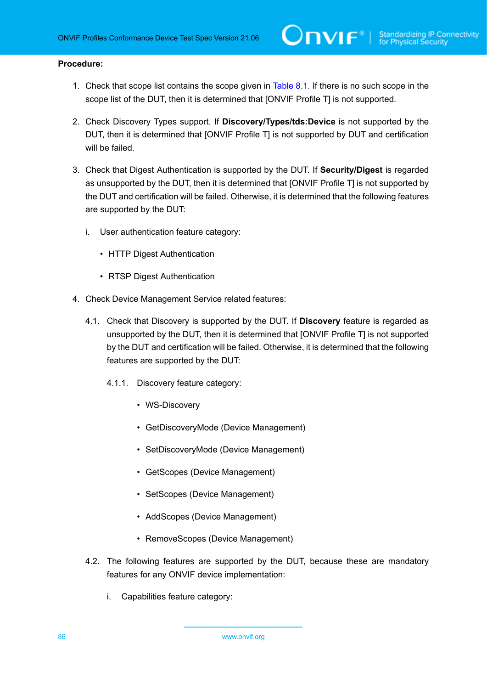### **Procedure:**

- 1. Check that scope list contains the scope given in [Table](#page-76-0) 8.1. If there is no such scope in the scope list of the DUT, then it is determined that [ONVIF Profile T] is not supported.
- 2. Check Discovery Types support. If **Discovery/Types/tds:Device** is not supported by the DUT, then it is determined that [ONVIF Profile T] is not supported by DUT and certification will be failed.
- 3. Check that Digest Authentication is supported by the DUT. If **Security/Digest** is regarded as unsupported by the DUT, then it is determined that [ONVIF Profile T] is not supported by the DUT and certification will be failed. Otherwise, it is determined that the following features are supported by the DUT:
	- i. User authentication feature category:
		- HTTP Digest Authentication
		- RTSP Digest Authentication
- 4. Check Device Management Service related features:
	- 4.1. Check that Discovery is supported by the DUT. If **Discovery** feature is regarded as unsupported by the DUT, then it is determined that [ONVIF Profile T] is not supported by the DUT and certification will be failed. Otherwise, it is determined that the following features are supported by the DUT:
		- 4.1.1. Discovery feature category:
			- WS-Discovery
			- GetDiscoveryMode (Device Management)
			- SetDiscoveryMode (Device Management)
			- GetScopes (Device Management)
			- SetScopes (Device Management)
			- AddScopes (Device Management)
			- RemoveScopes (Device Management)
	- 4.2. The following features are supported by the DUT, because these are mandatory features for any ONVIF device implementation:
		- i. Capabilities feature category: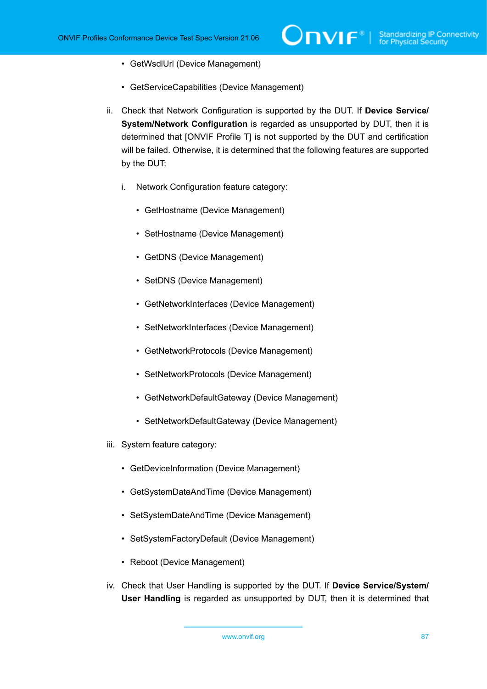- GetWsdlUrl (Device Management)
- GetServiceCapabilities (Device Management)
- ii. Check that Network Configuration is supported by the DUT. If **Device Service/ System/Network Configuration** is regarded as unsupported by DUT, then it is determined that [ONVIF Profile T] is not supported by the DUT and certification will be failed. Otherwise, it is determined that the following features are supported by the DUT:
	- i. Network Configuration feature category:
		- GetHostname (Device Management)
		- SetHostname (Device Management)
		- GetDNS (Device Management)
		- SetDNS (Device Management)
		- GetNetworkInterfaces (Device Management)
		- SetNetworkInterfaces (Device Management)
		- GetNetworkProtocols (Device Management)
		- SetNetworkProtocols (Device Management)
		- GetNetworkDefaultGateway (Device Management)
		- SetNetworkDefaultGateway (Device Management)
- iii. System feature category:
	- GetDeviceInformation (Device Management)
	- GetSystemDateAndTime (Device Management)
	- SetSystemDateAndTime (Device Management)
	- SetSystemFactoryDefault (Device Management)
	- Reboot (Device Management)
- iv. Check that User Handling is supported by the DUT. If **Device Service/System/ User Handling** is regarded as unsupported by DUT, then it is determined that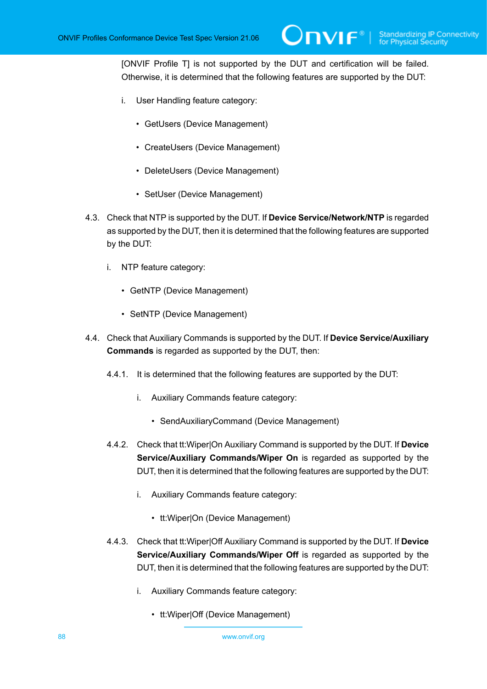[ONVIF Profile T] is not supported by the DUT and certification will be failed. Otherwise, it is determined that the following features are supported by the DUT:

- i. User Handling feature category:
	- GetUsers (Device Management)
	- CreateUsers (Device Management)
	- DeleteUsers (Device Management)
	- SetUser (Device Management)
- 4.3. Check that NTP is supported by the DUT. If **Device Service/Network/NTP** is regarded as supported by the DUT, then it is determined that the following features are supported by the DUT:
	- i. NTP feature category:
		- GetNTP (Device Management)
		- SetNTP (Device Management)
- 4.4. Check that Auxiliary Commands is supported by the DUT. If **Device Service/Auxiliary Commands** is regarded as supported by the DUT, then:
	- 4.4.1. It is determined that the following features are supported by the DUT:
		- i. Auxiliary Commands feature category:
			- SendAuxiliaryCommand (Device Management)
	- 4.4.2. Check that tt:Wiper|On Auxiliary Command is supported by the DUT. If **Device Service/Auxiliary Commands/Wiper On** is regarded as supported by the DUT, then it is determined that the following features are supported by the DUT:
		- i. Auxiliary Commands feature category:
			- tt:Wiper|On (Device Management)
	- 4.4.3. Check that tt:Wiper|Off Auxiliary Command is supported by the DUT. If **Device Service/Auxiliary Commands/Wiper Off** is regarded as supported by the DUT, then it is determined that the following features are supported by the DUT:
		- i. Auxiliary Commands feature category:
			- tt:Wiper|Off (Device Management)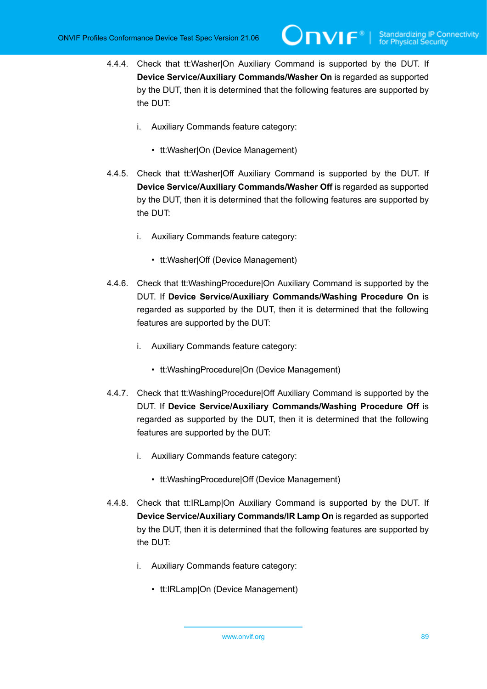- 4.4.4. Check that tt:Washer|On Auxiliary Command is supported by the DUT. If **Device Service/Auxiliary Commands/Washer On** is regarded as supported by the DUT, then it is determined that the following features are supported by the DUT:
	- i. Auxiliary Commands feature category:
		- tt:Washer|On (Device Management)
- 4.4.5. Check that tt:Washer|Off Auxiliary Command is supported by the DUT. If **Device Service/Auxiliary Commands/Washer Off** is regarded as supported by the DUT, then it is determined that the following features are supported by the DUT:
	- i. Auxiliary Commands feature category:
		- tt:Washer|Off (Device Management)
- 4.4.6. Check that tt:WashingProcedure|On Auxiliary Command is supported by the DUT. If **Device Service/Auxiliary Commands/Washing Procedure On** is regarded as supported by the DUT, then it is determined that the following features are supported by the DUT:
	- i. Auxiliary Commands feature category:
		- tt:WashingProcedure|On (Device Management)
- 4.4.7. Check that tt:WashingProcedure|Off Auxiliary Command is supported by the DUT. If **Device Service/Auxiliary Commands/Washing Procedure Off** is regarded as supported by the DUT, then it is determined that the following features are supported by the DUT:
	- i. Auxiliary Commands feature category:
		- tt:WashingProcedure|Off (Device Management)
- 4.4.8. Check that tt:IRLamp|On Auxiliary Command is supported by the DUT. If **Device Service/Auxiliary Commands/IR Lamp On** is regarded as supported by the DUT, then it is determined that the following features are supported by the DUT:
	- i. Auxiliary Commands feature category:
		- tt:IRLamp|On (Device Management)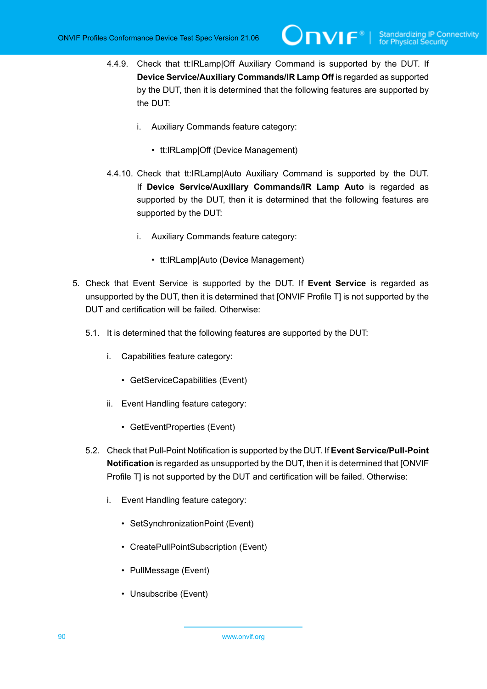- 4.4.9. Check that tt:IRLamp|Off Auxiliary Command is supported by the DUT. If **Device Service/Auxiliary Commands/IR Lamp Off** is regarded as supported by the DUT, then it is determined that the following features are supported by the DUT:
	- i. Auxiliary Commands feature category:
		- tt:IRLamp|Off (Device Management)
- 4.4.10. Check that tt:IRLamp|Auto Auxiliary Command is supported by the DUT. If **Device Service/Auxiliary Commands/IR Lamp Auto** is regarded as supported by the DUT, then it is determined that the following features are supported by the DUT:
	- i. Auxiliary Commands feature category:
		- tt:IRLamp|Auto (Device Management)
- 5. Check that Event Service is supported by the DUT. If **Event Service** is regarded as unsupported by the DUT, then it is determined that [ONVIF Profile T] is not supported by the DUT and certification will be failed. Otherwise:
	- 5.1. It is determined that the following features are supported by the DUT:
		- i. Capabilities feature category:
			- GetServiceCapabilities (Event)
		- ii. Event Handling feature category:
			- GetEventProperties (Event)
	- 5.2. Check that Pull-Point Notification is supported by the DUT. If **Event Service/Pull-Point Notification** is regarded as unsupported by the DUT, then it is determined that [ONVIF Profile T] is not supported by the DUT and certification will be failed. Otherwise:
		- i. Event Handling feature category:
			- SetSynchronizationPoint (Event)
			- CreatePullPointSubscription (Event)
			- PullMessage (Event)
			- Unsubscribe (Event)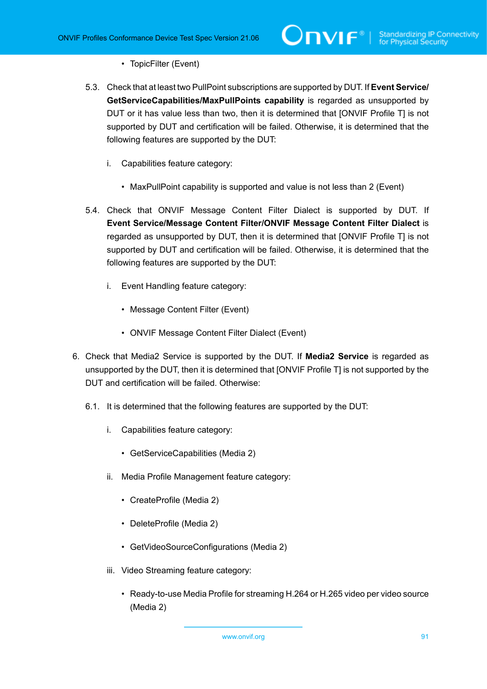- TopicFilter (Event)
- 5.3. Check that at least two PullPoint subscriptions are supported by DUT. If **Event Service/ GetServiceCapabilities/MaxPullPoints capability** is regarded as unsupported by DUT or it has value less than two, then it is determined that [ONVIF Profile T] is not supported by DUT and certification will be failed. Otherwise, it is determined that the following features are supported by the DUT:
	- i. Capabilities feature category:
		- MaxPullPoint capability is supported and value is not less than 2 (Event)
- 5.4. Check that ONVIF Message Content Filter Dialect is supported by DUT. If **Event Service/Message Content Filter/ONVIF Message Content Filter Dialect** is regarded as unsupported by DUT, then it is determined that [ONVIF Profile T] is not supported by DUT and certification will be failed. Otherwise, it is determined that the following features are supported by the DUT:
	- i. Event Handling feature category:
		- Message Content Filter (Event)
		- ONVIF Message Content Filter Dialect (Event)
- 6. Check that Media2 Service is supported by the DUT. If **Media2 Service** is regarded as unsupported by the DUT, then it is determined that [ONVIF Profile T] is not supported by the DUT and certification will be failed. Otherwise:
	- 6.1. It is determined that the following features are supported by the DUT:
		- i. Capabilities feature category:
			- GetServiceCapabilities (Media 2)
		- ii. Media Profile Management feature category:
			- CreateProfile (Media 2)
			- DeleteProfile (Media 2)
			- GetVideoSourceConfigurations (Media 2)
		- iii. Video Streaming feature category:
			- Ready-to-use Media Profile for streaming H.264 or H.265 video per video source (Media 2)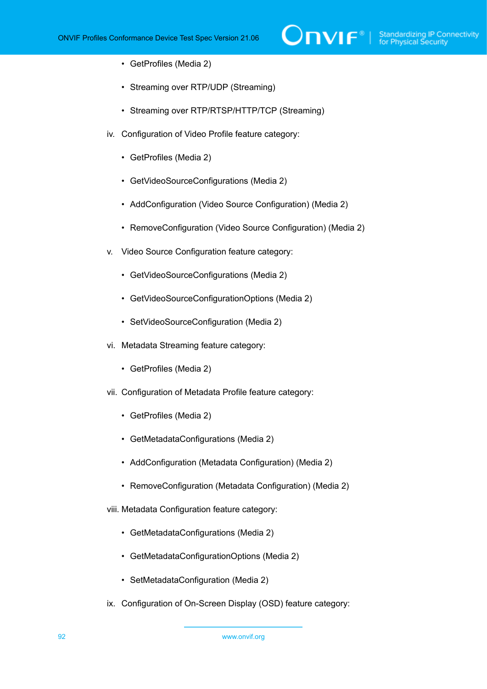$\mathsf{D}\mathbf{n}\mathsf{V}\mathsf{I}\mathsf{F}^\ast$  i

- GetProfiles (Media 2)
- Streaming over RTP/UDP (Streaming)
- Streaming over RTP/RTSP/HTTP/TCP (Streaming)
- iv. Configuration of Video Profile feature category:
	- GetProfiles (Media 2)
	- GetVideoSourceConfigurations (Media 2)
	- AddConfiguration (Video Source Configuration) (Media 2)
	- RemoveConfiguration (Video Source Configuration) (Media 2)
- v. Video Source Configuration feature category:
	- GetVideoSourceConfigurations (Media 2)
	- GetVideoSourceConfigurationOptions (Media 2)
	- SetVideoSourceConfiguration (Media 2)
- vi. Metadata Streaming feature category:
	- GetProfiles (Media 2)
- vii. Configuration of Metadata Profile feature category:
	- GetProfiles (Media 2)
	- GetMetadataConfigurations (Media 2)
	- AddConfiguration (Metadata Configuration) (Media 2)
	- RemoveConfiguration (Metadata Configuration) (Media 2)
- viii. Metadata Configuration feature category:
	- GetMetadataConfigurations (Media 2)
	- GetMetadataConfigurationOptions (Media 2)
	- SetMetadataConfiguration (Media 2)
- ix. Configuration of On-Screen Display (OSD) feature category: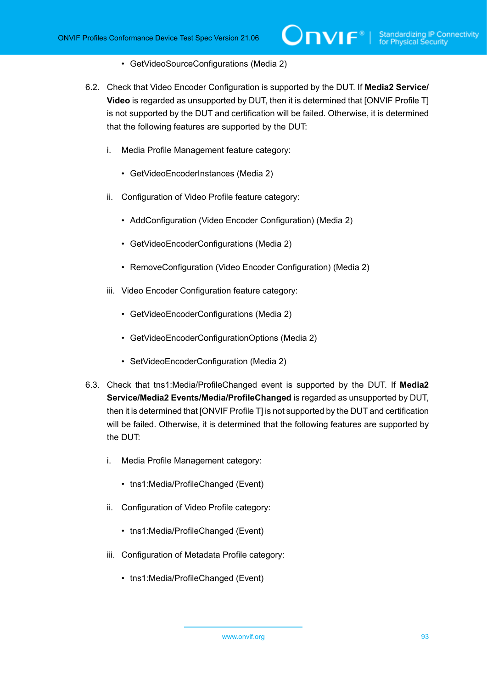- GetVideoSourceConfigurations (Media 2)
- 6.2. Check that Video Encoder Configuration is supported by the DUT. If **Media2 Service/ Video** is regarded as unsupported by DUT, then it is determined that [ONVIF Profile T] is not supported by the DUT and certification will be failed. Otherwise, it is determined that the following features are supported by the DUT:
	- i. Media Profile Management feature category:
		- GetVideoEncoderInstances (Media 2)
	- ii. Configuration of Video Profile feature category:
		- AddConfiguration (Video Encoder Configuration) (Media 2)
		- GetVideoEncoderConfigurations (Media 2)
		- RemoveConfiguration (Video Encoder Configuration) (Media 2)
	- iii. Video Encoder Configuration feature category:
		- GetVideoEncoderConfigurations (Media 2)
		- GetVideoEncoderConfigurationOptions (Media 2)
		- SetVideoEncoderConfiguration (Media 2)
- 6.3. Check that tns1:Media/ProfileChanged event is supported by the DUT. If **Media2 Service/Media2 Events/Media/ProfileChanged** is regarded as unsupported by DUT, then it is determined that [ONVIF Profile T] is not supported by the DUT and certification will be failed. Otherwise, it is determined that the following features are supported by the DUT:
	- i. Media Profile Management category:
		- tns1:Media/ProfileChanged (Event)
	- ii. Configuration of Video Profile category:
		- tns1:Media/ProfileChanged (Event)
	- iii. Configuration of Metadata Profile category:
		- tns1:Media/ProfileChanged (Event)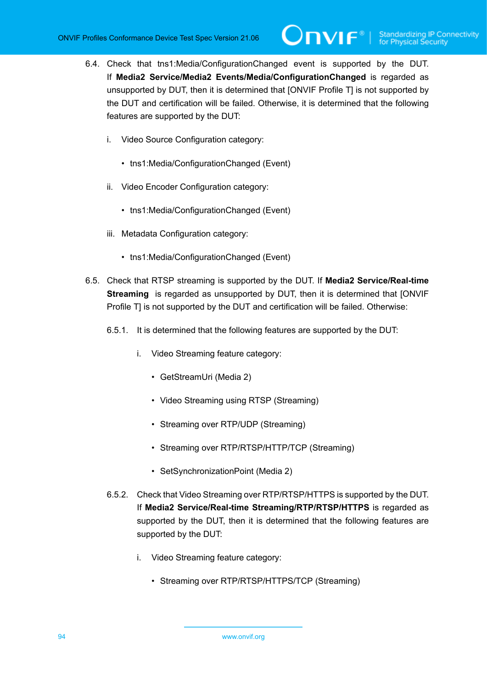- 6.4. Check that tns1:Media/ConfigurationChanged event is supported by the DUT. If **Media2 Service/Media2 Events/Media/ConfigurationChanged** is regarded as unsupported by DUT, then it is determined that [ONVIF Profile T] is not supported by the DUT and certification will be failed. Otherwise, it is determined that the following features are supported by the DUT:
	- i. Video Source Configuration category:
		- tns1:Media/ConfigurationChanged (Event)
	- ii. Video Encoder Configuration category:
		- tns1:Media/ConfigurationChanged (Event)
	- iii. Metadata Configuration category:
		- tns1:Media/ConfigurationChanged (Event)
- 6.5. Check that RTSP streaming is supported by the DUT. If **Media2 Service/Real-time Streaming** is regarded as unsupported by DUT, then it is determined that [ONVIF Profile T] is not supported by the DUT and certification will be failed. Otherwise:
	- 6.5.1. It is determined that the following features are supported by the DUT:
		- i. Video Streaming feature category:
			- GetStreamUri (Media 2)
			- Video Streaming using RTSP (Streaming)
			- Streaming over RTP/UDP (Streaming)
			- Streaming over RTP/RTSP/HTTP/TCP (Streaming)
			- SetSynchronizationPoint (Media 2)
	- 6.5.2. Check that Video Streaming over RTP/RTSP/HTTPS is supported by the DUT. If **Media2 Service/Real-time Streaming/RTP/RTSP/HTTPS** is regarded as supported by the DUT, then it is determined that the following features are supported by the DUT:
		- i. Video Streaming feature category:
			- Streaming over RTP/RTSP/HTTPS/TCP (Streaming)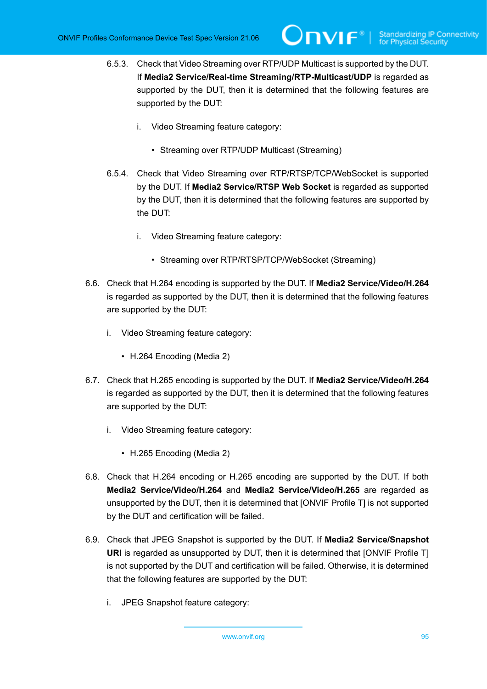- 6.5.3. Check that Video Streaming over RTP/UDP Multicast is supported by the DUT. If **Media2 Service/Real-time Streaming/RTP-Multicast/UDP** is regarded as supported by the DUT, then it is determined that the following features are supported by the DUT:
	- i. Video Streaming feature category:
		- Streaming over RTP/UDP Multicast (Streaming)
- 6.5.4. Check that Video Streaming over RTP/RTSP/TCP/WebSocket is supported by the DUT. If **Media2 Service/RTSP Web Socket** is regarded as supported by the DUT, then it is determined that the following features are supported by the DUT:
	- i. Video Streaming feature category:
		- Streaming over RTP/RTSP/TCP/WebSocket (Streaming)
- 6.6. Check that H.264 encoding is supported by the DUT. If **Media2 Service/Video/H.264** is regarded as supported by the DUT, then it is determined that the following features are supported by the DUT:
	- i. Video Streaming feature category:
		- H.264 Encoding (Media 2)
- 6.7. Check that H.265 encoding is supported by the DUT. If **Media2 Service/Video/H.264** is regarded as supported by the DUT, then it is determined that the following features are supported by the DUT:
	- i. Video Streaming feature category:
		- H.265 Encoding (Media 2)
- 6.8. Check that H.264 encoding or H.265 encoding are supported by the DUT. If both **Media2 Service/Video/H.264** and **Media2 Service/Video/H.265** are regarded as unsupported by the DUT, then it is determined that [ONVIF Profile T] is not supported by the DUT and certification will be failed.
- 6.9. Check that JPEG Snapshot is supported by the DUT. If **Media2 Service/Snapshot URI** is regarded as unsupported by DUT, then it is determined that [ONVIF Profile T] is not supported by the DUT and certification will be failed. Otherwise, it is determined that the following features are supported by the DUT:
	- i. JPEG Snapshot feature category: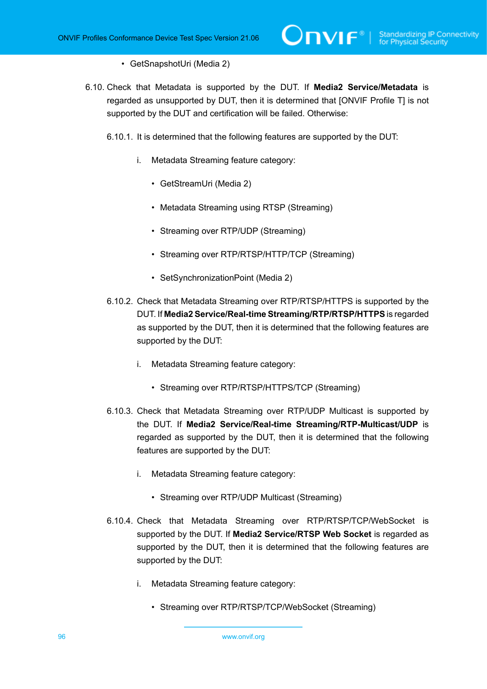## • GetSnapshotUri (Media 2)

- 6.10. Check that Metadata is supported by the DUT. If **Media2 Service/Metadata** is regarded as unsupported by DUT, then it is determined that [ONVIF Profile T] is not supported by the DUT and certification will be failed. Otherwise:
	- 6.10.1. It is determined that the following features are supported by the DUT:
		- i. Metadata Streaming feature category:
			- GetStreamUri (Media 2)
			- Metadata Streaming using RTSP (Streaming)
			- Streaming over RTP/UDP (Streaming)
			- Streaming over RTP/RTSP/HTTP/TCP (Streaming)
			- SetSynchronizationPoint (Media 2)
	- 6.10.2. Check that Metadata Streaming over RTP/RTSP/HTTPS is supported by the DUT. If **Media2 Service/Real-time Streaming/RTP/RTSP/HTTPS** is regarded as supported by the DUT, then it is determined that the following features are supported by the DUT:
		- i. Metadata Streaming feature category:
			- Streaming over RTP/RTSP/HTTPS/TCP (Streaming)
	- 6.10.3. Check that Metadata Streaming over RTP/UDP Multicast is supported by the DUT. If **Media2 Service/Real-time Streaming/RTP-Multicast/UDP** is regarded as supported by the DUT, then it is determined that the following features are supported by the DUT:
		- i. Metadata Streaming feature category:
			- Streaming over RTP/UDP Multicast (Streaming)
	- 6.10.4. Check that Metadata Streaming over RTP/RTSP/TCP/WebSocket is supported by the DUT. If **Media2 Service/RTSP Web Socket** is regarded as supported by the DUT, then it is determined that the following features are supported by the DUT:
		- i. Metadata Streaming feature category:
			- Streaming over RTP/RTSP/TCP/WebSocket (Streaming)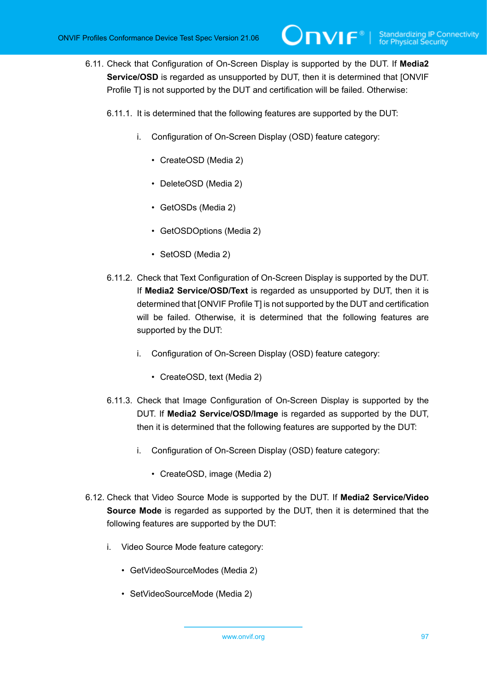- 6.11. Check that Configuration of On-Screen Display is supported by the DUT. If **Media2 Service/OSD** is regarded as unsupported by DUT, then it is determined that [ONVIF Profile T] is not supported by the DUT and certification will be failed. Otherwise:
	- 6.11.1. It is determined that the following features are supported by the DUT:
		- i. Configuration of On-Screen Display (OSD) feature category:
			- CreateOSD (Media 2)
			- DeleteOSD (Media 2)
			- GetOSDs (Media 2)
			- GetOSDOptions (Media 2)
			- SetOSD (Media 2)
	- 6.11.2. Check that Text Configuration of On-Screen Display is supported by the DUT. If **Media2 Service/OSD/Text** is regarded as unsupported by DUT, then it is determined that [ONVIF Profile T] is not supported by the DUT and certification will be failed. Otherwise, it is determined that the following features are supported by the DUT:
		- i. Configuration of On-Screen Display (OSD) feature category:
			- CreateOSD, text (Media 2)
	- 6.11.3. Check that Image Configuration of On-Screen Display is supported by the DUT. If **Media2 Service/OSD/Image** is regarded as supported by the DUT, then it is determined that the following features are supported by the DUT:
		- i. Configuration of On-Screen Display (OSD) feature category:
			- CreateOSD, image (Media 2)
- 6.12. Check that Video Source Mode is supported by the DUT. If **Media2 Service/Video Source Mode** is regarded as supported by the DUT, then it is determined that the following features are supported by the DUT:
	- i. Video Source Mode feature category:
		- GetVideoSourceModes (Media 2)
		- SetVideoSourceMode (Media 2)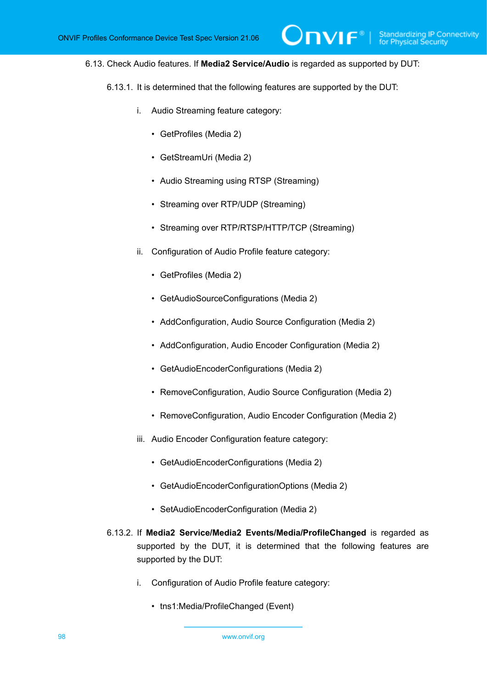### 6.13. Check Audio features. If **Media2 Service/Audio** is regarded as supported by DUT:

 $\mathsf{D}\mathbf{N}\mathsf{I}\mathsf{F}^\ast$  .

- 6.13.1. It is determined that the following features are supported by the DUT:
	- i. Audio Streaming feature category:
		- GetProfiles (Media 2)
		- GetStreamUri (Media 2)
		- Audio Streaming using RTSP (Streaming)
		- Streaming over RTP/UDP (Streaming)
		- Streaming over RTP/RTSP/HTTP/TCP (Streaming)
	- ii. Configuration of Audio Profile feature category:
		- GetProfiles (Media 2)
		- GetAudioSourceConfigurations (Media 2)
		- AddConfiguration, Audio Source Configuration (Media 2)
		- AddConfiguration, Audio Encoder Configuration (Media 2)
		- GetAudioEncoderConfigurations (Media 2)
		- RemoveConfiguration, Audio Source Configuration (Media 2)
		- RemoveConfiguration, Audio Encoder Configuration (Media 2)
	- iii. Audio Encoder Configuration feature category:
		- GetAudioEncoderConfigurations (Media 2)
		- GetAudioEncoderConfigurationOptions (Media 2)
		- SetAudioEncoderConfiguration (Media 2)
- 6.13.2. If **Media2 Service/Media2 Events/Media/ProfileChanged** is regarded as supported by the DUT, it is determined that the following features are supported by the DUT:
	- i. Configuration of Audio Profile feature category:
		- tns1:Media/ProfileChanged (Event)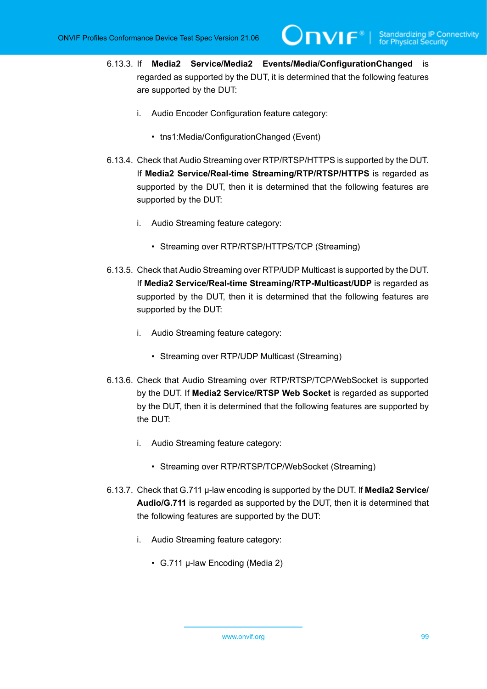6.13.3. If **Media2 Service/Media2 Events/Media/ConfigurationChanged** is regarded as supported by the DUT, it is determined that the following features are supported by the DUT:

 $\bm{\cup}$ NIF $^*$ l

- i. Audio Encoder Configuration feature category:
	- tns1:Media/ConfigurationChanged (Event)
- 6.13.4. Check that Audio Streaming over RTP/RTSP/HTTPS is supported by the DUT. If **Media2 Service/Real-time Streaming/RTP/RTSP/HTTPS** is regarded as supported by the DUT, then it is determined that the following features are supported by the DUT:
	- i. Audio Streaming feature category:
		- Streaming over RTP/RTSP/HTTPS/TCP (Streaming)
- 6.13.5. Check that Audio Streaming over RTP/UDP Multicast is supported by the DUT. If **Media2 Service/Real-time Streaming/RTP-Multicast/UDP** is regarded as supported by the DUT, then it is determined that the following features are supported by the DUT:
	- i. Audio Streaming feature category:
		- Streaming over RTP/UDP Multicast (Streaming)
- 6.13.6. Check that Audio Streaming over RTP/RTSP/TCP/WebSocket is supported by the DUT. If **Media2 Service/RTSP Web Socket** is regarded as supported by the DUT, then it is determined that the following features are supported by the DUT:
	- i. Audio Streaming feature category:
		- Streaming over RTP/RTSP/TCP/WebSocket (Streaming)
- 6.13.7. Check that G.711 μ-law encoding is supported by the DUT. If **Media2 Service/ Audio/G.711** is regarded as supported by the DUT, then it is determined that the following features are supported by the DUT:
	- i. Audio Streaming feature category:
		- G.711 μ-law Encoding (Media 2)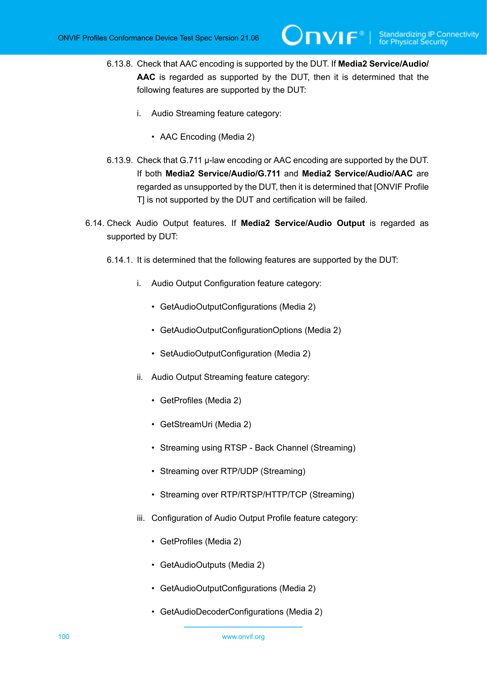- 6.13.8. Check that AAC encoding is supported by the DUT. If **Media2 Service/Audio/ AAC** is regarded as supported by the DUT, then it is determined that the following features are supported by the DUT:
	- i. Audio Streaming feature category:
		- AAC Encoding (Media 2)
- 6.13.9. Check that G.711 μ-law encoding or AAC encoding are supported by the DUT. If both **Media2 Service/Audio/G.711** and **Media2 Service/Audio/AAC** are regarded as unsupported by the DUT, then it is determined that [ONVIF Profile T] is not supported by the DUT and certification will be failed.
- 6.14. Check Audio Output features. If **Media2 Service/Audio Output** is regarded as supported by DUT:
	- 6.14.1. It is determined that the following features are supported by the DUT:
		- i. Audio Output Configuration feature category:
			- GetAudioOutputConfigurations (Media 2)
			- GetAudioOutputConfigurationOptions (Media 2)
			- SetAudioOutputConfiguration (Media 2)
		- ii. Audio Output Streaming feature category:
			- GetProfiles (Media 2)
			- GetStreamUri (Media 2)
			- Streaming using RTSP Back Channel (Streaming)
			- Streaming over RTP/UDP (Streaming)
			- Streaming over RTP/RTSP/HTTP/TCP (Streaming)
		- iii. Configuration of Audio Output Profile feature category:
			- GetProfiles (Media 2)
			- GetAudioOutputs (Media 2)
			- GetAudioOutputConfigurations (Media 2)
			- GetAudioDecoderConfigurations (Media 2)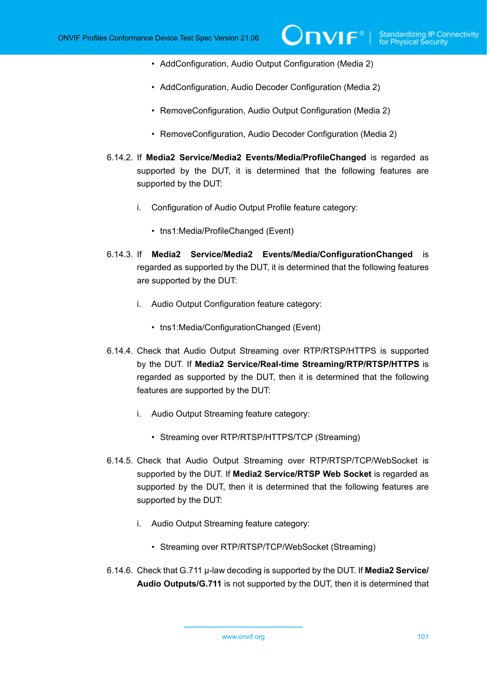- AddConfiguration, Audio Output Configuration (Media 2)
- AddConfiguration, Audio Decoder Configuration (Media 2)
- RemoveConfiguration, Audio Output Configuration (Media 2)
- RemoveConfiguration, Audio Decoder Configuration (Media 2)
- 6.14.2. If **Media2 Service/Media2 Events/Media/ProfileChanged** is regarded as supported by the DUT, it is determined that the following features are supported by the DUT:
	- i. Configuration of Audio Output Profile feature category:
		- tns1:Media/ProfileChanged (Event)
- 6.14.3. If **Media2 Service/Media2 Events/Media/ConfigurationChanged** is regarded as supported by the DUT, it is determined that the following features are supported by the DUT:
	- i. Audio Output Configuration feature category:
		- tns1:Media/ConfigurationChanged (Event)
- 6.14.4. Check that Audio Output Streaming over RTP/RTSP/HTTPS is supported by the DUT. If **Media2 Service/Real-time Streaming/RTP/RTSP/HTTPS** is regarded as supported by the DUT, then it is determined that the following features are supported by the DUT:
	- i. Audio Output Streaming feature category:
		- Streaming over RTP/RTSP/HTTPS/TCP (Streaming)
- 6.14.5. Check that Audio Output Streaming over RTP/RTSP/TCP/WebSocket is supported by the DUT. If **Media2 Service/RTSP Web Socket** is regarded as supported by the DUT, then it is determined that the following features are supported by the DUT:
	- i. Audio Output Streaming feature category:
		- Streaming over RTP/RTSP/TCP/WebSocket (Streaming)
- 6.14.6. Check that G.711 μ-law decoding is supported by the DUT. If **Media2 Service/ Audio Outputs/G.711** is not supported by the DUT, then it is determined that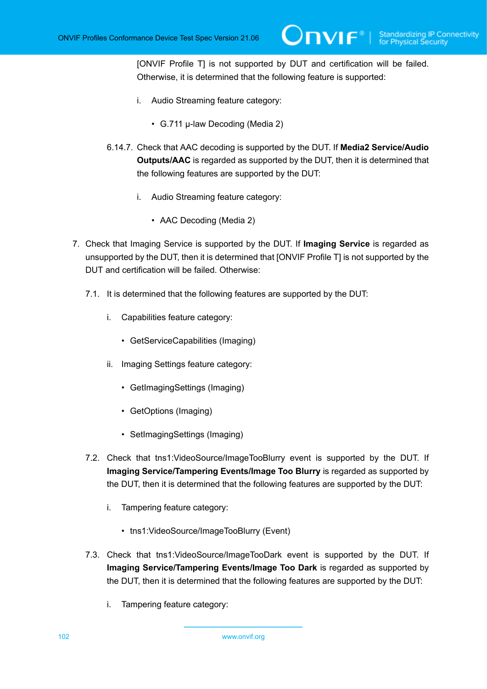[ONVIF Profile T] is not supported by DUT and certification will be failed. Otherwise, it is determined that the following feature is supported:

- i. Audio Streaming feature category:
	- G.711 μ-law Decoding (Media 2)
- 6.14.7. Check that AAC decoding is supported by the DUT. If **Media2 Service/Audio Outputs/AAC** is regarded as supported by the DUT, then it is determined that the following features are supported by the DUT:
	- i. Audio Streaming feature category:
		- AAC Decoding (Media 2)
- 7. Check that Imaging Service is supported by the DUT. If **Imaging Service** is regarded as unsupported by the DUT, then it is determined that [ONVIF Profile T] is not supported by the DUT and certification will be failed. Otherwise:
	- 7.1. It is determined that the following features are supported by the DUT:
		- i. Capabilities feature category:
			- GetServiceCapabilities (Imaging)
		- ii. Imaging Settings feature category:
			- GetImagingSettings (Imaging)
			- GetOptions (Imaging)
			- SetImagingSettings (Imaging)
	- 7.2. Check that tns1:VideoSource/ImageTooBlurry event is supported by the DUT. If **Imaging Service/Tampering Events/Image Too Blurry** is regarded as supported by the DUT, then it is determined that the following features are supported by the DUT:
		- i. Tampering feature category:
			- tns1:VideoSource/ImageTooBlurry (Event)
	- 7.3. Check that tns1:VideoSource/ImageTooDark event is supported by the DUT. If **Imaging Service/Tampering Events/Image Too Dark** is regarded as supported by the DUT, then it is determined that the following features are supported by the DUT:
		- i. Tampering feature category: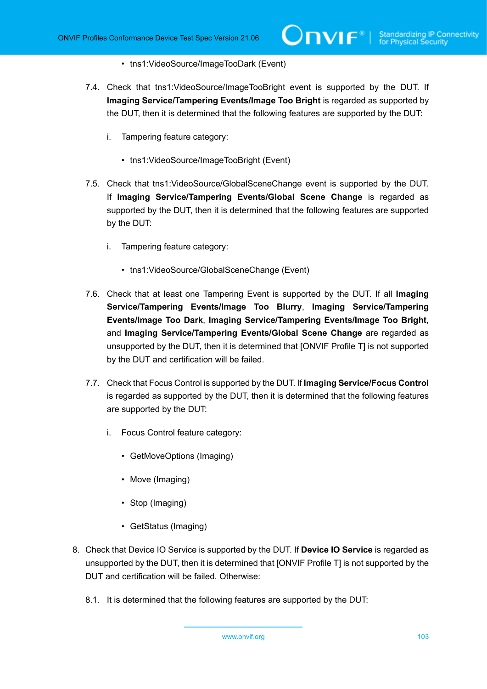- tns1:VideoSource/ImageTooDark (Event)
- 7.4. Check that tns1:VideoSource/ImageTooBright event is supported by the DUT. If **Imaging Service/Tampering Events/Image Too Bright** is regarded as supported by the DUT, then it is determined that the following features are supported by the DUT:
	- i. Tampering feature category:
		- tns1:VideoSource/ImageTooBright (Event)
- 7.5. Check that tns1:VideoSource/GlobalSceneChange event is supported by the DUT. If **Imaging Service/Tampering Events/Global Scene Change** is regarded as supported by the DUT, then it is determined that the following features are supported by the DUT:
	- i. Tampering feature category:
		- tns1:VideoSource/GlobalSceneChange (Event)
- 7.6. Check that at least one Tampering Event is supported by the DUT. If all **Imaging Service/Tampering Events/Image Too Blurry**, **Imaging Service/Tampering Events/Image Too Dark**, **Imaging Service/Tampering Events/Image Too Bright**, and **Imaging Service/Tampering Events/Global Scene Change** are regarded as unsupported by the DUT, then it is determined that [ONVIF Profile T] is not supported by the DUT and certification will be failed.
- 7.7. Check that Focus Control is supported by the DUT. If **Imaging Service/Focus Control** is regarded as supported by the DUT, then it is determined that the following features are supported by the DUT:
	- i. Focus Control feature category:
		- GetMoveOptions (Imaging)
		- Move (Imaging)
		- Stop (Imaging)
		- GetStatus (Imaging)
- 8. Check that Device IO Service is supported by the DUT. If **Device IO Service** is regarded as unsupported by the DUT, then it is determined that [ONVIF Profile T] is not supported by the DUT and certification will be failed. Otherwise:
	- 8.1. It is determined that the following features are supported by the DUT: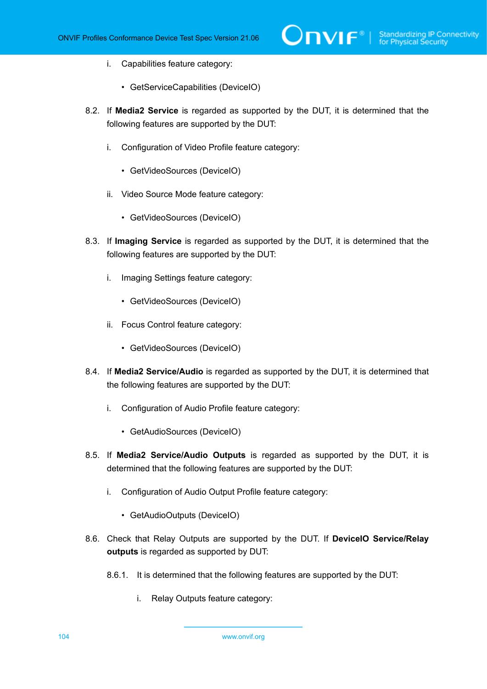- i. Capabilities feature category:
	- GetServiceCapabilities (DeviceIO)
- 8.2. If **Media2 Service** is regarded as supported by the DUT, it is determined that the following features are supported by the DUT:
	- i. Configuration of Video Profile feature category:
		- GetVideoSources (DeviceIO)
	- ii. Video Source Mode feature category:
		- GetVideoSources (DeviceIO)
- 8.3. If **Imaging Service** is regarded as supported by the DUT, it is determined that the following features are supported by the DUT:
	- i. Imaging Settings feature category:
		- GetVideoSources (DeviceIO)
	- ii. Focus Control feature category:
		- GetVideoSources (DeviceIO)
- 8.4. If **Media2 Service/Audio** is regarded as supported by the DUT, it is determined that the following features are supported by the DUT:
	- i. Configuration of Audio Profile feature category:
		- GetAudioSources (DeviceIO)
- 8.5. If **Media2 Service/Audio Outputs** is regarded as supported by the DUT, it is determined that the following features are supported by the DUT:
	- i. Configuration of Audio Output Profile feature category:
		- GetAudioOutputs (DeviceIO)
- 8.6. Check that Relay Outputs are supported by the DUT. If **DeviceIO Service/Relay outputs** is regarded as supported by DUT:
	- 8.6.1. It is determined that the following features are supported by the DUT:
		- i. Relay Outputs feature category: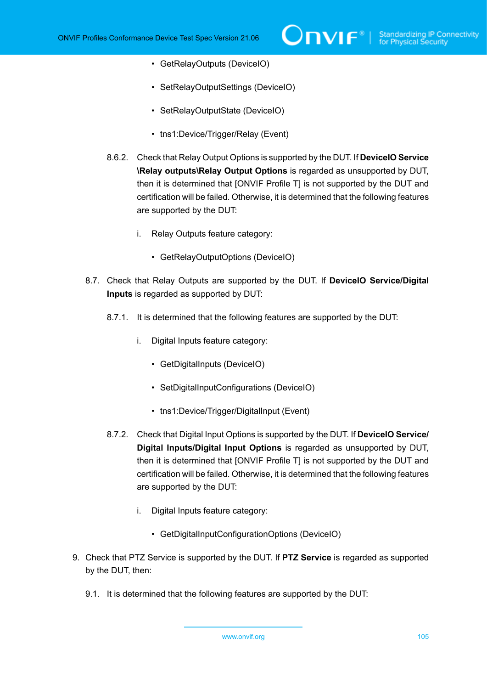- GetRelayOutputs (DeviceIO)
- SetRelayOutputSettings (DeviceIO)
- SetRelayOutputState (DeviceIO)
- tns1:Device/Trigger/Relay (Event)
- 8.6.2. Check that Relay Output Options is supported by the DUT. If **DeviceIO Service \Relay outputs\Relay Output Options** is regarded as unsupported by DUT, then it is determined that [ONVIF Profile T] is not supported by the DUT and certification will be failed. Otherwise, it is determined that the following features are supported by the DUT:
	- i. Relay Outputs feature category:
		- GetRelayOutputOptions (DeviceIO)
- 8.7. Check that Relay Outputs are supported by the DUT. If **DeviceIO Service/Digital Inputs** is regarded as supported by DUT:
	- 8.7.1. It is determined that the following features are supported by the DUT:
		- i. Digital Inputs feature category:
			- GetDigitalInputs (DeviceIO)
			- SetDigitalInputConfigurations (DeviceIO)
			- tns1:Device/Trigger/DigitalInput (Event)
	- 8.7.2. Check that Digital Input Options is supported by the DUT. If **DeviceIO Service/ Digital Inputs/Digital Input Options** is regarded as unsupported by DUT, then it is determined that [ONVIF Profile T] is not supported by the DUT and certification will be failed. Otherwise, it is determined that the following features are supported by the DUT:
		- i. Digital Inputs feature category:
			- GetDigitalInputConfigurationOptions (DeviceIO)
- 9. Check that PTZ Service is supported by the DUT. If **PTZ Service** is regarded as supported by the DUT, then:
	- 9.1. It is determined that the following features are supported by the DUT: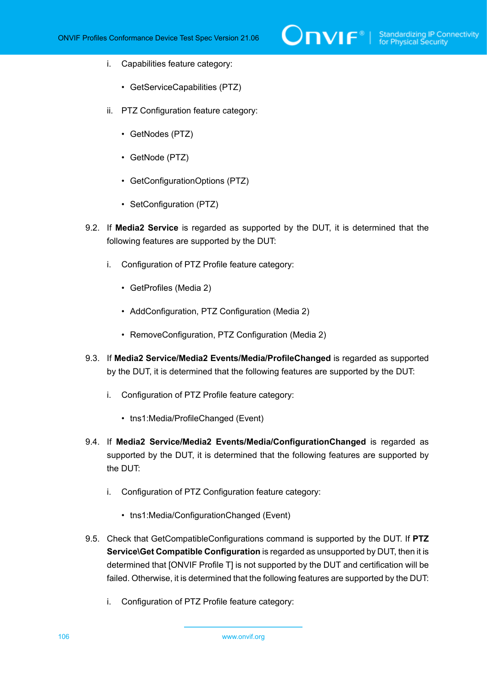- i. Capabilities feature category:
	- GetServiceCapabilities (PTZ)
- ii. PTZ Configuration feature category:
	- GetNodes (PTZ)
	- GetNode (PTZ)
	- GetConfigurationOptions (PTZ)
	- SetConfiguration (PTZ)
- 9.2. If **Media2 Service** is regarded as supported by the DUT, it is determined that the following features are supported by the DUT:
	- i. Configuration of PTZ Profile feature category:
		- GetProfiles (Media 2)
		- AddConfiguration, PTZ Configuration (Media 2)
		- RemoveConfiguration, PTZ Configuration (Media 2)
- 9.3. If **Media2 Service/Media2 Events/Media/ProfileChanged** is regarded as supported by the DUT, it is determined that the following features are supported by the DUT:
	- i. Configuration of PTZ Profile feature category:
		- tns1:Media/ProfileChanged (Event)
- 9.4. If **Media2 Service/Media2 Events/Media/ConfigurationChanged** is regarded as supported by the DUT, it is determined that the following features are supported by the DUT:
	- i. Configuration of PTZ Configuration feature category:
		- tns1:Media/ConfigurationChanged (Event)
- 9.5. Check that GetCompatibleConfigurations command is supported by the DUT. If **PTZ Service\Get Compatible Configuration** is regarded as unsupported by DUT, then it is determined that [ONVIF Profile T] is not supported by the DUT and certification will be failed. Otherwise, it is determined that the following features are supported by the DUT:
	- i. Configuration of PTZ Profile feature category: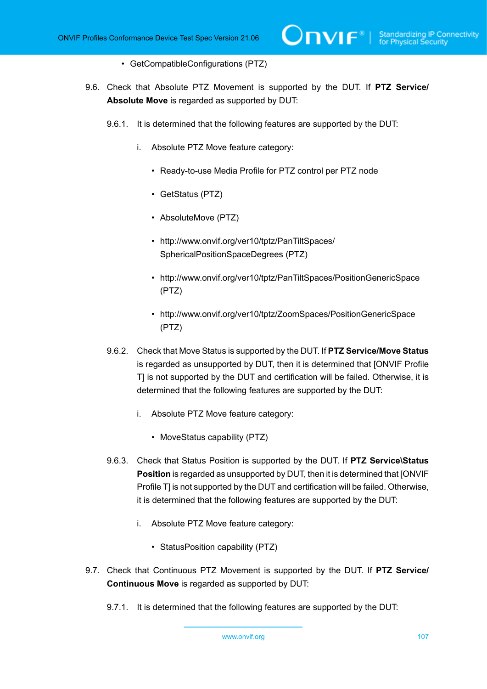- GetCompatibleConfigurations (PTZ)
- 9.6. Check that Absolute PTZ Movement is supported by the DUT. If **PTZ Service/ Absolute Move** is regarded as supported by DUT:
	- 9.6.1. It is determined that the following features are supported by the DUT:
		- i. Absolute PTZ Move feature category:
			- Ready-to-use Media Profile for PTZ control per PTZ node
			- GetStatus (PTZ)
			- AbsoluteMove (PTZ)
			- http://www.onvif.org/ver10/tptz/PanTiltSpaces/ SphericalPositionSpaceDegrees (PTZ)
			- http://www.onvif.org/ver10/tptz/PanTiltSpaces/PositionGenericSpace (PTZ)
			- http://www.onvif.org/ver10/tptz/ZoomSpaces/PositionGenericSpace (PTZ)
	- 9.6.2. Check that Move Status is supported by the DUT. If **PTZ Service/Move Status** is regarded as unsupported by DUT, then it is determined that [ONVIF Profile T] is not supported by the DUT and certification will be failed. Otherwise, it is determined that the following features are supported by the DUT:
		- i. Absolute PTZ Move feature category:
			- MoveStatus capability (PTZ)
	- 9.6.3. Check that Status Position is supported by the DUT. If **PTZ Service\Status Position** is regarded as unsupported by DUT, then it is determined that [ONVIF Profile T] is not supported by the DUT and certification will be failed. Otherwise, it is determined that the following features are supported by the DUT:
		- i. Absolute PTZ Move feature category:
			- StatusPosition capability (PTZ)
- 9.7. Check that Continuous PTZ Movement is supported by the DUT. If **PTZ Service/ Continuous Move** is regarded as supported by DUT:
	- 9.7.1. It is determined that the following features are supported by the DUT: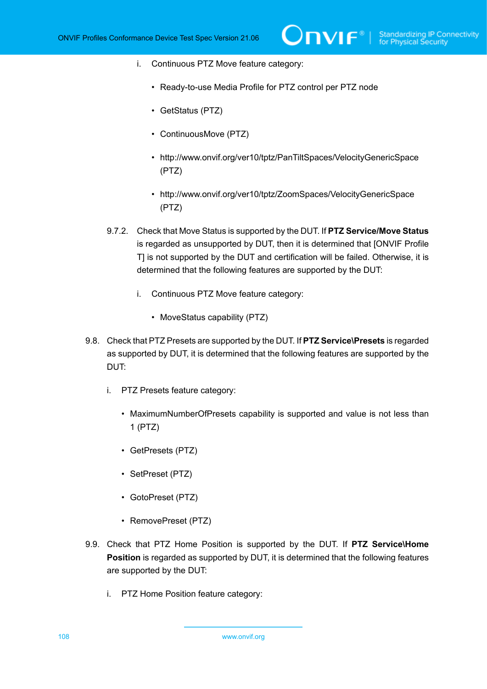- i. Continuous PTZ Move feature category:
	- Ready-to-use Media Profile for PTZ control per PTZ node
	- GetStatus (PTZ)
	- ContinuousMove (PTZ)
	- http://www.onvif.org/ver10/tptz/PanTiltSpaces/VelocityGenericSpace (PTZ)
	- http://www.onvif.org/ver10/tptz/ZoomSpaces/VelocityGenericSpace (PTZ)
- 9.7.2. Check that Move Status is supported by the DUT. If **PTZ Service/Move Status** is regarded as unsupported by DUT, then it is determined that [ONVIF Profile T] is not supported by the DUT and certification will be failed. Otherwise, it is determined that the following features are supported by the DUT:
	- i. Continuous PTZ Move feature category:
		- MoveStatus capability (PTZ)
- 9.8. Check that PTZ Presets are supported by the DUT. If **PTZ Service\Presets** is regarded as supported by DUT, it is determined that the following features are supported by the DUT:
	- i. PTZ Presets feature category:
		- MaximumNumberOfPresets capability is supported and value is not less than 1 (PTZ)
		- GetPresets (PTZ)
		- SetPreset (PTZ)
		- GotoPreset (PTZ)
		- RemovePreset (PTZ)
- 9.9. Check that PTZ Home Position is supported by the DUT. If **PTZ Service\Home Position** is regarded as supported by DUT, it is determined that the following features are supported by the DUT:
	- i. PTZ Home Position feature category: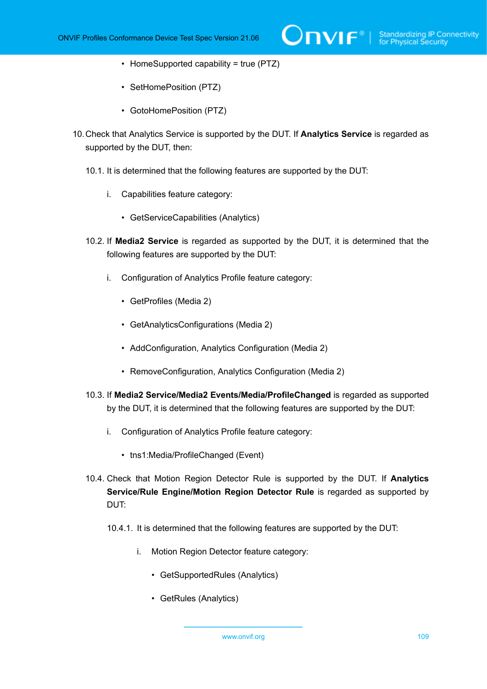- HomeSupported capability = true (PTZ)
- SetHomePosition (PTZ)
- GotoHomePosition (PTZ)
- 10.Check that Analytics Service is supported by the DUT. If **Analytics Service** is regarded as supported by the DUT, then:
	- 10.1. It is determined that the following features are supported by the DUT:
		- i. Capabilities feature category:
			- GetServiceCapabilities (Analytics)
	- 10.2. If **Media2 Service** is regarded as supported by the DUT, it is determined that the following features are supported by the DUT:
		- i. Configuration of Analytics Profile feature category:
			- GetProfiles (Media 2)
			- GetAnalyticsConfigurations (Media 2)
			- AddConfiguration, Analytics Configuration (Media 2)
			- RemoveConfiguration, Analytics Configuration (Media 2)
	- 10.3. If **Media2 Service/Media2 Events/Media/ProfileChanged** is regarded as supported by the DUT, it is determined that the following features are supported by the DUT:
		- i. Configuration of Analytics Profile feature category:
			- tns1:Media/ProfileChanged (Event)
	- 10.4. Check that Motion Region Detector Rule is supported by the DUT. If **Analytics Service/Rule Engine/Motion Region Detector Rule** is regarded as supported by DUT:
		- 10.4.1. It is determined that the following features are supported by the DUT:
			- i. Motion Region Detector feature category:
				- GetSupportedRules (Analytics)
				- GetRules (Analytics)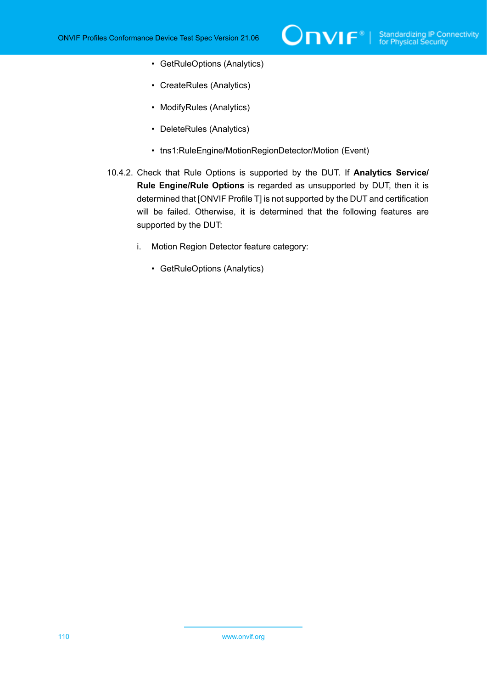- GetRuleOptions (Analytics)
- CreateRules (Analytics)
- ModifyRules (Analytics)
- DeleteRules (Analytics)
- tns1:RuleEngine/MotionRegionDetector/Motion (Event)
- 10.4.2. Check that Rule Options is supported by the DUT. If **Analytics Service/ Rule Engine/Rule Options** is regarded as unsupported by DUT, then it is determined that [ONVIF Profile T] is not supported by the DUT and certification will be failed. Otherwise, it is determined that the following features are supported by the DUT:

ι

- i. Motion Region Detector feature category:
	- GetRuleOptions (Analytics)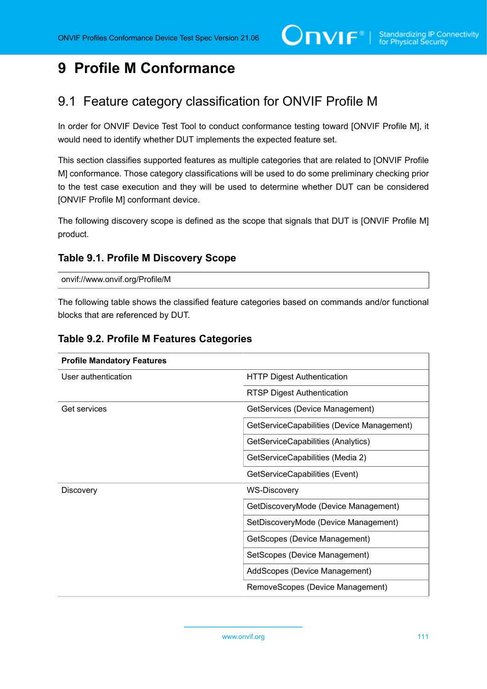# **9 Profile M Conformance**

# 9.1 Feature category classification for ONVIF Profile M

In order for ONVIF Device Test Tool to conduct conformance testing toward [ONVIF Profile M], it would need to identify whether DUT implements the expected feature set.

This section classifies supported features as multiple categories that are related to [ONVIF Profile M] conformance. Those category classifications will be used to do some preliminary checking prior to the test case execution and they will be used to determine whether DUT can be considered [ONVIF Profile M] conformant device.

The following discovery scope is defined as the scope that signals that DUT is [ONVIF Profile M] product.

## <span id="page-110-0"></span>**Table 9.1. Profile M Discovery Scope**

### onvif://www.onvif.org/Profile/M

The following table shows the classified feature categories based on commands and/or functional blocks that are referenced by DUT.

| <b>Profile Mandatory Features</b> |                                            |
|-----------------------------------|--------------------------------------------|
| User authentication               | <b>HTTP Digest Authentication</b>          |
|                                   | <b>RTSP Digest Authentication</b>          |
| Get services                      | GetServices (Device Management)            |
|                                   | GetServiceCapabilities (Device Management) |
|                                   | GetServiceCapabilities (Analytics)         |
|                                   | GetServiceCapabilities (Media 2)           |
|                                   | GetServiceCapabilities (Event)             |
| <b>Discovery</b>                  | <b>WS-Discovery</b>                        |
|                                   | GetDiscoveryMode (Device Management)       |
|                                   | SetDiscoveryMode (Device Management)       |
|                                   | GetScopes (Device Management)              |
|                                   | SetScopes (Device Management)              |
|                                   | AddScopes (Device Management)              |
|                                   | RemoveScopes (Device Management)           |

## **Table 9.2. Profile M Features Categories**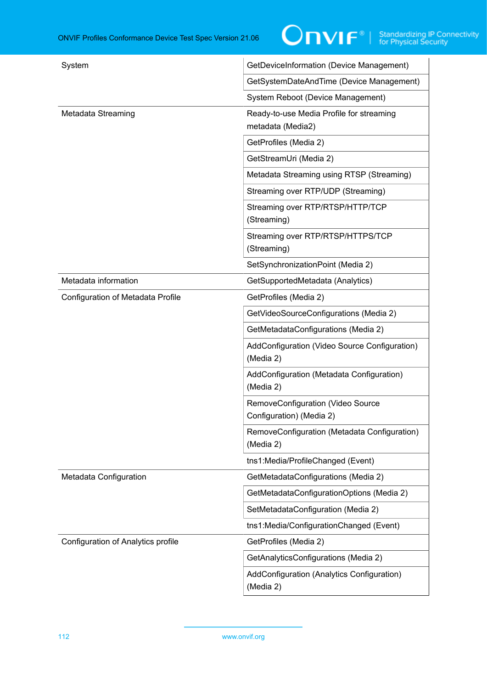| System                             | GetDeviceInformation (Device Management)                      |
|------------------------------------|---------------------------------------------------------------|
|                                    | GetSystemDateAndTime (Device Management)                      |
|                                    | System Reboot (Device Management)                             |
| Metadata Streaming                 | Ready-to-use Media Profile for streaming<br>metadata (Media2) |
|                                    | GetProfiles (Media 2)                                         |
|                                    | GetStreamUri (Media 2)                                        |
|                                    | Metadata Streaming using RTSP (Streaming)                     |
|                                    | Streaming over RTP/UDP (Streaming)                            |
|                                    | Streaming over RTP/RTSP/HTTP/TCP<br>(Streaming)               |
|                                    | Streaming over RTP/RTSP/HTTPS/TCP<br>(Streaming)              |
|                                    | SetSynchronizationPoint (Media 2)                             |
| Metadata information               | GetSupportedMetadata (Analytics)                              |
| Configuration of Metadata Profile  | GetProfiles (Media 2)                                         |
|                                    | GetVideoSourceConfigurations (Media 2)                        |
|                                    | GetMetadataConfigurations (Media 2)                           |
|                                    | AddConfiguration (Video Source Configuration)<br>(Media 2)    |
|                                    | AddConfiguration (Metadata Configuration)<br>(Media 2)        |
|                                    | RemoveConfiguration (Video Source<br>Configuration) (Media 2) |
|                                    | RemoveConfiguration (Metadata Configuration)<br>(Media 2)     |
|                                    | tns1:Media/ProfileChanged (Event)                             |
| Metadata Configuration             | GetMetadataConfigurations (Media 2)                           |
|                                    | GetMetadataConfigurationOptions (Media 2)                     |
|                                    | SetMetadataConfiguration (Media 2)                            |
|                                    | tns1:Media/ConfigurationChanged (Event)                       |
| Configuration of Analytics profile | GetProfiles (Media 2)                                         |
|                                    | GetAnalyticsConfigurations (Media 2)                          |
|                                    | AddConfiguration (Analytics Configuration)<br>(Media 2)       |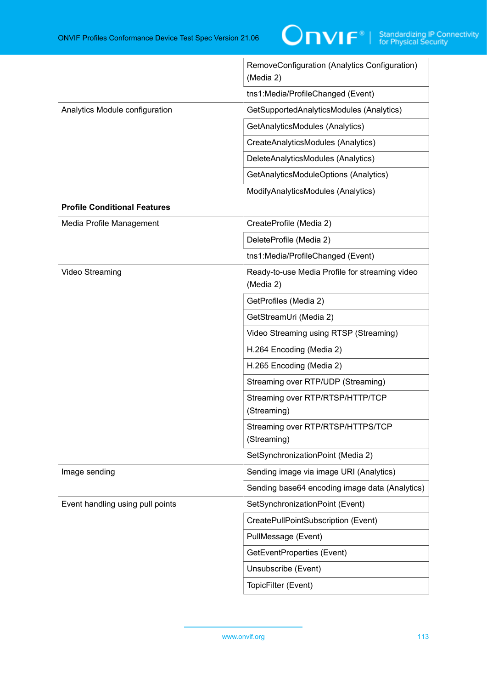|                                     | RemoveConfiguration (Analytics Configuration)<br>(Media 2)  |
|-------------------------------------|-------------------------------------------------------------|
|                                     | tns1:Media/ProfileChanged (Event)                           |
| Analytics Module configuration      | GetSupportedAnalyticsModules (Analytics)                    |
|                                     | GetAnalyticsModules (Analytics)                             |
|                                     | CreateAnalyticsModules (Analytics)                          |
|                                     | DeleteAnalyticsModules (Analytics)                          |
|                                     | GetAnalyticsModuleOptions (Analytics)                       |
|                                     | ModifyAnalyticsModules (Analytics)                          |
| <b>Profile Conditional Features</b> |                                                             |
| Media Profile Management            | CreateProfile (Media 2)                                     |
|                                     | DeleteProfile (Media 2)                                     |
|                                     | tns1:Media/ProfileChanged (Event)                           |
| Video Streaming                     | Ready-to-use Media Profile for streaming video<br>(Media 2) |
|                                     | GetProfiles (Media 2)                                       |
|                                     | GetStreamUri (Media 2)                                      |
|                                     | Video Streaming using RTSP (Streaming)                      |
|                                     | H.264 Encoding (Media 2)                                    |
|                                     | H.265 Encoding (Media 2)                                    |
|                                     | Streaming over RTP/UDP (Streaming)                          |
|                                     | Streaming over RTP/RTSP/HTTP/TCP<br>(Streaming)             |
|                                     | Streaming over RTP/RTSP/HTTPS/TCP<br>(Streaming)            |
|                                     | SetSynchronizationPoint (Media 2)                           |
| Image sending                       | Sending image via image URI (Analytics)                     |
|                                     | Sending base64 encoding image data (Analytics)              |
| Event handling using pull points    | SetSynchronizationPoint (Event)                             |
|                                     | CreatePullPointSubscription (Event)                         |
|                                     | PullMessage (Event)                                         |
|                                     | GetEventProperties (Event)                                  |
|                                     | Unsubscribe (Event)                                         |
|                                     | TopicFilter (Event)                                         |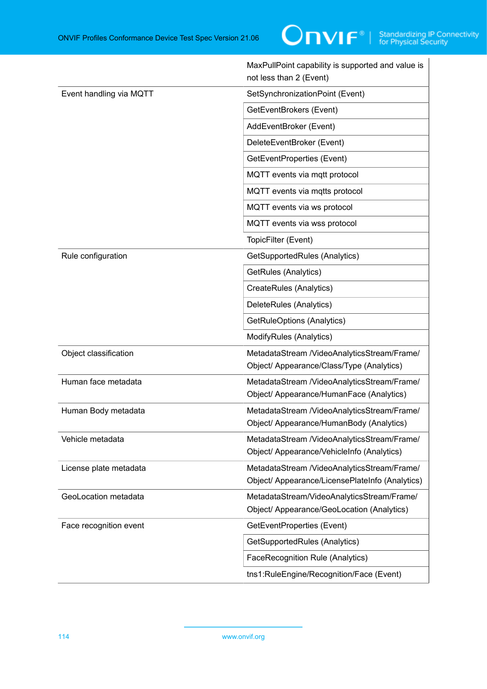|                         | MaxPullPoint capability is supported and value is<br>not less than 2 (Event)                   |
|-------------------------|------------------------------------------------------------------------------------------------|
| Event handling via MQTT | SetSynchronizationPoint (Event)                                                                |
|                         | GetEventBrokers (Event)                                                                        |
|                         | AddEventBroker (Event)                                                                         |
|                         | DeleteEventBroker (Event)                                                                      |
|                         | GetEventProperties (Event)                                                                     |
|                         | MQTT events via mqtt protocol                                                                  |
|                         | MQTT events via mqtts protocol                                                                 |
|                         | MQTT events via ws protocol                                                                    |
|                         | MQTT events via wss protocol                                                                   |
|                         | TopicFilter (Event)                                                                            |
| Rule configuration      | GetSupportedRules (Analytics)                                                                  |
|                         | GetRules (Analytics)                                                                           |
|                         | CreateRules (Analytics)                                                                        |
|                         | DeleteRules (Analytics)                                                                        |
|                         | GetRuleOptions (Analytics)                                                                     |
|                         | ModifyRules (Analytics)                                                                        |
| Object classification   | MetadataStream /VideoAnalyticsStream/Frame/<br>Object/ Appearance/Class/Type (Analytics)       |
| Human face metadata     | MetadataStream /VideoAnalyticsStream/Frame/<br>Object/ Appearance/HumanFace (Analytics)        |
| Human Body metadata     | MetadataStream /VideoAnalyticsStream/Frame/<br>Object/ Appearance/HumanBody (Analytics)        |
| Vehicle metadata        | MetadataStream /VideoAnalyticsStream/Frame/<br>Object/ Appearance/VehicleInfo (Analytics)      |
| License plate metadata  | MetadataStream /VideoAnalyticsStream/Frame/<br>Object/ Appearance/LicensePlateInfo (Analytics) |
| GeoLocation metadata    | MetadataStream/VideoAnalyticsStream/Frame/<br>Object/ Appearance/GeoLocation (Analytics)       |
| Face recognition event  | GetEventProperties (Event)                                                                     |
|                         | GetSupportedRules (Analytics)                                                                  |
|                         | FaceRecognition Rule (Analytics)                                                               |
|                         | tns1:RuleEngine/Recognition/Face (Event)                                                       |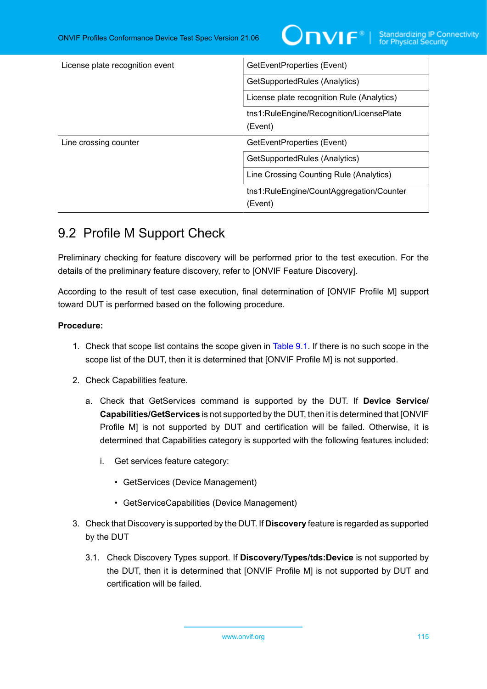

| License plate recognition event | GetEventProperties (Event)                          |
|---------------------------------|-----------------------------------------------------|
|                                 | GetSupportedRules (Analytics)                       |
|                                 | License plate recognition Rule (Analytics)          |
|                                 | tns1:RuleEngine/Recognition/LicensePlate<br>(Event) |
| Line crossing counter           | GetEventProperties (Event)                          |
|                                 | GetSupportedRules (Analytics)                       |
|                                 | Line Crossing Counting Rule (Analytics)             |
|                                 | tns1:RuleEngine/CountAggregation/Counter<br>(Event) |

# 9.2 Profile M Support Check

Preliminary checking for feature discovery will be performed prior to the test execution. For the details of the preliminary feature discovery, refer to [ONVIF Feature Discovery].

According to the result of test case execution, final determination of [ONVIF Profile M] support toward DUT is performed based on the following procedure.

## **Procedure:**

- 1. Check that scope list contains the scope given in [Table](#page-110-0) 9.1. If there is no such scope in the scope list of the DUT, then it is determined that [ONVIF Profile M] is not supported.
- 2. Check Capabilities feature.
	- a. Check that GetServices command is supported by the DUT. If **Device Service/ Capabilities/GetServices** is not supported by the DUT, then it is determined that [ONVIF Profile M] is not supported by DUT and certification will be failed. Otherwise, it is determined that Capabilities category is supported with the following features included:
		- i. Get services feature category:
			- GetServices (Device Management)
			- GetServiceCapabilities (Device Management)
- 3. Check that Discovery is supported by the DUT. If **Discovery** feature is regarded as supported by the DUT
	- 3.1. Check Discovery Types support. If **Discovery/Types/tds:Device** is not supported by the DUT, then it is determined that [ONVIF Profile M] is not supported by DUT and certification will be failed.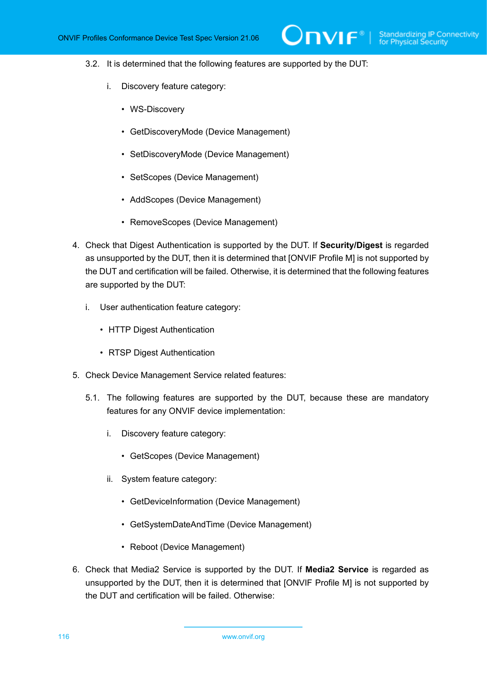- 3.2. It is determined that the following features are supported by the DUT:
	- i. Discovery feature category:
		- WS-Discovery
		- GetDiscoveryMode (Device Management)
		- SetDiscoveryMode (Device Management)
		- SetScopes (Device Management)
		- AddScopes (Device Management)
		- RemoveScopes (Device Management)
- 4. Check that Digest Authentication is supported by the DUT. If **Security/Digest** is regarded as unsupported by the DUT, then it is determined that [ONVIF Profile M] is not supported by the DUT and certification will be failed. Otherwise, it is determined that the following features are supported by the DUT:
	- i. User authentication feature category:
		- HTTP Digest Authentication
		- RTSP Digest Authentication
- 5. Check Device Management Service related features:
	- 5.1. The following features are supported by the DUT, because these are mandatory features for any ONVIF device implementation:
		- i. Discovery feature category:
			- GetScopes (Device Management)
		- ii. System feature category:
			- GetDeviceInformation (Device Management)
			- GetSystemDateAndTime (Device Management)
			- Reboot (Device Management)
- 6. Check that Media2 Service is supported by the DUT. If **Media2 Service** is regarded as unsupported by the DUT, then it is determined that [ONVIF Profile M] is not supported by the DUT and certification will be failed. Otherwise: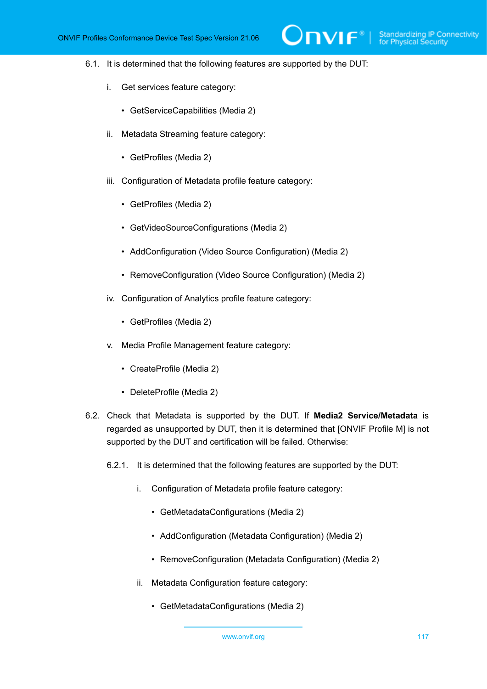- 6.1. It is determined that the following features are supported by the DUT:
	- i. Get services feature category:
		- GetServiceCapabilities (Media 2)
	- ii. Metadata Streaming feature category:
		- GetProfiles (Media 2)
	- iii. Configuration of Metadata profile feature category:
		- GetProfiles (Media 2)
		- GetVideoSourceConfigurations (Media 2)
		- AddConfiguration (Video Source Configuration) (Media 2)
		- RemoveConfiguration (Video Source Configuration) (Media 2)
	- iv. Configuration of Analytics profile feature category:
		- GetProfiles (Media 2)
	- v. Media Profile Management feature category:
		- CreateProfile (Media 2)
		- DeleteProfile (Media 2)
- 6.2. Check that Metadata is supported by the DUT. If **Media2 Service/Metadata** is regarded as unsupported by DUT, then it is determined that [ONVIF Profile M] is not supported by the DUT and certification will be failed. Otherwise:
	- 6.2.1. It is determined that the following features are supported by the DUT:
		- i. Configuration of Metadata profile feature category:
			- GetMetadataConfigurations (Media 2)
			- AddConfiguration (Metadata Configuration) (Media 2)
			- RemoveConfiguration (Metadata Configuration) (Media 2)
		- ii. Metadata Configuration feature category:
			- GetMetadataConfigurations (Media 2)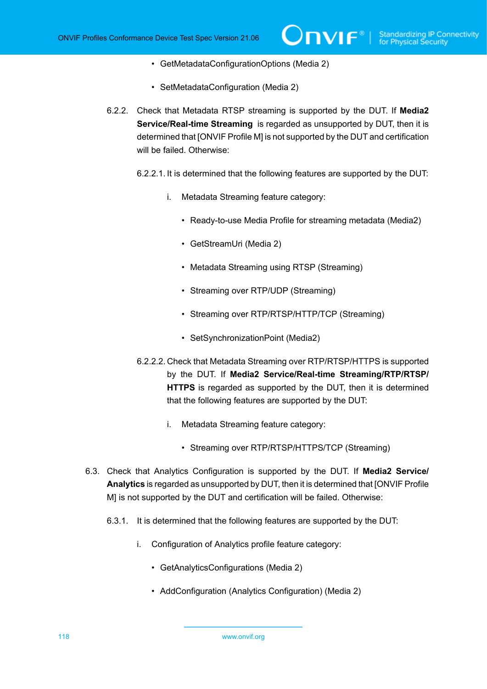- GetMetadataConfigurationOptions (Media 2)
- SetMetadataConfiguration (Media 2)
- 6.2.2. Check that Metadata RTSP streaming is supported by the DUT. If **Media2 Service/Real-time Streaming** is regarded as unsupported by DUT, then it is determined that [ONVIF Profile M] is not supported by the DUT and certification will be failed. Otherwise:
	- 6.2.2.1. It is determined that the following features are supported by the DUT:
		- i. Metadata Streaming feature category:
			- Ready-to-use Media Profile for streaming metadata (Media2)
			- GetStreamUri (Media 2)
			- Metadata Streaming using RTSP (Streaming)
			- Streaming over RTP/UDP (Streaming)
			- Streaming over RTP/RTSP/HTTP/TCP (Streaming)
			- SetSynchronizationPoint (Media2)
	- 6.2.2.2. Check that Metadata Streaming over RTP/RTSP/HTTPS is supported by the DUT. If **Media2 Service/Real-time Streaming/RTP/RTSP/ HTTPS** is regarded as supported by the DUT, then it is determined that the following features are supported by the DUT:
		- i. Metadata Streaming feature category:
			- Streaming over RTP/RTSP/HTTPS/TCP (Streaming)
- 6.3. Check that Analytics Configuration is supported by the DUT. If **Media2 Service/ Analytics** is regarded as unsupported by DUT, then it is determined that [ONVIF Profile M] is not supported by the DUT and certification will be failed. Otherwise:
	- 6.3.1. It is determined that the following features are supported by the DUT:
		- i. Configuration of Analytics profile feature category:
			- GetAnalyticsConfigurations (Media 2)
			- AddConfiguration (Analytics Configuration) (Media 2)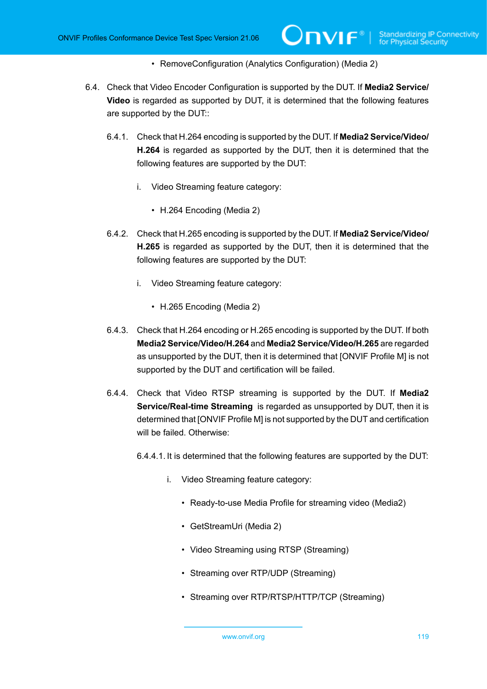• RemoveConfiguration (Analytics Configuration) (Media 2)

- 6.4. Check that Video Encoder Configuration is supported by the DUT. If **Media2 Service/ Video** is regarded as supported by DUT, it is determined that the following features are supported by the DUT::
	- 6.4.1. Check that H.264 encoding is supported by the DUT. If **Media2 Service/Video/ H.264** is regarded as supported by the DUT, then it is determined that the following features are supported by the DUT:
		- i. Video Streaming feature category:
			- H.264 Encoding (Media 2)
	- 6.4.2. Check that H.265 encoding is supported by the DUT. If **Media2 Service/Video/ H.265** is regarded as supported by the DUT, then it is determined that the following features are supported by the DUT:
		- i. Video Streaming feature category:
			- H.265 Encoding (Media 2)
	- 6.4.3. Check that H.264 encoding or H.265 encoding is supported by the DUT. If both **Media2 Service/Video/H.264** and **Media2 Service/Video/H.265** are regarded as unsupported by the DUT, then it is determined that [ONVIF Profile M] is not supported by the DUT and certification will be failed.
	- 6.4.4. Check that Video RTSP streaming is supported by the DUT. If **Media2 Service/Real-time Streaming** is regarded as unsupported by DUT, then it is determined that [ONVIF Profile M] is not supported by the DUT and certification will be failed. Otherwise:
		- 6.4.4.1. It is determined that the following features are supported by the DUT:
			- i. Video Streaming feature category:
				- Ready-to-use Media Profile for streaming video (Media2)
				- GetStreamUri (Media 2)
				- Video Streaming using RTSP (Streaming)
				- Streaming over RTP/UDP (Streaming)
				- Streaming over RTP/RTSP/HTTP/TCP (Streaming)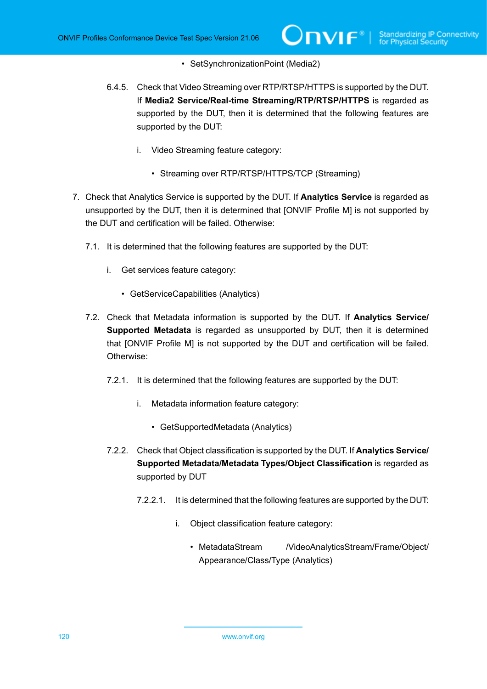- SetSynchronizationPoint (Media2)
- 6.4.5. Check that Video Streaming over RTP/RTSP/HTTPS is supported by the DUT. If **Media2 Service/Real-time Streaming/RTP/RTSP/HTTPS** is regarded as supported by the DUT, then it is determined that the following features are supported by the DUT:
	- i. Video Streaming feature category:
		- Streaming over RTP/RTSP/HTTPS/TCP (Streaming)
- 7. Check that Analytics Service is supported by the DUT. If **Analytics Service** is regarded as unsupported by the DUT, then it is determined that [ONVIF Profile M] is not supported by the DUT and certification will be failed. Otherwise:
	- 7.1. It is determined that the following features are supported by the DUT:
		- i. Get services feature category:
			- GetServiceCapabilities (Analytics)
	- 7.2. Check that Metadata information is supported by the DUT. If **Analytics Service/ Supported Metadata** is regarded as unsupported by DUT, then it is determined that [ONVIF Profile M] is not supported by the DUT and certification will be failed. Otherwise:
		- 7.2.1. It is determined that the following features are supported by the DUT:
			- i. Metadata information feature category:
				- GetSupportedMetadata (Analytics)
		- 7.2.2. Check that Object classification is supported by the DUT. If **Analytics Service/ Supported Metadata/Metadata Types/Object Classification** is regarded as supported by DUT
			- 7.2.2.1. It is determined that the following features are supported by the DUT:
				- i. Object classification feature category:
					- MetadataStream / /VideoAnalyticsStream/Frame/Object/ Appearance/Class/Type (Analytics)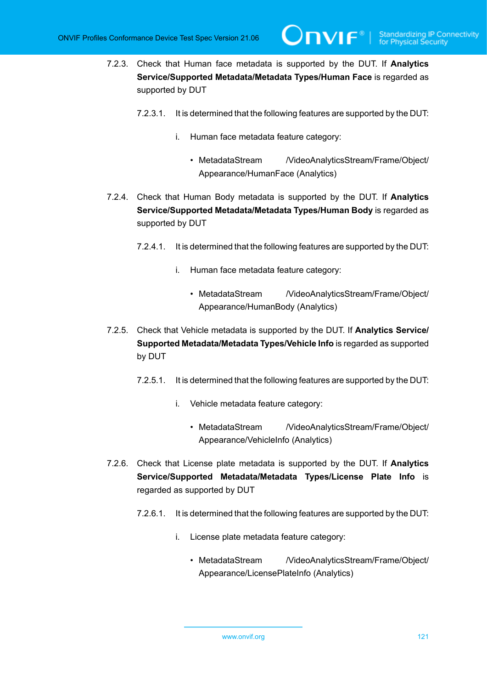- 7.2.3. Check that Human face metadata is supported by the DUT. If **Analytics Service/Supported Metadata/Metadata Types/Human Face** is regarded as supported by DUT
	- 7.2.3.1. It is determined that the following features are supported by the DUT:
		- i. Human face metadata feature category:
			- MetadataStream / VideoAnalyticsStream/Frame/Object/ Appearance/HumanFace (Analytics)

**TVIF**®

- 7.2.4. Check that Human Body metadata is supported by the DUT. If **Analytics Service/Supported Metadata/Metadata Types/Human Body** is regarded as supported by DUT
	- 7.2.4.1. It is determined that the following features are supported by the DUT:
		- i. Human face metadata feature category:
			- MetadataStream / VideoAnalyticsStream/Frame/Object/ Appearance/HumanBody (Analytics)
- 7.2.5. Check that Vehicle metadata is supported by the DUT. If **Analytics Service/ Supported Metadata/Metadata Types/Vehicle Info** is regarded as supported by DUT
	- 7.2.5.1. It is determined that the following features are supported by the DUT:
		- i. Vehicle metadata feature category:
			- MetadataStream / VideoAnalyticsStream/Frame/Object/ Appearance/VehicleInfo (Analytics)
- 7.2.6. Check that License plate metadata is supported by the DUT. If **Analytics Service/Supported Metadata/Metadata Types/License Plate Info** is regarded as supported by DUT
	- 7.2.6.1. It is determined that the following features are supported by the DUT:
		- i. License plate metadata feature category:
			- MetadataStream / VideoAnalyticsStream/Frame/Object/ Appearance/LicensePlateInfo (Analytics)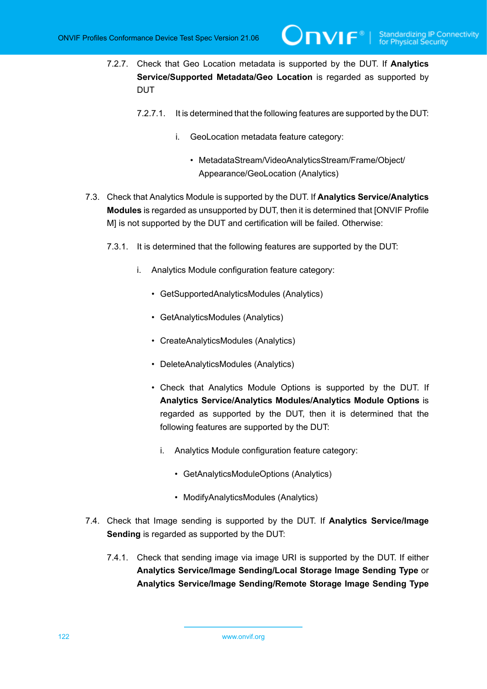- 7.2.7. Check that Geo Location metadata is supported by the DUT. If **Analytics Service/Supported Metadata/Geo Location** is regarded as supported by DUT
	- 7.2.7.1. It is determined that the following features are supported by the DUT:
		- i. GeoLocation metadata feature category:
			- MetadataStream/VideoAnalyticsStream/Frame/Object/ Appearance/GeoLocation (Analytics)
- 7.3. Check that Analytics Module is supported by the DUT. If **Analytics Service/Analytics Modules** is regarded as unsupported by DUT, then it is determined that [ONVIF Profile M] is not supported by the DUT and certification will be failed. Otherwise:
	- 7.3.1. It is determined that the following features are supported by the DUT:
		- i. Analytics Module configuration feature category:
			- GetSupportedAnalyticsModules (Analytics)
			- GetAnalyticsModules (Analytics)
			- CreateAnalyticsModules (Analytics)
			- DeleteAnalyticsModules (Analytics)
			- Check that Analytics Module Options is supported by the DUT. If **Analytics Service/Analytics Modules/Analytics Module Options** is regarded as supported by the DUT, then it is determined that the following features are supported by the DUT:
				- i. Analytics Module configuration feature category:
					- GetAnalyticsModuleOptions (Analytics)
					- ModifyAnalyticsModules (Analytics)
- 7.4. Check that Image sending is supported by the DUT. If **Analytics Service/Image Sending** is regarded as supported by the DUT:
	- 7.4.1. Check that sending image via image URI is supported by the DUT. If either **Analytics Service/Image Sending/Local Storage Image Sending Type** or **Analytics Service/Image Sending/Remote Storage Image Sending Type**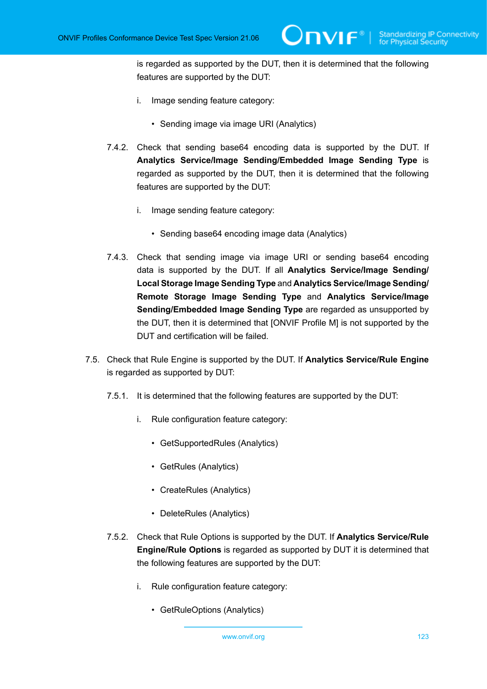is regarded as supported by the DUT, then it is determined that the following features are supported by the DUT:

- i. Image sending feature category:
	- Sending image via image URI (Analytics)
- 7.4.2. Check that sending base64 encoding data is supported by the DUT. If **Analytics Service/Image Sending/Embedded Image Sending Type** is regarded as supported by the DUT, then it is determined that the following features are supported by the DUT:
	- i. Image sending feature category:
		- Sending base64 encoding image data (Analytics)
- 7.4.3. Check that sending image via image URI or sending base64 encoding data is supported by the DUT. If all **Analytics Service/Image Sending/ Local Storage Image Sending Type** and **Analytics Service/Image Sending/ Remote Storage Image Sending Type** and **Analytics Service/Image Sending/Embedded Image Sending Type** are regarded as unsupported by the DUT, then it is determined that [ONVIF Profile M] is not supported by the DUT and certification will be failed.
- 7.5. Check that Rule Engine is supported by the DUT. If **Analytics Service/Rule Engine** is regarded as supported by DUT:
	- 7.5.1. It is determined that the following features are supported by the DUT:
		- i. Rule configuration feature category:
			- GetSupportedRules (Analytics)
			- GetRules (Analytics)
			- CreateRules (Analytics)
			- DeleteRules (Analytics)
	- 7.5.2. Check that Rule Options is supported by the DUT. If **Analytics Service/Rule Engine/Rule Options** is regarded as supported by DUT it is determined that the following features are supported by the DUT:
		- i. Rule configuration feature category:
			- GetRuleOptions (Analytics)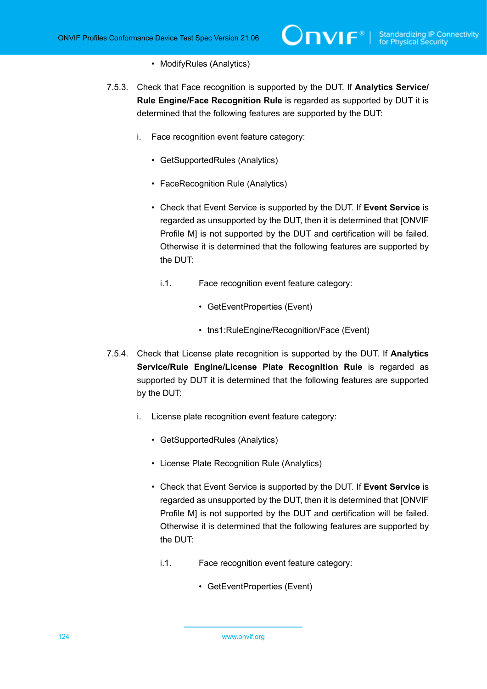- ModifyRules (Analytics)
- 7.5.3. Check that Face recognition is supported by the DUT. If **Analytics Service/ Rule Engine/Face Recognition Rule** is regarded as supported by DUT it is determined that the following features are supported by the DUT:
	- i. Face recognition event feature category:
		- GetSupportedRules (Analytics)
		- FaceRecognition Rule (Analytics)
		- Check that Event Service is supported by the DUT. If **Event Service** is regarded as unsupported by the DUT, then it is determined that [ONVIF Profile M] is not supported by the DUT and certification will be failed. Otherwise it is determined that the following features are supported by the DUT:
			- i.1. Face recognition event feature category:
				- GetEventProperties (Event)
				- tns1:RuleEngine/Recognition/Face (Event)
- 7.5.4. Check that License plate recognition is supported by the DUT. If **Analytics Service/Rule Engine/License Plate Recognition Rule** is regarded as supported by DUT it is determined that the following features are supported by the DUT:
	- i. License plate recognition event feature category:
		- GetSupportedRules (Analytics)
		- License Plate Recognition Rule (Analytics)
		- Check that Event Service is supported by the DUT. If **Event Service** is regarded as unsupported by the DUT, then it is determined that [ONVIF Profile M] is not supported by the DUT and certification will be failed. Otherwise it is determined that the following features are supported by the DUT:
			- i.1. Face recognition event feature category:
				- GetEventProperties (Event)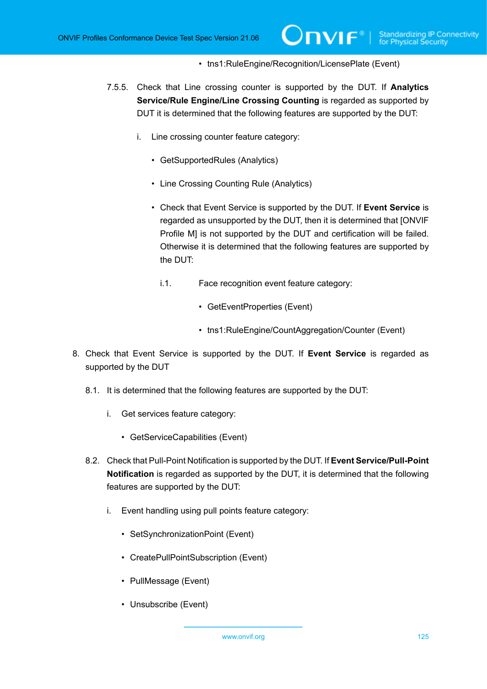### • tns1:RuleEngine/Recognition/LicensePlate (Event)

- 7.5.5. Check that Line crossing counter is supported by the DUT. If **Analytics Service/Rule Engine/Line Crossing Counting** is regarded as supported by DUT it is determined that the following features are supported by the DUT:
	- i. Line crossing counter feature category:
		- GetSupportedRules (Analytics)
		- Line Crossing Counting Rule (Analytics)
		- Check that Event Service is supported by the DUT. If **Event Service** is regarded as unsupported by the DUT, then it is determined that [ONVIF Profile M] is not supported by the DUT and certification will be failed. Otherwise it is determined that the following features are supported by the DUT:
			- i.1. Face recognition event feature category:
				- GetEventProperties (Event)
				- tns1:RuleEngine/CountAggregation/Counter (Event)
- 8. Check that Event Service is supported by the DUT. If **Event Service** is regarded as supported by the DUT
	- 8.1. It is determined that the following features are supported by the DUT:
		- i. Get services feature category:
			- GetServiceCapabilities (Event)
	- 8.2. Check that Pull-Point Notification is supported by the DUT. If **Event Service/Pull-Point Notification** is regarded as supported by the DUT, it is determined that the following features are supported by the DUT:
		- i. Event handling using pull points feature category:
			- SetSynchronizationPoint (Event)
			- CreatePullPointSubscription (Event)
			- PullMessage (Event)
			- Unsubscribe (Event)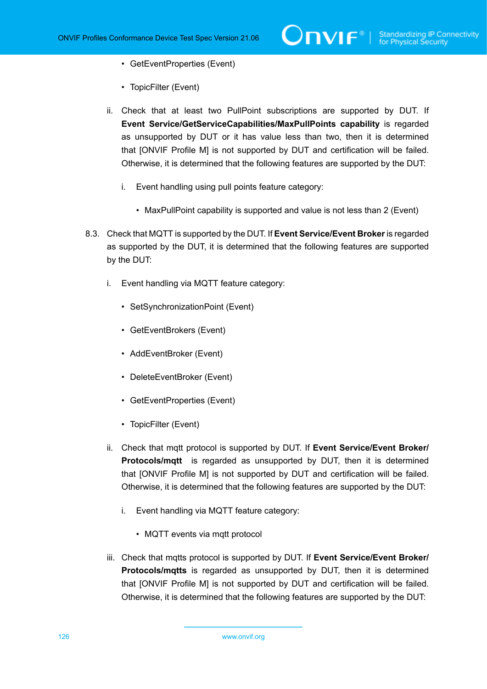- GetEventProperties (Event)
- TopicFilter (Event)
- ii. Check that at least two PullPoint subscriptions are supported by DUT. If **Event Service/GetServiceCapabilities/MaxPullPoints capability** is regarded as unsupported by DUT or it has value less than two, then it is determined that [ONVIF Profile M] is not supported by DUT and certification will be failed. Otherwise, it is determined that the following features are supported by the DUT:
	- i. Event handling using pull points feature category:
		- MaxPullPoint capability is supported and value is not less than 2 (Event)
- 8.3. Check that MQTT is supported by the DUT. If **Event Service/Event Broker** is regarded as supported by the DUT, it is determined that the following features are supported by the DUT:
	- i. Event handling via MQTT feature category:
		- SetSynchronizationPoint (Event)
		- GetEventBrokers (Event)
		- AddEventBroker (Event)
		- DeleteEventBroker (Event)
		- GetEventProperties (Event)
		- TopicFilter (Event)
	- ii. Check that mqtt protocol is supported by DUT. If **Event Service/Event Broker/ Protocols/mqtt** is regarded as unsupported by DUT, then it is determined that [ONVIF Profile M] is not supported by DUT and certification will be failed. Otherwise, it is determined that the following features are supported by the DUT:
		- i. Event handling via MQTT feature category:
			- MQTT events via mqtt protocol
	- iii. Check that mqtts protocol is supported by DUT. If **Event Service/Event Broker/ Protocols/mqtts** is regarded as unsupported by DUT, then it is determined that [ONVIF Profile M] is not supported by DUT and certification will be failed. Otherwise, it is determined that the following features are supported by the DUT: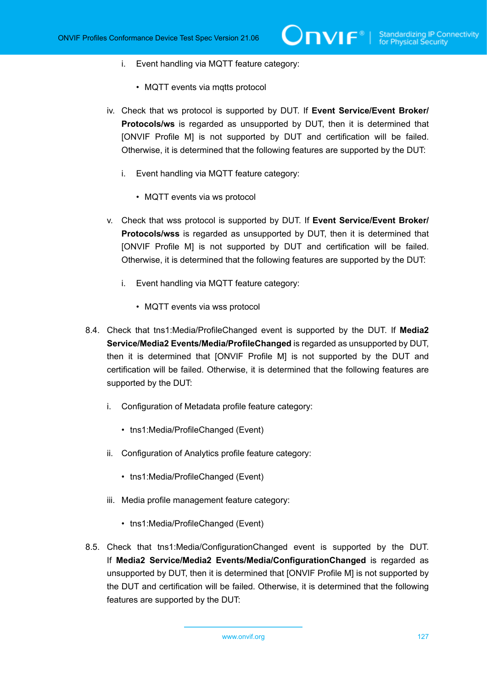- i. Event handling via MQTT feature category:
	- MQTT events via mqtts protocol
- iv. Check that ws protocol is supported by DUT. If **Event Service/Event Broker/ Protocols/ws** is regarded as unsupported by DUT, then it is determined that [ONVIF Profile M] is not supported by DUT and certification will be failed. Otherwise, it is determined that the following features are supported by the DUT:
	- i. Event handling via MQTT feature category:
		- MQTT events via ws protocol
- v. Check that wss protocol is supported by DUT. If **Event Service/Event Broker/ Protocols/wss** is regarded as unsupported by DUT, then it is determined that [ONVIF Profile M] is not supported by DUT and certification will be failed. Otherwise, it is determined that the following features are supported by the DUT:
	- i. Event handling via MQTT feature category:
		- MQTT events via wss protocol
- 8.4. Check that tns1:Media/ProfileChanged event is supported by the DUT. If **Media2 Service/Media2 Events/Media/ProfileChanged** is regarded as unsupported by DUT, then it is determined that [ONVIF Profile M] is not supported by the DUT and certification will be failed. Otherwise, it is determined that the following features are supported by the DUT:
	- i. Configuration of Metadata profile feature category:
		- tns1:Media/ProfileChanged (Event)
	- ii. Configuration of Analytics profile feature category:
		- tns1:Media/ProfileChanged (Event)
	- iii. Media profile management feature category:
		- tns1:Media/ProfileChanged (Event)
- 8.5. Check that tns1:Media/ConfigurationChanged event is supported by the DUT. If **Media2 Service/Media2 Events/Media/ConfigurationChanged** is regarded as unsupported by DUT, then it is determined that [ONVIF Profile M] is not supported by the DUT and certification will be failed. Otherwise, it is determined that the following features are supported by the DUT: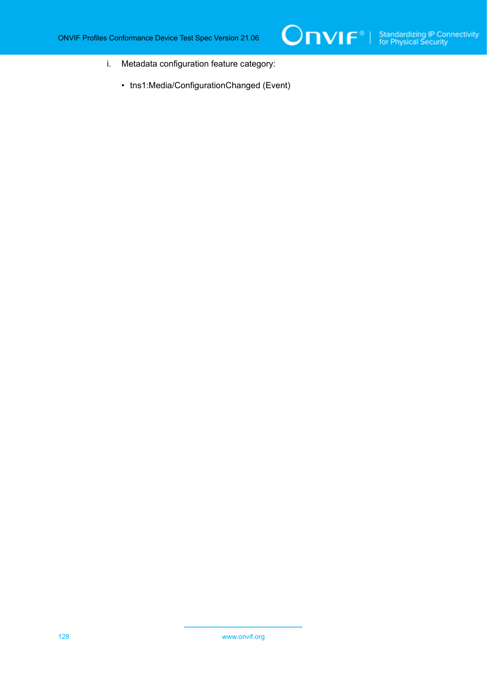- i. Metadata configuration feature category:
	- tns1:Media/ConfigurationChanged (Event)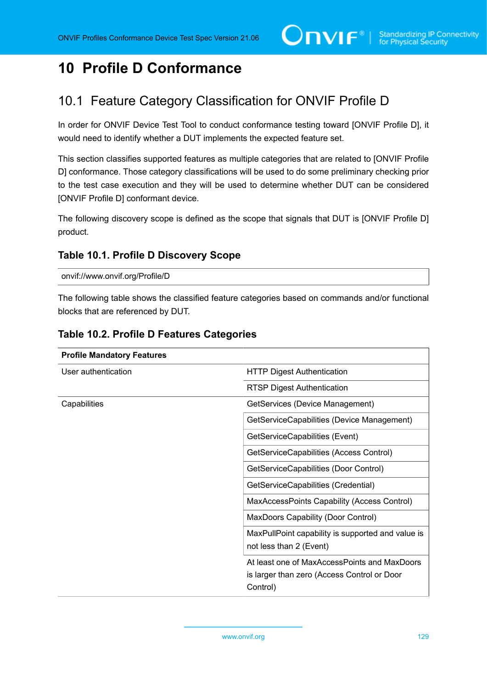# **10 Profile D Conformance**

# 10.1 Feature Category Classification for ONVIF Profile D

In order for ONVIF Device Test Tool to conduct conformance testing toward [ONVIF Profile D], it would need to identify whether a DUT implements the expected feature set.

This section classifies supported features as multiple categories that are related to [ONVIF Profile D] conformance. Those category classifications will be used to do some preliminary checking prior to the test case execution and they will be used to determine whether DUT can be considered [ONVIF Profile D] conformant device.

The following discovery scope is defined as the scope that signals that DUT is [ONVIF Profile D] product.

## <span id="page-128-0"></span>**Table 10.1. Profile D Discovery Scope**

onvif://www.onvif.org/Profile/D

The following table shows the classified feature categories based on commands and/or functional blocks that are referenced by DUT.

| <b>Profile Mandatory Features</b> |                                                                                                         |
|-----------------------------------|---------------------------------------------------------------------------------------------------------|
| User authentication               | <b>HTTP Digest Authentication</b>                                                                       |
|                                   | <b>RTSP Digest Authentication</b>                                                                       |
| Capabilities                      | GetServices (Device Management)                                                                         |
|                                   | GetServiceCapabilities (Device Management)                                                              |
|                                   | GetServiceCapabilities (Event)                                                                          |
|                                   | GetServiceCapabilities (Access Control)                                                                 |
|                                   | GetServiceCapabilities (Door Control)                                                                   |
|                                   | GetServiceCapabilities (Credential)                                                                     |
|                                   | MaxAccessPoints Capability (Access Control)                                                             |
|                                   | <b>MaxDoors Capability (Door Control)</b>                                                               |
|                                   | MaxPullPoint capability is supported and value is<br>not less than 2 (Event)                            |
|                                   | At least one of MaxAccessPoints and MaxDoors<br>is larger than zero (Access Control or Door<br>Control) |

## **Table 10.2. Profile D Features Categories**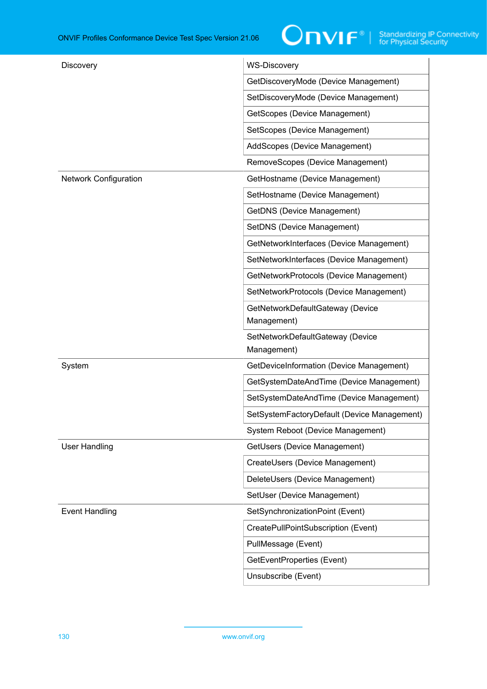| Discovery                    | <b>WS-Discovery</b>                         |
|------------------------------|---------------------------------------------|
|                              | GetDiscoveryMode (Device Management)        |
|                              | SetDiscoveryMode (Device Management)        |
|                              | GetScopes (Device Management)               |
|                              | SetScopes (Device Management)               |
|                              | AddScopes (Device Management)               |
|                              | RemoveScopes (Device Management)            |
| <b>Network Configuration</b> | GetHostname (Device Management)             |
|                              | SetHostname (Device Management)             |
|                              | <b>GetDNS (Device Management)</b>           |
|                              | SetDNS (Device Management)                  |
|                              | GetNetworkInterfaces (Device Management)    |
|                              | SetNetworkInterfaces (Device Management)    |
|                              | GetNetworkProtocols (Device Management)     |
|                              | SetNetworkProtocols (Device Management)     |
|                              | GetNetworkDefaultGateway (Device            |
|                              | Management)                                 |
|                              | SetNetworkDefaultGateway (Device            |
|                              | Management)                                 |
| System                       | GetDeviceInformation (Device Management)    |
|                              | GetSystemDateAndTime (Device Management)    |
|                              | SetSystemDateAndTime (Device Management)    |
|                              | SetSystemFactoryDefault (Device Management) |
|                              | System Reboot (Device Management)           |
| <b>User Handling</b>         | GetUsers (Device Management)                |
|                              | CreateUsers (Device Management)             |
|                              | DeleteUsers (Device Management)             |
|                              | SetUser (Device Management)                 |
| <b>Event Handling</b>        | SetSynchronizationPoint (Event)             |
|                              | CreatePullPointSubscription (Event)         |
|                              | PullMessage (Event)                         |
|                              | GetEventProperties (Event)                  |
|                              | Unsubscribe (Event)                         |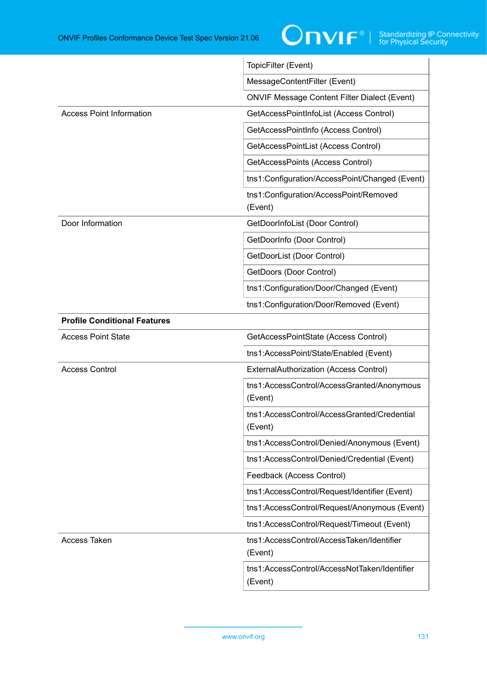

|                                     | TopicFilter (Event)                                     |
|-------------------------------------|---------------------------------------------------------|
|                                     | MessageContentFilter (Event)                            |
|                                     | <b>ONVIF Message Content Filter Dialect (Event)</b>     |
| <b>Access Point Information</b>     | GetAccessPointInfoList (Access Control)                 |
|                                     | GetAccessPointInfo (Access Control)                     |
|                                     | GetAccessPointList (Access Control)                     |
|                                     | GetAccessPoints (Access Control)                        |
|                                     | tns1:Configuration/AccessPoint/Changed (Event)          |
|                                     | tns1:Configuration/AccessPoint/Removed<br>(Event)       |
| Door Information                    | GetDoorInfoList (Door Control)                          |
|                                     | GetDoorInfo (Door Control)                              |
|                                     | GetDoorList (Door Control)                              |
|                                     | GetDoors (Door Control)                                 |
|                                     | tns1:Configuration/Door/Changed (Event)                 |
|                                     | tns1:Configuration/Door/Removed (Event)                 |
| <b>Profile Conditional Features</b> |                                                         |
| <b>Access Point State</b>           | GetAccessPointState (Access Control)                    |
|                                     | tns1:AccessPoint/State/Enabled (Event)                  |
| <b>Access Control</b>               | ExternalAuthorization (Access Control)                  |
|                                     | tns1:AccessControl/AccessGranted/Anonymous<br>(Event)   |
|                                     | tns1:AccessControl/AccessGranted/Credential<br>(Event)  |
|                                     | tns1:AccessControl/Denied/Anonymous (Event)             |
|                                     | tns1:AccessControl/Denied/Credential (Event)            |
|                                     | Feedback (Access Control)                               |
|                                     | tns1:AccessControl/Request/Identifier (Event)           |
|                                     | tns1:AccessControl/Request/Anonymous (Event)            |
|                                     | tns1:AccessControl/Request/Timeout (Event)              |
| <b>Access Taken</b>                 | tns1:AccessControl/AccessTaken/Identifier<br>(Event)    |
|                                     | tns1:AccessControl/AccessNotTaken/Identifier<br>(Event) |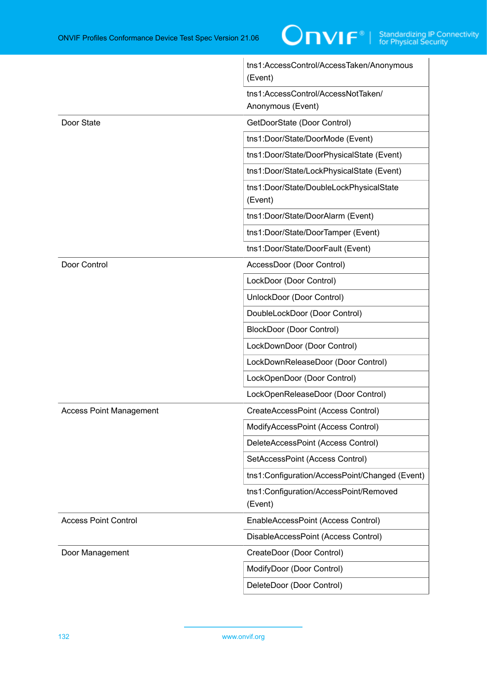|                                | tns1:AccessControl/AccessTaken/Anonymous<br>(Event)     |
|--------------------------------|---------------------------------------------------------|
|                                | tns1:AccessControl/AccessNotTaken/<br>Anonymous (Event) |
| Door State                     | GetDoorState (Door Control)                             |
|                                | tns1:Door/State/DoorMode (Event)                        |
|                                | tns1:Door/State/DoorPhysicalState (Event)               |
|                                | tns1:Door/State/LockPhysicalState (Event)               |
|                                | tns1:Door/State/DoubleLockPhysicalState<br>(Event)      |
|                                | tns1:Door/State/DoorAlarm (Event)                       |
|                                | tns1:Door/State/DoorTamper (Event)                      |
|                                | tns1:Door/State/DoorFault (Event)                       |
| Door Control                   | AccessDoor (Door Control)                               |
|                                | LockDoor (Door Control)                                 |
|                                | UnlockDoor (Door Control)                               |
|                                | DoubleLockDoor (Door Control)                           |
|                                | <b>BlockDoor (Door Control)</b>                         |
|                                | LockDownDoor (Door Control)                             |
|                                | LockDownReleaseDoor (Door Control)                      |
|                                | LockOpenDoor (Door Control)                             |
|                                | LockOpenReleaseDoor (Door Control)                      |
| <b>Access Point Management</b> | CreateAccessPoint (Access Control)                      |
|                                | ModifyAccessPoint (Access Control)                      |
|                                | DeleteAccessPoint (Access Control)                      |
|                                | SetAccessPoint (Access Control)                         |
|                                | tns1:Configuration/AccessPoint/Changed (Event)          |
|                                | tns1:Configuration/AccessPoint/Removed<br>(Event)       |
| <b>Access Point Control</b>    | EnableAccessPoint (Access Control)                      |
|                                | DisableAccessPoint (Access Control)                     |
| Door Management                | CreateDoor (Door Control)                               |
|                                | ModifyDoor (Door Control)                               |
|                                | DeleteDoor (Door Control)                               |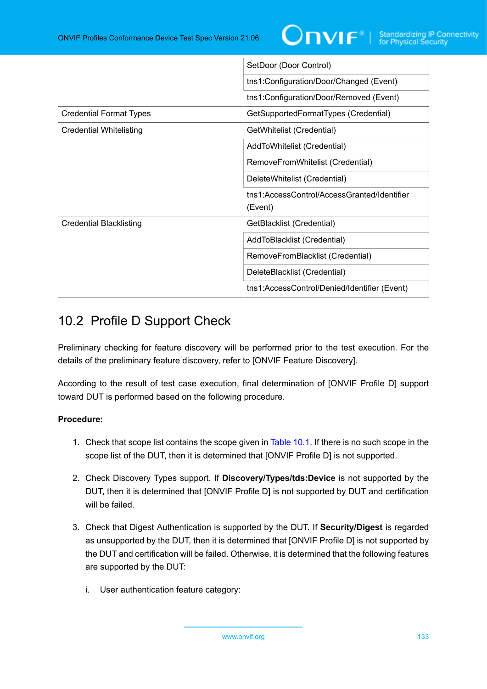

|                                | SetDoor (Door Control)                                 |
|--------------------------------|--------------------------------------------------------|
|                                | tns1:Configuration/Door/Changed (Event)                |
|                                | tns1:Configuration/Door/Removed (Event)                |
| <b>Credential Format Types</b> | GetSupportedFormatTypes (Credential)                   |
| <b>Credential Whitelisting</b> | GetWhitelist (Credential)                              |
|                                | AddToWhitelist (Credential)                            |
|                                | RemoveFromWhitelist (Credential)                       |
|                                | DeleteWhitelist (Credential)                           |
|                                | tns1:AccessControl/AccessGranted/Identifier<br>(Event) |
| <b>Credential Blacklisting</b> | GetBlacklist (Credential)                              |
|                                | AddToBlacklist (Credential)                            |
|                                | RemoveFromBlacklist (Credential)                       |
|                                | DeleteBlacklist (Credential)                           |
|                                | tns1:AccessControl/Denied/Identifier (Event)           |

# 10.2 Profile D Support Check

Preliminary checking for feature discovery will be performed prior to the test execution. For the details of the preliminary feature discovery, refer to [ONVIF Feature Discovery].

According to the result of test case execution, final determination of [ONVIF Profile D] support toward DUT is performed based on the following procedure.

## **Procedure:**

- 1. Check that scope list contains the scope given in [Table](#page-128-0) 10.1. If there is no such scope in the scope list of the DUT, then it is determined that [ONVIF Profile D] is not supported.
- 2. Check Discovery Types support. If **Discovery/Types/tds:Device** is not supported by the DUT, then it is determined that [ONVIF Profile D] is not supported by DUT and certification will be failed.
- 3. Check that Digest Authentication is supported by the DUT. If **Security/Digest** is regarded as unsupported by the DUT, then it is determined that [ONVIF Profile D] is not supported by the DUT and certification will be failed. Otherwise, it is determined that the following features are supported by the DUT:
	- i. User authentication feature category: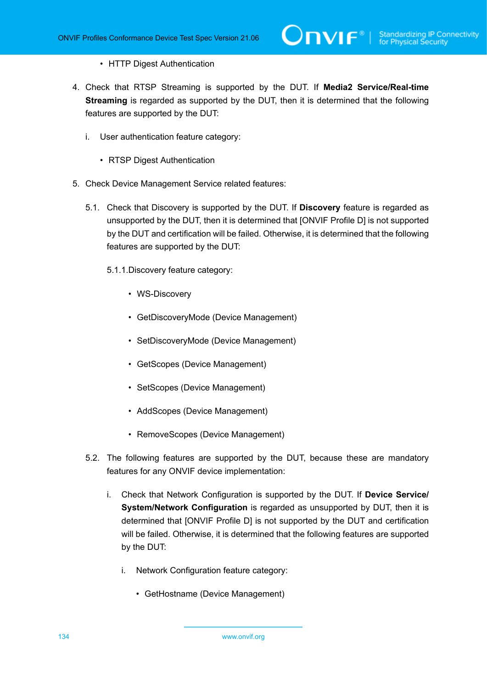- HTTP Digest Authentication
- 4. Check that RTSP Streaming is supported by the DUT. If **Media2 Service/Real-time Streaming** is regarded as supported by the DUT, then it is determined that the following features are supported by the DUT:
	- i. User authentication feature category:
		- RTSP Digest Authentication
- 5. Check Device Management Service related features:
	- 5.1. Check that Discovery is supported by the DUT. If **Discovery** feature is regarded as unsupported by the DUT, then it is determined that [ONVIF Profile D] is not supported by the DUT and certification will be failed. Otherwise, it is determined that the following features are supported by the DUT:
		- 5.1.1.Discovery feature category:
			- WS-Discovery
			- GetDiscoveryMode (Device Management)
			- SetDiscoveryMode (Device Management)
			- GetScopes (Device Management)
			- SetScopes (Device Management)
			- AddScopes (Device Management)
			- RemoveScopes (Device Management)
	- 5.2. The following features are supported by the DUT, because these are mandatory features for any ONVIF device implementation:
		- i. Check that Network Configuration is supported by the DUT. If **Device Service/ System/Network Configuration** is regarded as unsupported by DUT, then it is determined that [ONVIF Profile D] is not supported by the DUT and certification will be failed. Otherwise, it is determined that the following features are supported by the DUT:
			- i. Network Configuration feature category:
				- GetHostname (Device Management)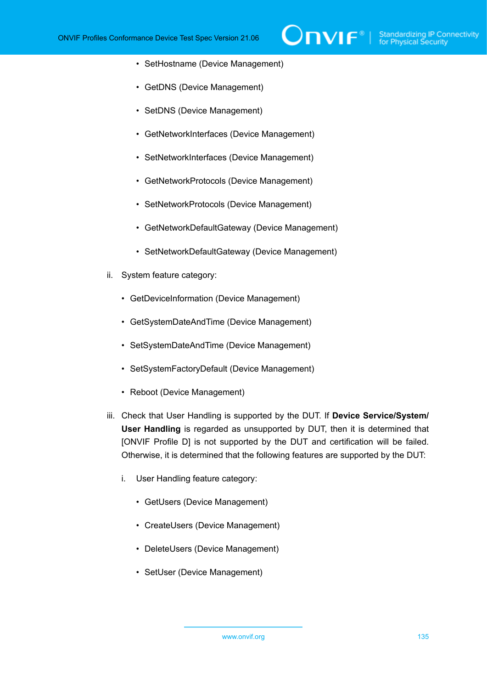- SetHostname (Device Management)
- GetDNS (Device Management)
- SetDNS (Device Management)
- GetNetworkInterfaces (Device Management)
- SetNetworkInterfaces (Device Management)
- GetNetworkProtocols (Device Management)
- SetNetworkProtocols (Device Management)
- GetNetworkDefaultGateway (Device Management)
- SetNetworkDefaultGateway (Device Management)
- ii. System feature category:
	- GetDeviceInformation (Device Management)
	- GetSystemDateAndTime (Device Management)
	- SetSystemDateAndTime (Device Management)
	- SetSystemFactoryDefault (Device Management)
	- Reboot (Device Management)
- iii. Check that User Handling is supported by the DUT. If **Device Service/System/ User Handling** is regarded as unsupported by DUT, then it is determined that [ONVIF Profile D] is not supported by the DUT and certification will be failed. Otherwise, it is determined that the following features are supported by the DUT:
	- i. User Handling feature category:
		- GetUsers (Device Management)
		- CreateUsers (Device Management)
		- DeleteUsers (Device Management)
		- SetUser (Device Management)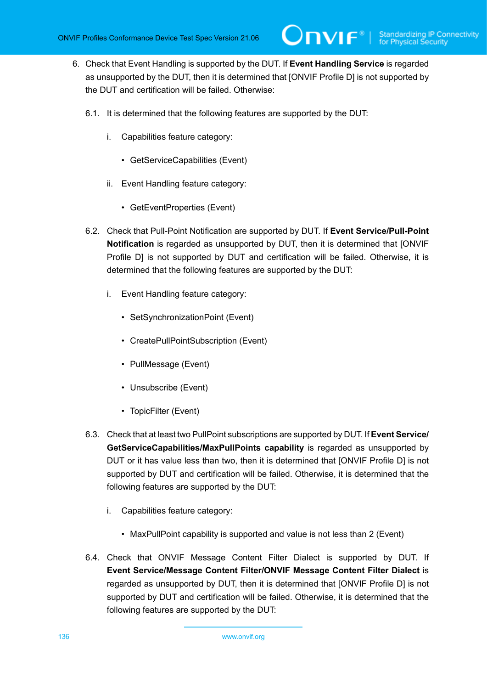- 6. Check that Event Handling is supported by the DUT. If **Event Handling Service** is regarded as unsupported by the DUT, then it is determined that [ONVIF Profile D] is not supported by the DUT and certification will be failed. Otherwise:
	- 6.1. It is determined that the following features are supported by the DUT:
		- i. Capabilities feature category:
			- GetServiceCapabilities (Event)
		- ii. Event Handling feature category:
			- GetEventProperties (Event)
	- 6.2. Check that Pull-Point Notification are supported by DUT. If **Event Service/Pull-Point Notification** is regarded as unsupported by DUT, then it is determined that [ONVIF Profile D] is not supported by DUT and certification will be failed. Otherwise, it is determined that the following features are supported by the DUT:
		- i. Event Handling feature category:
			- SetSynchronizationPoint (Event)
			- CreatePullPointSubscription (Event)
			- PullMessage (Event)
			- Unsubscribe (Event)
			- TopicFilter (Event)
	- 6.3. Check that at least two PullPoint subscriptions are supported by DUT. If **Event Service/ GetServiceCapabilities/MaxPullPoints capability** is regarded as unsupported by DUT or it has value less than two, then it is determined that [ONVIF Profile D] is not supported by DUT and certification will be failed. Otherwise, it is determined that the following features are supported by the DUT:
		- i. Capabilities feature category:
			- MaxPullPoint capability is supported and value is not less than 2 (Event)
	- 6.4. Check that ONVIF Message Content Filter Dialect is supported by DUT. If **Event Service/Message Content Filter/ONVIF Message Content Filter Dialect** is regarded as unsupported by DUT, then it is determined that [ONVIF Profile D] is not supported by DUT and certification will be failed. Otherwise, it is determined that the following features are supported by the DUT: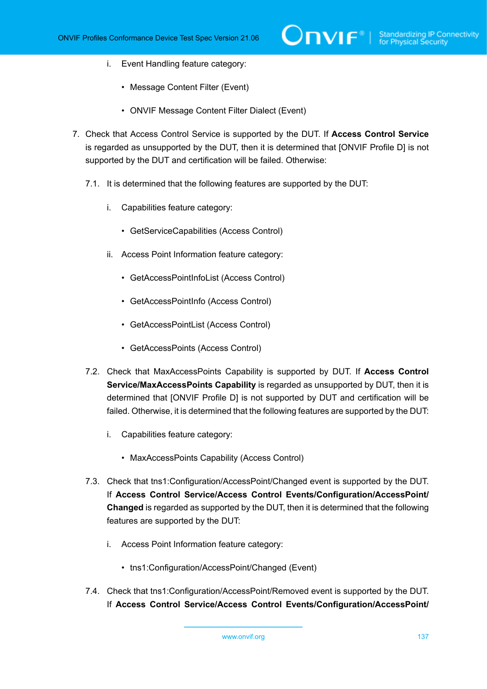- i. Event Handling feature category:
	- Message Content Filter (Event)
	- ONVIF Message Content Filter Dialect (Event)
- 7. Check that Access Control Service is supported by the DUT. If **Access Control Service** is regarded as unsupported by the DUT, then it is determined that [ONVIF Profile D] is not supported by the DUT and certification will be failed. Otherwise:
	- 7.1. It is determined that the following features are supported by the DUT:
		- i. Capabilities feature category:
			- GetServiceCapabilities (Access Control)
		- ii. Access Point Information feature category:
			- GetAccessPointInfoList (Access Control)
			- GetAccessPointInfo (Access Control)
			- GetAccessPointList (Access Control)
			- GetAccessPoints (Access Control)
	- 7.2. Check that MaxAccessPoints Capability is supported by DUT. If **Access Control Service/MaxAccessPoints Capability** is regarded as unsupported by DUT, then it is determined that [ONVIF Profile D] is not supported by DUT and certification will be failed. Otherwise, it is determined that the following features are supported by the DUT:
		- i. Capabilities feature category:
			- MaxAccessPoints Capability (Access Control)
	- 7.3. Check that tns1:Configuration/AccessPoint/Changed event is supported by the DUT. If **Access Control Service/Access Control Events/Configuration/AccessPoint/ Changed** is regarded as supported by the DUT, then it is determined that the following features are supported by the DUT:
		- i. Access Point Information feature category:
			- tns1:Configuration/AccessPoint/Changed (Event)
	- 7.4. Check that tns1:Configuration/AccessPoint/Removed event is supported by the DUT. If **Access Control Service/Access Control Events/Configuration/AccessPoint/**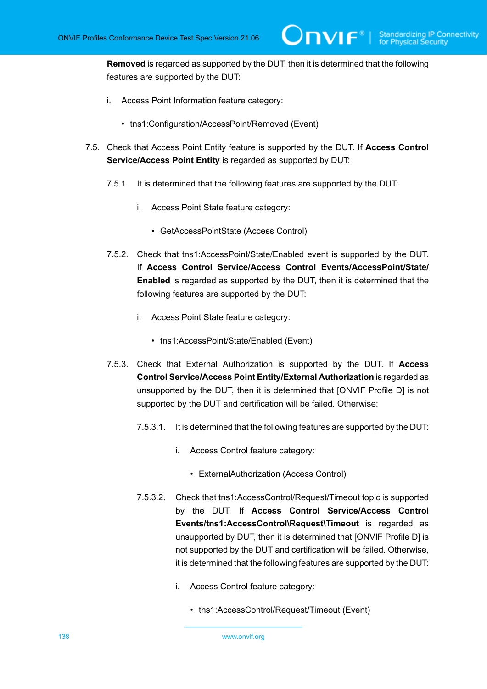**Removed** is regarded as supported by the DUT, then it is determined that the following features are supported by the DUT:

- i. Access Point Information feature category:
	- tns1:Configuration/AccessPoint/Removed (Event)
- 7.5. Check that Access Point Entity feature is supported by the DUT. If **Access Control Service/Access Point Entity** is regarded as supported by DUT:
	- 7.5.1. It is determined that the following features are supported by the DUT:
		- i. Access Point State feature category:
			- GetAccessPointState (Access Control)
	- 7.5.2. Check that tns1:AccessPoint/State/Enabled event is supported by the DUT. If **Access Control Service/Access Control Events/AccessPoint/State/ Enabled** is regarded as supported by the DUT, then it is determined that the following features are supported by the DUT:
		- i. Access Point State feature category:
			- tns1:AccessPoint/State/Enabled (Event)
	- 7.5.3. Check that External Authorization is supported by the DUT. If **Access Control Service/Access Point Entity/External Authorization** is regarded as unsupported by the DUT, then it is determined that [ONVIF Profile D] is not supported by the DUT and certification will be failed. Otherwise:
		- 7.5.3.1. It is determined that the following features are supported by the DUT:
			- i. Access Control feature category:
				- ExternalAuthorization (Access Control)
		- 7.5.3.2. Check that tns1:AccessControl/Request/Timeout topic is supported by the DUT. If **Access Control Service/Access Control Events/tns1:AccessControl\Request\Timeout** is regarded as unsupported by DUT, then it is determined that [ONVIF Profile D] is not supported by the DUT and certification will be failed. Otherwise, it is determined that the following features are supported by the DUT:
			- i. Access Control feature category:
				- tns1:AccessControl/Request/Timeout (Event)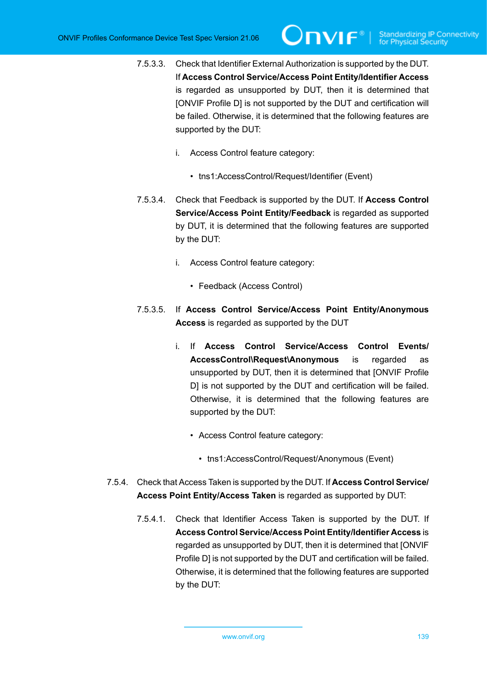- 7.5.3.3. Check that Identifier External Authorization is supported by the DUT. If **Access Control Service/Access Point Entity/Identifier Access** is regarded as unsupported by DUT, then it is determined that [ONVIF Profile D] is not supported by the DUT and certification will be failed. Otherwise, it is determined that the following features are supported by the DUT:
	- i. Access Control feature category:
		- tns1:AccessControl/Request/Identifier (Event)
- 7.5.3.4. Check that Feedback is supported by the DUT. If **Access Control Service/Access Point Entity/Feedback** is regarded as supported by DUT, it is determined that the following features are supported by the DUT:
	- i. Access Control feature category:
		- Feedback (Access Control)
- 7.5.3.5. If **Access Control Service/Access Point Entity/Anonymous Access** is regarded as supported by the DUT
	- i. If **Access Control Service/Access Control Events/ AccessControl\Request\Anonymous** is regarded as unsupported by DUT, then it is determined that [ONVIF Profile D] is not supported by the DUT and certification will be failed. Otherwise, it is determined that the following features are supported by the DUT:
		- Access Control feature category:
			- tns1:AccessControl/Request/Anonymous (Event)
- 7.5.4. Check that Access Taken is supported by the DUT. If **Access Control Service/ Access Point Entity/Access Taken** is regarded as supported by DUT:
	- 7.5.4.1. Check that Identifier Access Taken is supported by the DUT. If **Access Control Service/Access Point Entity/Identifier Access** is regarded as unsupported by DUT, then it is determined that [ONVIF Profile D] is not supported by the DUT and certification will be failed. Otherwise, it is determined that the following features are supported by the DUT: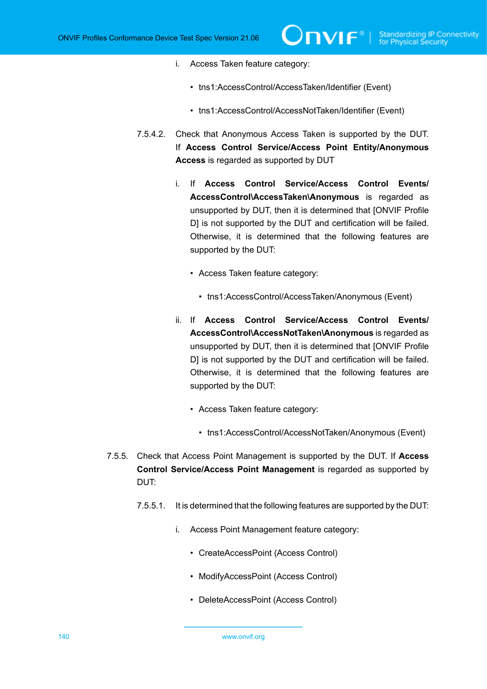- i. Access Taken feature category:
	- tns1:AccessControl/AccessTaken/Identifier (Event)
	- tns1:AccessControl/AccessNotTaken/Identifier (Event)
- 7.5.4.2. Check that Anonymous Access Taken is supported by the DUT. If **Access Control Service/Access Point Entity/Anonymous Access** is regarded as supported by DUT
	- i. If **Access Control Service/Access Control Events/ AccessControl\AccessTaken\Anonymous** is regarded as unsupported by DUT, then it is determined that [ONVIF Profile D] is not supported by the DUT and certification will be failed. Otherwise, it is determined that the following features are supported by the DUT:
		- Access Taken feature category:
			- tns1:AccessControl/AccessTaken/Anonymous (Event)
	- ii. If **Access Control Service/Access Control Events/ AccessControl\AccessNotTaken\Anonymous** is regarded as unsupported by DUT, then it is determined that [ONVIF Profile D] is not supported by the DUT and certification will be failed. Otherwise, it is determined that the following features are supported by the DUT:
		- Access Taken feature category:
			- tns1:AccessControl/AccessNotTaken/Anonymous (Event)
- 7.5.5. Check that Access Point Management is supported by the DUT. If **Access Control Service/Access Point Management** is regarded as supported by DUT:
	- 7.5.5.1. It is determined that the following features are supported by the DUT:
		- i. Access Point Management feature category:
			- CreateAccessPoint (Access Control)
			- ModifyAccessPoint (Access Control)
			- DeleteAccessPoint (Access Control)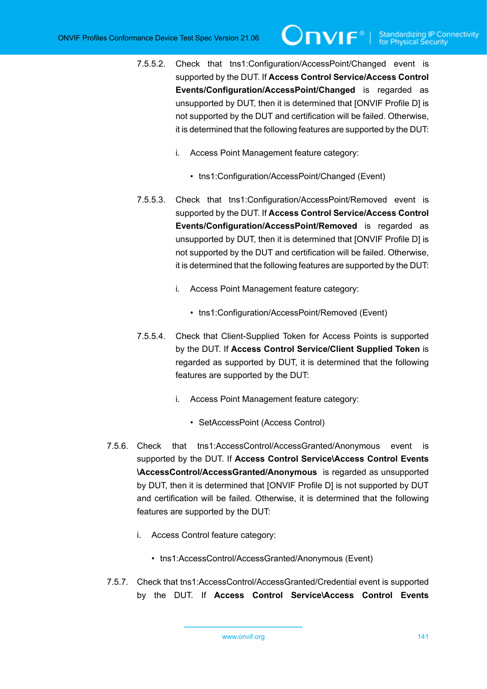- 7.5.5.2. Check that tns1:Configuration/AccessPoint/Changed event is supported by the DUT. If **Access Control Service/Access Control Events/Configuration/AccessPoint/Changed** is regarded as unsupported by DUT, then it is determined that [ONVIF Profile D] is not supported by the DUT and certification will be failed. Otherwise, it is determined that the following features are supported by the DUT:
	- i. Access Point Management feature category:
		- tns1:Configuration/AccessPoint/Changed (Event)
- 7.5.5.3. Check that tns1:Configuration/AccessPoint/Removed event is supported by the DUT. If **Access Control Service/Access Control Events/Configuration/AccessPoint/Removed** is regarded as unsupported by DUT, then it is determined that [ONVIF Profile D] is not supported by the DUT and certification will be failed. Otherwise, it is determined that the following features are supported by the DUT:
	- i. Access Point Management feature category:
		- tns1:Configuration/AccessPoint/Removed (Event)
- 7.5.5.4. Check that Client-Supplied Token for Access Points is supported by the DUT. If **Access Control Service/Client Supplied Token** is regarded as supported by DUT, it is determined that the following features are supported by the DUT:
	- i. Access Point Management feature category:
		- SetAccessPoint (Access Control)
- 7.5.6. Check that tns1:AccessControl/AccessGranted/Anonymous event is supported by the DUT. If **Access Control Service\Access Control Events \AccessControl/AccessGranted/Anonymous** is regarded as unsupported by DUT, then it is determined that [ONVIF Profile D] is not supported by DUT and certification will be failed. Otherwise, it is determined that the following features are supported by the DUT:
	- i. Access Control feature category:
		- tns1:AccessControl/AccessGranted/Anonymous (Event)
- 7.5.7. Check that tns1:AccessControl/AccessGranted/Credential event is supported by the DUT. If **Access Control Service\Access Control Events**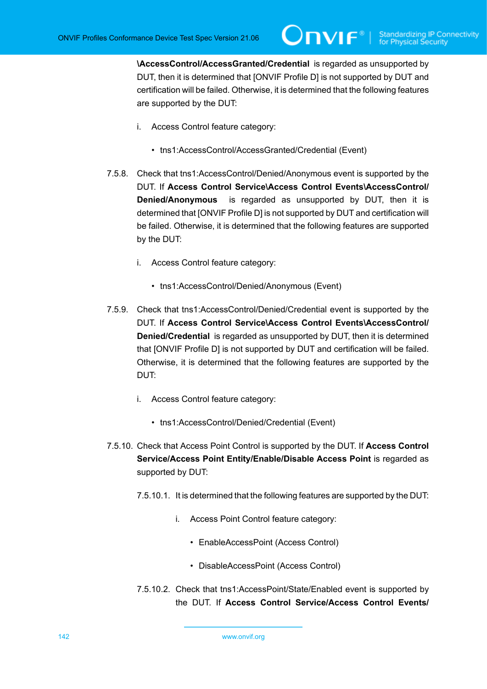**\AccessControl/AccessGranted/Credential** is regarded as unsupported by DUT, then it is determined that [ONVIF Profile D] is not supported by DUT and certification will be failed. Otherwise, it is determined that the following features are supported by the DUT:

- i. Access Control feature category:
	- tns1:AccessControl/AccessGranted/Credential (Event)
- 7.5.8. Check that tns1:AccessControl/Denied/Anonymous event is supported by the DUT. If **Access Control Service\Access Control Events\AccessControl/ Denied/Anonymous** is regarded as unsupported by DUT, then it is determined that [ONVIF Profile D] is not supported by DUT and certification will be failed. Otherwise, it is determined that the following features are supported by the DUT:
	- i. Access Control feature category:
		- tns1:AccessControl/Denied/Anonymous (Event)
- 7.5.9. Check that tns1:AccessControl/Denied/Credential event is supported by the DUT. If **Access Control Service\Access Control Events\AccessControl/ Denied/Credential** is regarded as unsupported by DUT, then it is determined that [ONVIF Profile D] is not supported by DUT and certification will be failed. Otherwise, it is determined that the following features are supported by the DUT:
	- i. Access Control feature category:
		- tns1:AccessControl/Denied/Credential (Event)
- 7.5.10. Check that Access Point Control is supported by the DUT. If **Access Control Service/Access Point Entity/Enable/Disable Access Point** is regarded as supported by DUT:
	- 7.5.10.1. It is determined that the following features are supported by the DUT:
		- i. Access Point Control feature category:
			- EnableAccessPoint (Access Control)
			- DisableAccessPoint (Access Control)
	- 7.5.10.2. Check that tns1:AccessPoint/State/Enabled event is supported by the DUT. If **Access Control Service/Access Control Events/**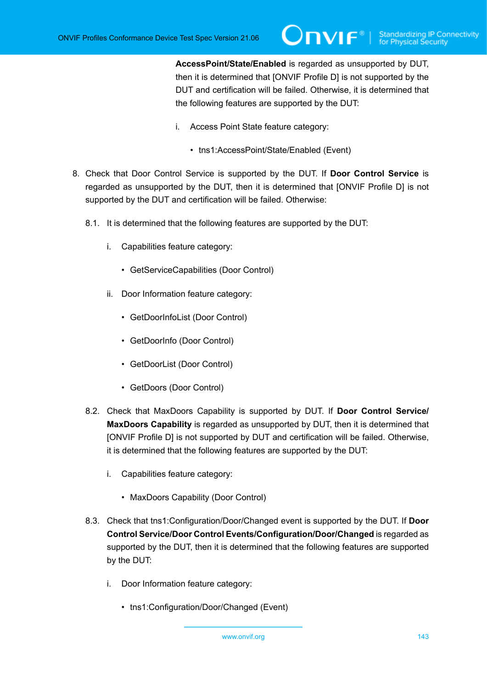**AccessPoint/State/Enabled** is regarded as unsupported by DUT, then it is determined that [ONVIF Profile D] is not supported by the DUT and certification will be failed. Otherwise, it is determined that the following features are supported by the DUT:

- i. Access Point State feature category:
	- tns1:AccessPoint/State/Enabled (Event)
- 8. Check that Door Control Service is supported by the DUT. If **Door Control Service** is regarded as unsupported by the DUT, then it is determined that [ONVIF Profile D] is not supported by the DUT and certification will be failed. Otherwise:
	- 8.1. It is determined that the following features are supported by the DUT:
		- i. Capabilities feature category:
			- GetServiceCapabilities (Door Control)
		- ii. Door Information feature category:
			- GetDoorInfoList (Door Control)
			- GetDoorInfo (Door Control)
			- GetDoorList (Door Control)
			- GetDoors (Door Control)
	- 8.2. Check that MaxDoors Capability is supported by DUT. If **Door Control Service/ MaxDoors Capability** is regarded as unsupported by DUT, then it is determined that [ONVIF Profile D] is not supported by DUT and certification will be failed. Otherwise, it is determined that the following features are supported by the DUT:
		- i. Capabilities feature category:
			- MaxDoors Capability (Door Control)
	- 8.3. Check that tns1:Configuration/Door/Changed event is supported by the DUT. If **Door Control Service/Door Control Events/Configuration/Door/Changed** is regarded as supported by the DUT, then it is determined that the following features are supported by the DUT:
		- i. Door Information feature category:
			- tns1:Configuration/Door/Changed (Event)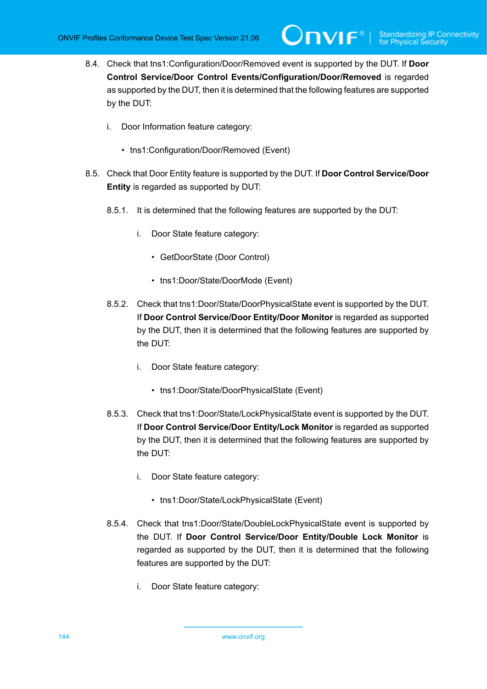- 8.4. Check that tns1:Configuration/Door/Removed event is supported by the DUT. If **Door Control Service/Door Control Events/Configuration/Door/Removed** is regarded as supported by the DUT, then it is determined that the following features are supported by the DUT:
	- i. Door Information feature category:
		- tns1:Configuration/Door/Removed (Event)
- 8.5. Check that Door Entity feature is supported by the DUT. If **Door Control Service/Door Entity** is regarded as supported by DUT:
	- 8.5.1. It is determined that the following features are supported by the DUT:
		- i. Door State feature category:
			- GetDoorState (Door Control)
			- tns1:Door/State/DoorMode (Event)
	- 8.5.2. Check that tns1:Door/State/DoorPhysicalState event is supported by the DUT. If **Door Control Service/Door Entity/Door Monitor** is regarded as supported by the DUT, then it is determined that the following features are supported by the DUT:
		- i. Door State feature category:
			- tns1:Door/State/DoorPhysicalState (Event)
	- 8.5.3. Check that tns1:Door/State/LockPhysicalState event is supported by the DUT. If **Door Control Service/Door Entity/Lock Monitor** is regarded as supported by the DUT, then it is determined that the following features are supported by the DUT:
		- i. Door State feature category:
			- tns1:Door/State/LockPhysicalState (Event)
	- 8.5.4. Check that tns1:Door/State/DoubleLockPhysicalState event is supported by the DUT. If **Door Control Service/Door Entity/Double Lock Monitor** is regarded as supported by the DUT, then it is determined that the following features are supported by the DUT:
		- i. Door State feature category: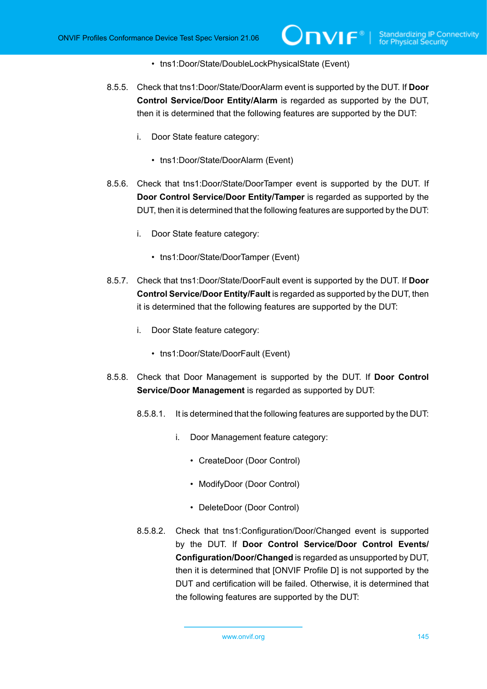- tns1:Door/State/DoubleLockPhysicalState (Event)
- 8.5.5. Check that tns1:Door/State/DoorAlarm event is supported by the DUT. If **Door Control Service/Door Entity/Alarm** is regarded as supported by the DUT, then it is determined that the following features are supported by the DUT:
	- i. Door State feature category:
		- tns1:Door/State/DoorAlarm (Event)
- 8.5.6. Check that tns1:Door/State/DoorTamper event is supported by the DUT. If **Door Control Service/Door Entity/Tamper** is regarded as supported by the DUT, then it is determined that the following features are supported by the DUT:
	- i. Door State feature category:
		- tns1:Door/State/DoorTamper (Event)
- 8.5.7. Check that tns1:Door/State/DoorFault event is supported by the DUT. If **Door Control Service/Door Entity/Fault** is regarded as supported by the DUT, then it is determined that the following features are supported by the DUT:
	- i. Door State feature category:
		- tns1:Door/State/DoorFault (Event)
- 8.5.8. Check that Door Management is supported by the DUT. If **Door Control Service/Door Management** is regarded as supported by DUT:
	- 8.5.8.1. It is determined that the following features are supported by the DUT:
		- i. Door Management feature category:
			- CreateDoor (Door Control)
			- ModifyDoor (Door Control)
			- DeleteDoor (Door Control)
	- 8.5.8.2. Check that tns1:Configuration/Door/Changed event is supported by the DUT. If **Door Control Service/Door Control Events/ Configuration/Door/Changed** is regarded as unsupported by DUT, then it is determined that [ONVIF Profile D] is not supported by the DUT and certification will be failed. Otherwise, it is determined that the following features are supported by the DUT: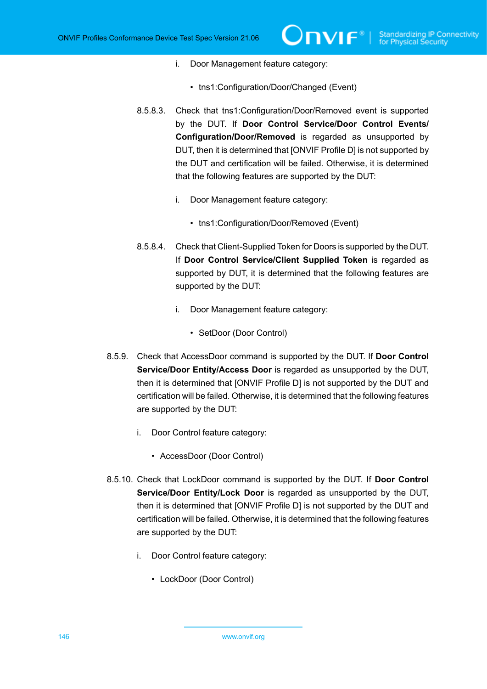- i. Door Management feature category:
	- tns1:Configuration/Door/Changed (Event)
- 8.5.8.3. Check that tns1:Configuration/Door/Removed event is supported by the DUT. If **Door Control Service/Door Control Events/ Configuration/Door/Removed** is regarded as unsupported by DUT, then it is determined that [ONVIF Profile D] is not supported by the DUT and certification will be failed. Otherwise, it is determined that the following features are supported by the DUT:
	- i. Door Management feature category:
		- tns1:Configuration/Door/Removed (Event)
- 8.5.8.4. Check that Client-Supplied Token for Doors is supported by the DUT. If **Door Control Service/Client Supplied Token** is regarded as supported by DUT, it is determined that the following features are supported by the DUT:
	- i. Door Management feature category:
		- SetDoor (Door Control)
- 8.5.9. Check that AccessDoor command is supported by the DUT. If **Door Control Service/Door Entity/Access Door** is regarded as unsupported by the DUT, then it is determined that [ONVIF Profile D] is not supported by the DUT and certification will be failed. Otherwise, it is determined that the following features are supported by the DUT:
	- i. Door Control feature category:
		- AccessDoor (Door Control)
- 8.5.10. Check that LockDoor command is supported by the DUT. If **Door Control Service/Door Entity/Lock Door** is regarded as unsupported by the DUT, then it is determined that [ONVIF Profile D] is not supported by the DUT and certification will be failed. Otherwise, it is determined that the following features are supported by the DUT:
	- i. Door Control feature category:
		- LockDoor (Door Control)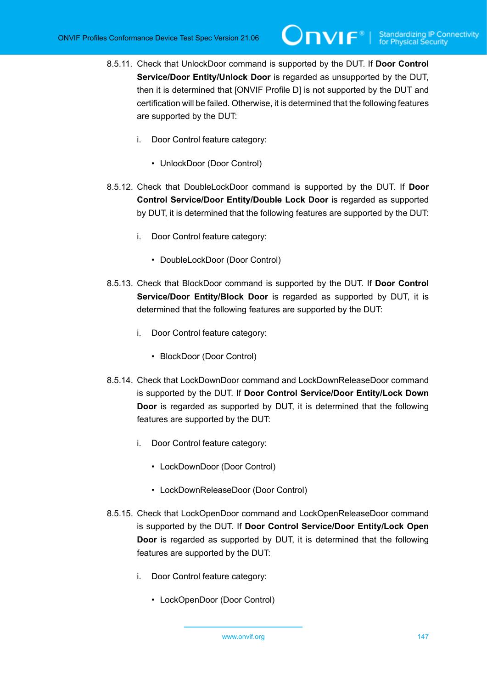- 8.5.11. Check that UnlockDoor command is supported by the DUT. If **Door Control Service/Door Entity/Unlock Door** is regarded as unsupported by the DUT, then it is determined that [ONVIF Profile D] is not supported by the DUT and certification will be failed. Otherwise, it is determined that the following features are supported by the DUT:
	- i. Door Control feature category:
		- UnlockDoor (Door Control)
- 8.5.12. Check that DoubleLockDoor command is supported by the DUT. If **Door Control Service/Door Entity/Double Lock Door** is regarded as supported by DUT, it is determined that the following features are supported by the DUT:
	- i. Door Control feature category:
		- DoubleLockDoor (Door Control)
- 8.5.13. Check that BlockDoor command is supported by the DUT. If **Door Control Service/Door Entity/Block Door** is regarded as supported by DUT, it is determined that the following features are supported by the DUT:
	- i. Door Control feature category:
		- BlockDoor (Door Control)
- 8.5.14. Check that LockDownDoor command and LockDownReleaseDoor command is supported by the DUT. If **Door Control Service/Door Entity/Lock Down Door** is regarded as supported by DUT, it is determined that the following features are supported by the DUT:
	- i. Door Control feature category:
		- LockDownDoor (Door Control)
		- LockDownReleaseDoor (Door Control)
- 8.5.15. Check that LockOpenDoor command and LockOpenReleaseDoor command is supported by the DUT. If **Door Control Service/Door Entity/Lock Open Door** is regarded as supported by DUT, it is determined that the following features are supported by the DUT:
	- i. Door Control feature category:
		- LockOpenDoor (Door Control)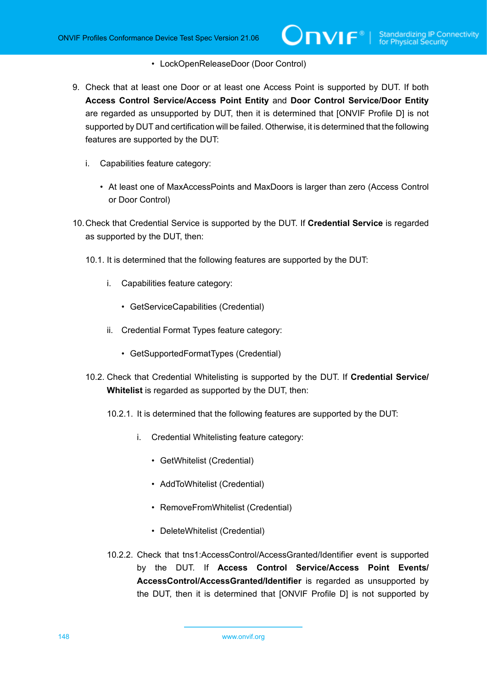## • LockOpenReleaseDoor (Door Control)

- 9. Check that at least one Door or at least one Access Point is supported by DUT. If both **Access Control Service/Access Point Entity** and **Door Control Service/Door Entity** are regarded as unsupported by DUT, then it is determined that [ONVIF Profile D] is not supported by DUT and certification will be failed. Otherwise, it is determined that the following features are supported by the DUT:
	- i. Capabilities feature category:
		- At least one of MaxAccessPoints and MaxDoors is larger than zero (Access Control or Door Control)
- 10.Check that Credential Service is supported by the DUT. If **Credential Service** is regarded as supported by the DUT, then:
	- 10.1. It is determined that the following features are supported by the DUT:
		- i. Capabilities feature category:
			- GetServiceCapabilities (Credential)
		- ii. Credential Format Types feature category:
			- GetSupportedFormatTypes (Credential)
	- 10.2. Check that Credential Whitelisting is supported by the DUT. If **Credential Service/ Whitelist** is regarded as supported by the DUT, then:
		- 10.2.1. It is determined that the following features are supported by the DUT:
			- i. Credential Whitelisting feature category:
				- GetWhitelist (Credential)
				- AddToWhitelist (Credential)
				- RemoveFromWhitelist (Credential)
				- DeleteWhitelist (Credential)
		- 10.2.2. Check that tns1:AccessControl/AccessGranted/Identifier event is supported by the DUT. If **Access Control Service/Access Point Events/ AccessControl/AccessGranted/Identifier** is regarded as unsupported by the DUT, then it is determined that [ONVIF Profile D] is not supported by